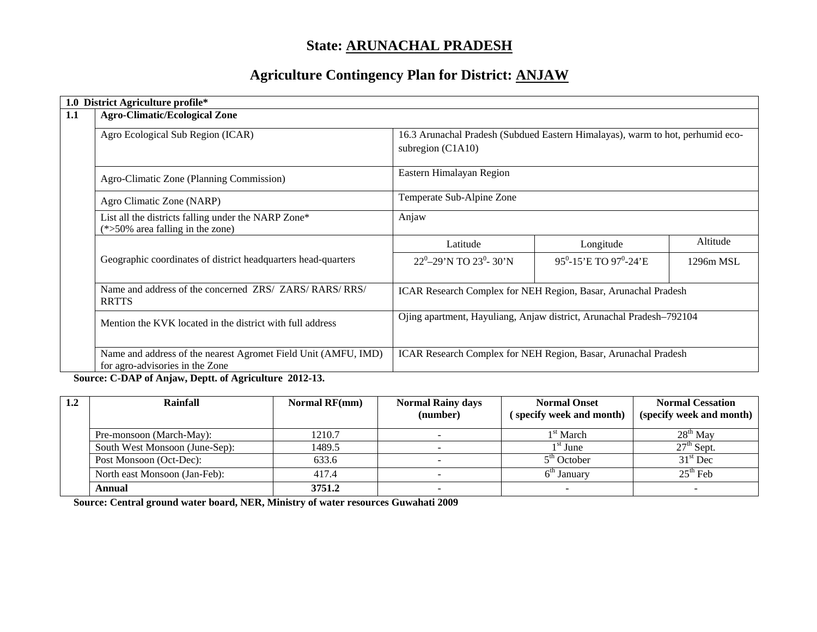# **State: ARUNACHAL PRADESH**

# **Agriculture Contingency Plan for District: ANJAW**

| 1.0 District Agriculture profile*                                                                                                                                              |                                                                                |                                                |           |  |  |  |
|--------------------------------------------------------------------------------------------------------------------------------------------------------------------------------|--------------------------------------------------------------------------------|------------------------------------------------|-----------|--|--|--|
| 1.1<br><b>Agro-Climatic/Ecological Zone</b>                                                                                                                                    |                                                                                |                                                |           |  |  |  |
| Agro Ecological Sub Region (ICAR)                                                                                                                                              | 16.3 Arunachal Pradesh (Subdued Eastern Himalayas), warm to hot, perhumid eco- |                                                |           |  |  |  |
|                                                                                                                                                                                | subregion $(C1A10)$                                                            |                                                |           |  |  |  |
| Agro-Climatic Zone (Planning Commission)                                                                                                                                       | Eastern Himalayan Region                                                       |                                                |           |  |  |  |
| Agro Climatic Zone (NARP)                                                                                                                                                      | Temperate Sub-Alpine Zone                                                      |                                                |           |  |  |  |
| List all the districts falling under the NARP Zone*<br>$(*>50\%$ area falling in the zone)                                                                                     | Anjaw                                                                          |                                                |           |  |  |  |
|                                                                                                                                                                                | Latitude                                                                       | Longitude                                      | Altitude  |  |  |  |
| Geographic coordinates of district headquarters head-quarters                                                                                                                  | 22 <sup>0</sup> -29'N TO 23 <sup>0</sup> -30'N                                 | 95 <sup>0</sup> -15'E TO 97 <sup>0</sup> -24'E | 1296m MSL |  |  |  |
| Name and address of the concerned ZRS/ ZARS/ RARS/ RRS/<br><b>RRTTS</b>                                                                                                        | ICAR Research Complex for NEH Region, Basar, Arunachal Pradesh                 |                                                |           |  |  |  |
| Mention the KVK located in the district with full address                                                                                                                      | Ojing apartment, Hayuliang, Anjaw district, Arunachal Pradesh-792104           |                                                |           |  |  |  |
| Name and address of the nearest Agromet Field Unit (AMFU, IMD)<br>for agro-advisories in the Zone<br>$\mathbf{a}$ and $\mathbf{a}$ and $\mathbf{a}$ and $\mathbf{a}$<br>$\sim$ | ICAR Research Complex for NEH Region, Basar, Arunachal Pradesh                 |                                                |           |  |  |  |

 **Source: C-DAP of Anjaw, Deptt. of Agriculture 2012-13.**

| 1.2 | Rainfall                       | <b>Normal RF(mm)</b> | <b>Normal Rainy days</b><br>(number) | <b>Normal Onset</b><br>specify week and month) | <b>Normal Cessation</b><br>(specify week and month) |
|-----|--------------------------------|----------------------|--------------------------------------|------------------------------------------------|-----------------------------------------------------|
|     | Pre-monsoon (March-May):       | 1210.7               |                                      | 1 <sup>st</sup> March                          | $28th$ May                                          |
|     | South West Monsoon (June-Sep): | 1489.5               |                                      | 1 <sup>st</sup> June                           | $27th$ Sept.                                        |
|     | Post Monsoon (Oct-Dec):        | 633.6                |                                      | $5th$ October                                  | $31st$ Dec                                          |
|     | North east Monsoon (Jan-Feb):  | 417.4                |                                      | $6th$ January                                  | $25th$ Feb                                          |
|     | Annual                         | 3751.2               |                                      |                                                |                                                     |

 **Source: Central ground water board, NER, Ministry of water resources Guwahati 2009**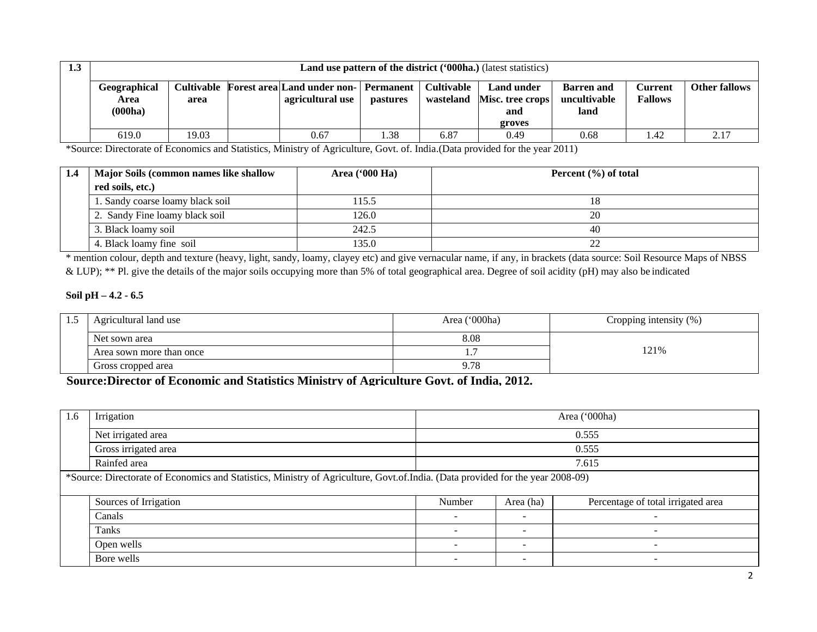| 1.3 | <b>Land use pattern of the district ('000ha.)</b> (latest statistics)                                                                                                                                                                                                                                |       |  |      |      |      |      |      |      |                      |
|-----|------------------------------------------------------------------------------------------------------------------------------------------------------------------------------------------------------------------------------------------------------------------------------------------------------|-------|--|------|------|------|------|------|------|----------------------|
|     | Geographical<br>Cultivable Forest area Land under non-<br><b>Cultivable</b><br><b>Land under</b><br>Permanent<br><b>Barren</b> and<br>Current<br>uncultivable<br>agricultural use<br><b>Fallows</b><br>Misc. tree crops<br>wasteland<br>pastures<br>Area<br>area<br>(000ha)<br>land<br>and<br>groves |       |  |      |      |      |      |      |      | <b>Other fallows</b> |
|     | 619.0                                                                                                                                                                                                                                                                                                | 19.03 |  | 0.67 | . 38 | 6.87 | 0.49 | 0.68 | . 42 | 2.17                 |

\*Source: Directorate of Economics and Statistics, Ministry of Agriculture, Govt. of. India.(Data provided for the year 2011)

| 1.4 | Major Soils (common names like shallow | Area $(900 \text{ Ha})$ | Percent $(\% )$ of total |
|-----|----------------------------------------|-------------------------|--------------------------|
|     | red soils, etc.)                       |                         |                          |
|     | 1. Sandy coarse loamy black soil       | 115.5                   |                          |
|     | 2. Sandy Fine loamy black soil         | 126.0                   | 20                       |
|     | 3. Black loamy soil                    | 242.5                   | 40                       |
|     | 4. Black loamy fine soil               | 135.0                   |                          |

\* mention colour, depth and texture (heavy, light, sandy, loamy, clayey etc) and give vernacular name, if any, in brackets (data source: Soil Resource Maps of NBSS & LUP); \*\* Pl. give the details of the major soils occupying more than 5% of total geographical area. Degree of soil acidity (pH) may also be indicated

#### **Soil pH – 4.2 - 6.5**

| ر. د | Agricultural land use    | Area ('000ha) | Cropping intensity $(\%)$ |  |  |
|------|--------------------------|---------------|---------------------------|--|--|
|      | Net sown area            | 8.08          |                           |  |  |
|      | Area sown more than once |               | 21%                       |  |  |
|      | Gross cropped area       | 9.78          |                           |  |  |

**Source:Director of Economic and Statistics Ministry of Agriculture Govt. of India, 2012.**

| 1.6 | Irrigation                                                                                                                     | Area ('000ha)            |                          |                                    |  |  |  |  |
|-----|--------------------------------------------------------------------------------------------------------------------------------|--------------------------|--------------------------|------------------------------------|--|--|--|--|
|     | Net irrigated area                                                                                                             |                          | 0.555                    |                                    |  |  |  |  |
|     | Gross irrigated area                                                                                                           | 0.555                    |                          |                                    |  |  |  |  |
|     | Rainfed area                                                                                                                   |                          |                          | 7.615                              |  |  |  |  |
|     | *Source: Directorate of Economics and Statistics, Ministry of Agriculture, Govt.of.India. (Data provided for the year 2008-09) |                          |                          |                                    |  |  |  |  |
|     | Sources of Irrigation                                                                                                          | Number                   | Area (ha)                | Percentage of total irrigated area |  |  |  |  |
|     | Canals                                                                                                                         | $\overline{\phantom{a}}$ | $\overline{\phantom{a}}$ |                                    |  |  |  |  |
|     | Tanks                                                                                                                          |                          | ۰.                       | $\overline{\phantom{a}}$           |  |  |  |  |
|     | Open wells                                                                                                                     | -                        | <b>.</b>                 | $\overline{\phantom{0}}$           |  |  |  |  |
|     | Bore wells                                                                                                                     | $\overline{\phantom{a}}$ |                          |                                    |  |  |  |  |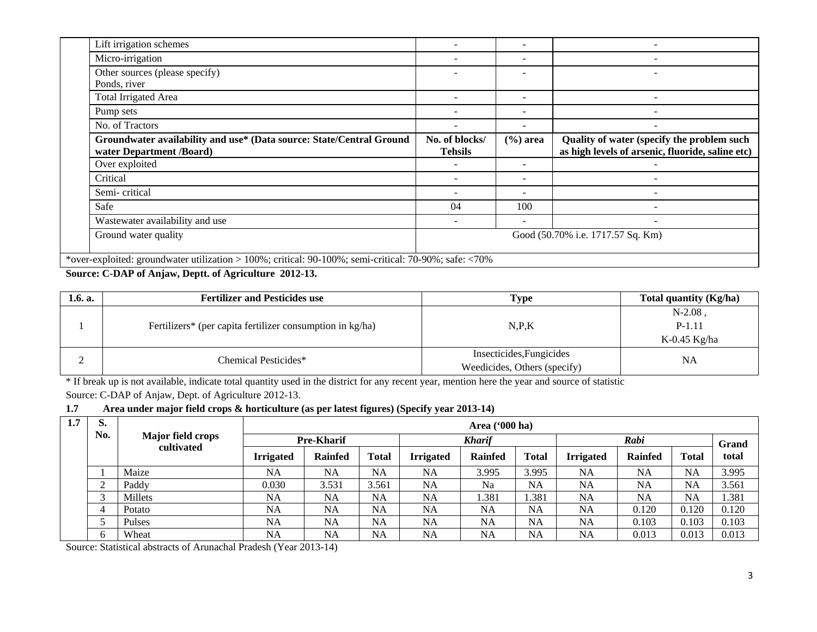| Lift irrigation schemes                                                                          |                                   | $\overline{\phantom{0}}$ |                                                                                                |  |  |
|--------------------------------------------------------------------------------------------------|-----------------------------------|--------------------------|------------------------------------------------------------------------------------------------|--|--|
| Micro-irrigation                                                                                 |                                   | $\overline{\phantom{0}}$ |                                                                                                |  |  |
| Other sources (please specify)                                                                   |                                   |                          |                                                                                                |  |  |
| Ponds, river                                                                                     |                                   |                          |                                                                                                |  |  |
| Total Irrigated Area                                                                             |                                   | ۰                        |                                                                                                |  |  |
| Pump sets                                                                                        |                                   | $\overline{\phantom{0}}$ | $\qquad \qquad \blacksquare$                                                                   |  |  |
| No. of Tractors                                                                                  |                                   | $\overline{\phantom{a}}$ |                                                                                                |  |  |
| Groundwater availability and use* (Data source: State/Central Ground<br>water Department /Board) | No. of blocks/<br><b>Tehsils</b>  | $(\% )$ area             | Quality of water (specify the problem such<br>as high levels of arsenic, fluoride, saline etc) |  |  |
| Over exploited                                                                                   |                                   |                          |                                                                                                |  |  |
| Critical                                                                                         |                                   | $\overline{\phantom{a}}$ | $\overline{\phantom{a}}$                                                                       |  |  |
| Semi-critical                                                                                    |                                   | $\overline{\phantom{0}}$ |                                                                                                |  |  |
| Safe                                                                                             | 04                                | 100                      |                                                                                                |  |  |
| Wastewater availability and use                                                                  |                                   | $\overline{\phantom{a}}$ |                                                                                                |  |  |
| Ground water quality                                                                             | Good (50.70% i.e. 1717.57 Sq. Km) |                          |                                                                                                |  |  |
|                                                                                                  |                                   |                          |                                                                                                |  |  |

## **Source: C-DAP of Anjaw, Deptt. of Agriculture 2012-13.**

| 1.6. a. | <b>Fertilizer and Pesticides use</b>                      | <b>Type</b>                  | Total quantity (Kg/ha) |  |
|---------|-----------------------------------------------------------|------------------------------|------------------------|--|
|         |                                                           |                              | $N-2.08$ ,             |  |
|         | Fertilizers* (per capita fertilizer consumption in kg/ha) | N.P.K                        | $P-1.11$               |  |
|         |                                                           |                              | K-0.45 Kg/ha           |  |
|         | Chemical Pesticides*                                      | Insecticides, Fungicides     | NA                     |  |
| ∼       |                                                           | Weedicides, Others (specify) |                        |  |

\* If break up is not available, indicate total quantity used in the district for any recent year, mention here the year and source of statistic Source: C-DAP of Anjaw, Dept. of Agriculture 2012-13.

### **1.7 Area under major field crops & horticulture (as per latest figures) (Specify year 2013-14)**

| 1.7 | S.  |                                        |                   | Area $(900 \text{ ha})$ |               |                  |                |              |                  |                |              |       |
|-----|-----|----------------------------------------|-------------------|-------------------------|---------------|------------------|----------------|--------------|------------------|----------------|--------------|-------|
|     | No. | <b>Major field crops</b><br>cultivated | <b>Pre-Kharif</b> |                         | <b>Kharif</b> |                  |                | Rabi         |                  |                | Grand        |       |
|     |     |                                        | <b>Irrigated</b>  | <b>Rainfed</b>          | <b>Total</b>  | <b>Irrigated</b> | <b>Rainfed</b> | <b>Total</b> | <b>Irrigated</b> | <b>Rainfed</b> | <b>Total</b> | total |
|     |     | Maize                                  | <b>NA</b>         | <b>NA</b>               | <b>NA</b>     | NA               | 3.995          | 3.995        | <b>NA</b>        | <b>NA</b>      | <b>NA</b>    | 3.995 |
|     | ∠   | Paddy                                  | 0.030             | 3.531                   | 3.561         | NA               | Na             | <b>NA</b>    | <b>NA</b>        | NA             | <b>NA</b>    | 3.561 |
|     |     | Millets                                | <b>NA</b>         | <b>NA</b>               | NA            | NA               | 1.381          | 1.381        | <b>NA</b>        | <b>NA</b>      | <b>NA</b>    | 1.381 |
|     | 4   | Potato                                 | <b>NA</b>         | <b>NA</b>               | <b>NA</b>     | NA               | <b>NA</b>      | <b>NA</b>    | NA               | 0.120          | 0.120        | 0.120 |
|     |     | Pulses                                 | <b>NA</b>         | <b>NA</b>               | NA            | NA               | <b>NA</b>      | <b>NA</b>    | <b>NA</b>        | 0.103          | 0.103        | 0.103 |
|     | 6   | Wheat                                  | <b>NA</b>         | <b>NA</b>               | NA            | <b>NA</b>        | <b>NA</b>      | <b>NA</b>    | <b>NA</b>        | 0.013          | 0.013        | 0.013 |

Source: Statistical abstracts of Arunachal Pradesh (Year 2013-14)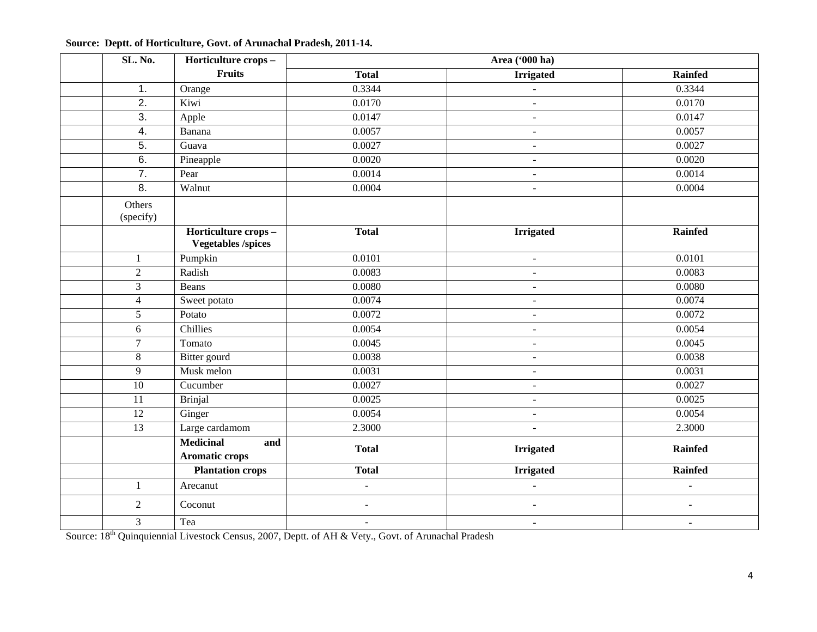| SL. No.             | Horticulture crops-                              |                          | Area ('000 ha)           |                |
|---------------------|--------------------------------------------------|--------------------------|--------------------------|----------------|
|                     | Fruits                                           | <b>Total</b>             | <b>Irrigated</b>         | <b>Rainfed</b> |
| 1.                  | Orange                                           | 0.3344                   | $\blacksquare$           | 0.3344         |
| $\overline{2}$ .    | Kiwi                                             | 0.0170                   | $\blacksquare$           | 0.0170         |
| 3.                  | Apple                                            | 0.0147                   | $\blacksquare$           | 0.0147         |
| $\overline{4}$ .    | Banana                                           | 0.0057                   | $\overline{\phantom{a}}$ | 0.0057         |
| $\overline{5}$ .    | Guava                                            | 0.0027                   | $\blacksquare$           | 0.0027         |
| $\overline{6}$ .    | Pineapple                                        | 0.0020                   | $\overline{\phantom{a}}$ | 0.0020         |
| 7.                  | Pear                                             | 0.0014                   | $\blacksquare$           | 0.0014         |
| $\overline{8}$ .    | Walnut                                           | 0.0004                   | $\blacksquare$           | 0.0004         |
| Others<br>(specify) |                                                  |                          |                          |                |
|                     | Horticulture crops-<br><b>Vegetables /spices</b> | <b>Total</b>             | <b>Irrigated</b>         | <b>Rainfed</b> |
| $\mathbf{1}$        | Pumpkin                                          | $\overline{0.0101}$      | $\blacksquare$           | 0.0101         |
| $\overline{2}$      | Radish                                           | 0.0083                   | $\blacksquare$           | 0.0083         |
| 3                   | Beans                                            | 0.0080                   | $\sim$                   | 0.0080         |
| $\overline{4}$      | Sweet potato                                     | 0.0074                   | $\overline{\phantom{a}}$ | 0.0074         |
| 5                   | Potato                                           | 0.0072                   | $\overline{\phantom{a}}$ | 0.0072         |
| 6                   | Chillies                                         | 0.0054                   | $\overline{\phantom{a}}$ | 0.0054         |
| $\tau$              | Tomato                                           | 0.0045                   | $\blacksquare$           | 0.0045         |
| $8\,$               | Bitter gourd                                     | 0.0038                   | $\blacksquare$           | 0.0038         |
| 9                   | Musk melon                                       | 0.0031                   | $\overline{\phantom{a}}$ | 0.0031         |
| 10                  | Cucumber                                         | 0.0027                   | $\blacksquare$           | 0.0027         |
| 11                  | <b>Brinjal</b>                                   | 0.0025                   | $\overline{\phantom{a}}$ | 0.0025         |
| $\overline{12}$     | Ginger                                           | 0.0054                   | $\blacksquare$           | 0.0054         |
| 13                  | Large cardamom                                   | 2.3000                   | $\overline{\phantom{a}}$ | 2.3000         |
|                     | <b>Medicinal</b><br>and                          | <b>Total</b>             | <b>Irrigated</b>         | <b>Rainfed</b> |
|                     | <b>Aromatic crops</b>                            |                          |                          |                |
|                     | <b>Plantation crops</b>                          | <b>Total</b>             | <b>Irrigated</b>         | <b>Rainfed</b> |
| $\mathbf{1}$        | Arecanut                                         | $\overline{a}$           | $\blacksquare$           | ä,             |
| $\sqrt{2}$          | Coconut                                          | $\overline{\phantom{a}}$ | $\blacksquare$           | ٠              |
| 3                   | Tea                                              | $\blacksquare$           | $\blacksquare$           | $\blacksquare$ |

## **Source: Deptt. of Horticulture, Govt. of Arunachal Pradesh, 2011-14.**

Source: 18<sup>th</sup> Quinquiennial Livestock Census, 2007, Deptt. of AH & Vety., Govt. of Arunachal Pradesh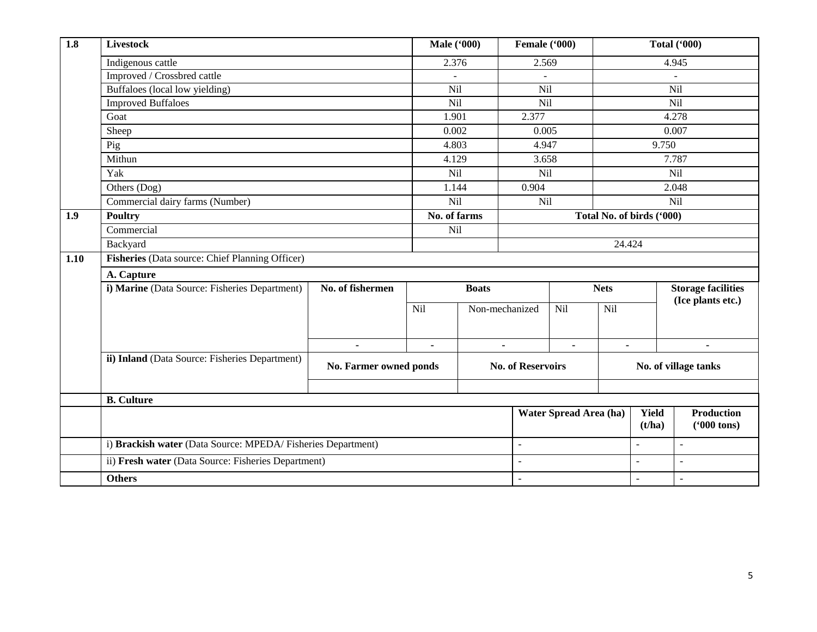| 1.8  | <b>Livestock</b>                                            |                        | <b>Male</b> ('000) |                | Female ('000)            |                        | <b>Total ('000)</b>       |                           |                   |  |
|------|-------------------------------------------------------------|------------------------|--------------------|----------------|--------------------------|------------------------|---------------------------|---------------------------|-------------------|--|
|      | Indigenous cattle                                           |                        | 2.376              |                | 2.569                    |                        | 4.945                     |                           |                   |  |
|      | Improved / Crossbred cattle                                 |                        |                    |                |                          |                        |                           |                           |                   |  |
|      | Buffaloes (local low yielding)                              |                        | Nil                |                | Nil                      |                        | Nil                       |                           |                   |  |
|      | <b>Improved Buffaloes</b>                                   |                        | Nil                |                | Nil                      |                        |                           |                           | Nil               |  |
|      | Goat                                                        |                        | 1.901              |                | 2.377                    |                        |                           |                           | 4.278             |  |
|      | Sheep                                                       |                        | 0.002              |                | 0.005                    |                        |                           |                           | 0.007             |  |
|      | Pig                                                         |                        | 4.803              |                | 4.947                    |                        |                           | 9.750                     |                   |  |
|      | Mithun                                                      | 4.129                  |                    | 3.658          |                          |                        |                           | 7.787                     |                   |  |
|      | Yak                                                         | Nil                    |                    | Nil            |                          |                        |                           | Nil                       |                   |  |
|      | Others (Dog)                                                |                        | 1.144              |                | 0.904                    |                        |                           |                           | 2.048             |  |
|      | Commercial dairy farms (Number)                             | Nil                    |                    | Nil            |                          |                        |                           | Nil                       |                   |  |
| 1.9  | <b>Poultry</b>                                              | No. of farms           |                    |                |                          |                        | Total No. of birds ('000) |                           |                   |  |
|      | Commercial                                                  |                        | Nil                |                |                          |                        |                           |                           |                   |  |
|      | Backyard                                                    |                        |                    | 24.424         |                          |                        |                           |                           |                   |  |
| 1.10 | Fisheries (Data source: Chief Planning Officer)             |                        |                    |                |                          |                        |                           |                           |                   |  |
|      | A. Capture                                                  |                        |                    |                |                          |                        |                           |                           |                   |  |
|      | i) Marine (Data Source: Fisheries Department)               | No. of fishermen       |                    | <b>Boats</b>   |                          |                        | <b>Nets</b>               | <b>Storage facilities</b> |                   |  |
|      |                                                             |                        | <b>Nil</b>         | Non-mechanized |                          | Nil<br>Nil             |                           | (Ice plants etc.)         |                   |  |
|      |                                                             |                        |                    |                |                          |                        |                           |                           |                   |  |
|      |                                                             |                        |                    |                |                          |                        |                           |                           |                   |  |
|      |                                                             | $\blacksquare$         | $\blacksquare$     | $\blacksquare$ |                          | $\blacksquare$         | $\blacksquare$            |                           | $\blacksquare$    |  |
|      | ii) Inland (Data Source: Fisheries Department)              | No. Farmer owned ponds |                    |                | <b>No. of Reservoirs</b> |                        | No. of village tanks      |                           |                   |  |
|      |                                                             |                        |                    |                |                          |                        |                           |                           |                   |  |
|      | <b>B.</b> Culture                                           |                        |                    |                |                          |                        |                           |                           |                   |  |
|      |                                                             |                        |                    |                |                          | Water Spread Area (ha) |                           | <b>Yield</b>              | <b>Production</b> |  |
|      |                                                             |                        |                    |                | (t/ha)                   | $(900 \text{ tons})$   |                           |                           |                   |  |
|      | i) Brackish water (Data Source: MPEDA/Fisheries Department) |                        |                    |                | $\overline{a}$           |                        | $\overline{a}$            |                           | $\sim$            |  |
|      | ii) Fresh water (Data Source: Fisheries Department)         |                        |                    |                |                          |                        |                           | $\equiv$                  | $\sim$            |  |
|      | <b>Others</b>                                               | ÷,                     |                    |                | $\ddot{\phantom{1}}$     | $\sim$                 |                           |                           |                   |  |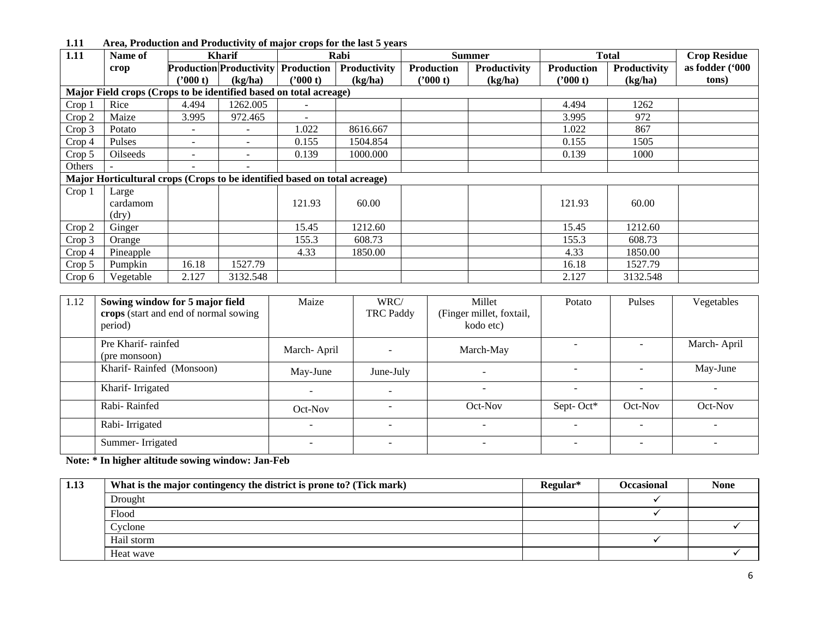| 1.11              | Name of                                                                   |                          | <b>Kharif</b>                             |          | $\frac{1}{2}$ . The contraction will be controlled by the mail of the color of $\frac{1}{2}$ and $\frac{1}{2}$<br>Rabi |                   | <b>Summer</b> |            | <b>Total</b> | <b>Crop Residue</b> |  |
|-------------------|---------------------------------------------------------------------------|--------------------------|-------------------------------------------|----------|------------------------------------------------------------------------------------------------------------------------|-------------------|---------------|------------|--------------|---------------------|--|
|                   | crop                                                                      |                          | <b>Production Productivity Production</b> |          | Productivity                                                                                                           | <b>Production</b> | Productivity  | Production | Productivity | as fodder ('000     |  |
|                   |                                                                           | ('000 t)                 | (kg/ha)                                   | ('000 t) | (kg/ha)                                                                                                                | ''000 t)          | (kg/ha)       | ('000 t)   | (kg/ha)      | tons)               |  |
|                   | Major Field crops (Crops to be identified based on total acreage)         |                          |                                           |          |                                                                                                                        |                   |               |            |              |                     |  |
| Crop <sub>1</sub> | Rice                                                                      | 4.494                    | 1262.005                                  |          |                                                                                                                        |                   |               | 4.494      | 1262         |                     |  |
| Crop 2            | Maize                                                                     | 3.995                    | 972.465                                   |          |                                                                                                                        |                   |               | 3.995      | 972          |                     |  |
| Crop 3            | Potato                                                                    | -                        | $\overline{\phantom{0}}$                  | 1.022    | 8616.667                                                                                                               |                   |               | 1.022      | 867          |                     |  |
| Crop 4            | Pulses                                                                    | $\overline{\phantom{0}}$ | $\overline{\phantom{0}}$                  | 0.155    | 1504.854                                                                                                               |                   |               | 0.155      | 1505         |                     |  |
| Crop 5            | <b>Oilseeds</b>                                                           | -                        |                                           | 0.139    | 1000.000                                                                                                               |                   |               | 0.139      | 1000         |                     |  |
| <b>Others</b>     |                                                                           | $\overline{\phantom{a}}$ | $\overline{\phantom{0}}$                  |          |                                                                                                                        |                   |               |            |              |                     |  |
|                   | Major Horticultural crops (Crops to be identified based on total acreage) |                          |                                           |          |                                                                                                                        |                   |               |            |              |                     |  |
| Crop 1            | Large                                                                     |                          |                                           |          |                                                                                                                        |                   |               |            |              |                     |  |
|                   | cardamom                                                                  |                          |                                           | 121.93   | 60.00                                                                                                                  |                   |               | 121.93     | 60.00        |                     |  |
|                   | (dry)                                                                     |                          |                                           |          |                                                                                                                        |                   |               |            |              |                     |  |
| Crop 2            | Ginger                                                                    |                          |                                           | 15.45    | 1212.60                                                                                                                |                   |               | 15.45      | 1212.60      |                     |  |
| Crop 3            | Orange                                                                    |                          |                                           | 155.3    | 608.73                                                                                                                 |                   |               | 155.3      | 608.73       |                     |  |
| Crop 4            | Pineapple                                                                 |                          |                                           | 4.33     | 1850.00                                                                                                                |                   |               | 4.33       | 1850.00      |                     |  |
| Crop 5            | Pumpkin                                                                   | 16.18                    | 1527.79                                   |          |                                                                                                                        |                   |               | 16.18      | 1527.79      |                     |  |
| Crop 6            | Vegetable                                                                 | 2.127                    | 3132.548                                  |          |                                                                                                                        |                   |               | 2.127      | 3132.548     |                     |  |

| 1.11<br>Area, Production and Productivity of major crops for the last 5 years |  |
|-------------------------------------------------------------------------------|--|
|-------------------------------------------------------------------------------|--|

| 1.12 | Sowing window for 5 major field<br>crops (start and end of normal sowing<br>period) | Maize                    | WRC/<br>TRC Paddy | Millet<br>(Finger millet, foxtail,<br>kodo etc) | Potato    | Pulses  | Vegetables  |
|------|-------------------------------------------------------------------------------------|--------------------------|-------------------|-------------------------------------------------|-----------|---------|-------------|
|      | Pre Kharif-rainfed<br>(pre monsoon)                                                 | March-April              |                   | March-May                                       |           |         | March-April |
|      | Kharif-Rainfed (Monsoon)                                                            | May-June                 | June-July         |                                                 |           |         | May-June    |
|      | Kharif-Irrigated                                                                    |                          | -                 |                                                 |           |         |             |
|      | Rabi-Rainfed                                                                        | Oct-Nov                  |                   | Oct-Nov                                         | Sept-Oct* | Oct-Nov | Oct-Nov     |
|      | Rabi-Irrigated                                                                      | $\overline{\phantom{0}}$ |                   |                                                 |           |         |             |
|      | Summer-Irrigated                                                                    |                          |                   |                                                 |           |         |             |

**Note: \* In higher altitude sowing window: Jan-Feb**

| 1.13 | What is the major contingency the district is prone to? (Tick mark) | Regular* | <b>Occasional</b> | <b>None</b> |
|------|---------------------------------------------------------------------|----------|-------------------|-------------|
|      | Drought                                                             |          |                   |             |
|      | Flood                                                               |          |                   |             |
|      | Cyclone                                                             |          |                   |             |
|      | Hail storm                                                          |          |                   |             |
|      | Heat wave                                                           |          |                   |             |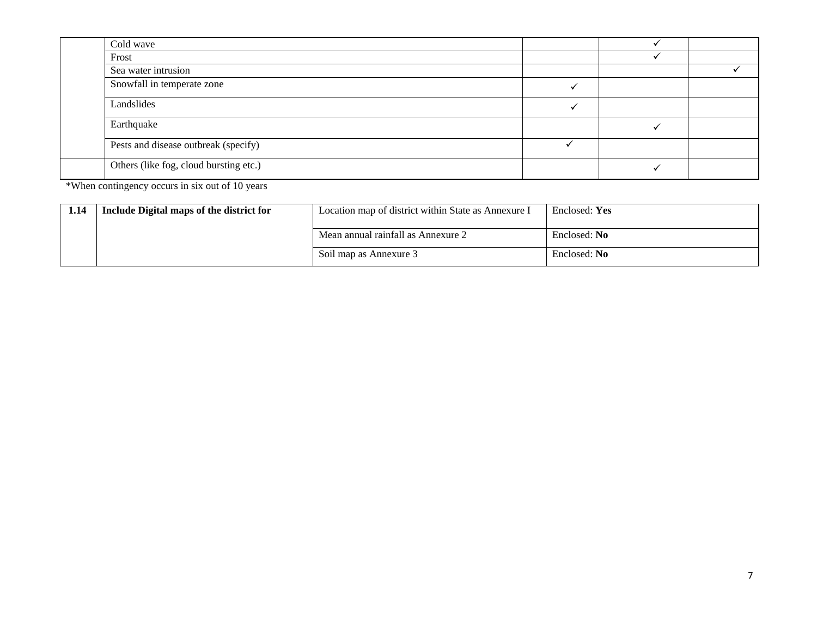| Cold wave                              |  |  |
|----------------------------------------|--|--|
| Frost                                  |  |  |
| Sea water intrusion                    |  |  |
| Snowfall in temperate zone             |  |  |
| Landslides                             |  |  |
| Earthquake                             |  |  |
| Pests and disease outbreak (specify)   |  |  |
| Others (like fog, cloud bursting etc.) |  |  |

\*When contingency occurs in six out of 10 years

| 1.14 | Include Digital maps of the district for | Location map of district within State as Annexure I | Enclosed: Yes |
|------|------------------------------------------|-----------------------------------------------------|---------------|
|      |                                          | Mean annual rainfall as Annexure 2                  | Enclosed: No  |
|      |                                          | Soil map as Annexure 3                              | Enclosed: No  |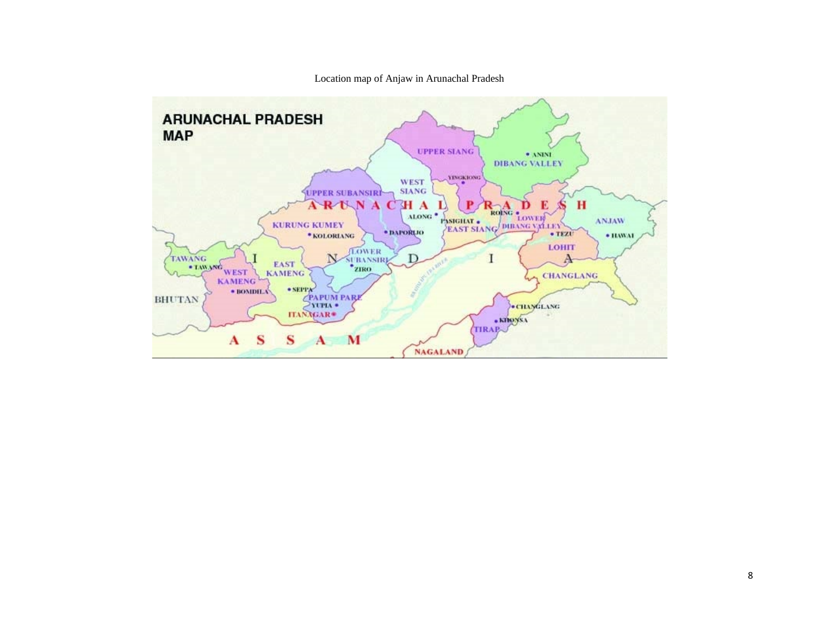Location map of Anjaw in Arunachal Pradesh

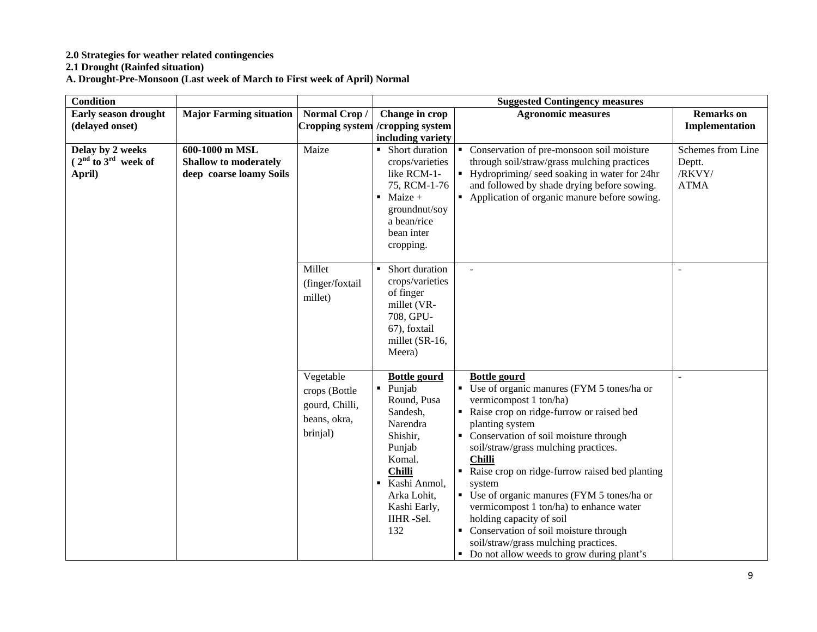#### **2.0 Strategies for weather related contingencies**

**2.1 Drought (Rainfed situation)**

**A. Drought-Pre-Monsoon (Last week of March to First week of April) Normal**

| <b>Condition</b>        |                                |                 |                                   | <b>Suggested Contingency measures</b>                       |                   |  |  |
|-------------------------|--------------------------------|-----------------|-----------------------------------|-------------------------------------------------------------|-------------------|--|--|
| Early season drought    | <b>Major Farming situation</b> | Normal Crop/    | Change in crop                    | <b>Agronomic measures</b>                                   | <b>Remarks</b> on |  |  |
| (delayed onset)         |                                |                 | Cropping system / cropping system |                                                             | Implementation    |  |  |
|                         |                                |                 | including variety                 |                                                             |                   |  |  |
| Delay by 2 weeks        | 600-1000 m MSL                 | Maize           | Short duration<br>٠.              | • Conservation of pre-monsoon soil moisture                 | Schemes from Line |  |  |
| $(2nd$ to $3rd$ week of | <b>Shallow to moderately</b>   |                 | crops/varieties                   | through soil/straw/grass mulching practices                 | Deptt.            |  |  |
| April)                  | deep coarse loamy Soils        |                 | like RCM-1-                       | $\blacksquare$ Hydropriming/ seed soaking in water for 24hr | /RKVY/            |  |  |
|                         |                                |                 | 75, RCM-1-76                      | and followed by shade drying before sowing.                 | <b>ATMA</b>       |  |  |
|                         |                                |                 | $\blacksquare$ Maize +            | • Application of organic manure before sowing.              |                   |  |  |
|                         |                                |                 | groundnut/soy                     |                                                             |                   |  |  |
|                         |                                |                 | a bean/rice                       |                                                             |                   |  |  |
|                         |                                |                 | bean inter                        |                                                             |                   |  |  |
|                         |                                |                 | cropping.                         |                                                             |                   |  |  |
|                         |                                | Millet          | Short duration                    |                                                             |                   |  |  |
|                         |                                |                 | crops/varieties                   |                                                             |                   |  |  |
|                         |                                | (finger/foxtail | of finger                         |                                                             |                   |  |  |
|                         |                                | millet)         | millet (VR-                       |                                                             |                   |  |  |
|                         |                                |                 | 708, GPU-                         |                                                             |                   |  |  |
|                         |                                |                 | 67), foxtail                      |                                                             |                   |  |  |
|                         |                                |                 | millet (SR-16,                    |                                                             |                   |  |  |
|                         |                                |                 | Meera)                            |                                                             |                   |  |  |
|                         |                                |                 |                                   |                                                             |                   |  |  |
|                         |                                | Vegetable       | <b>Bottle gourd</b>               | <b>Bottle gourd</b>                                         | $\overline{a}$    |  |  |
|                         |                                | crops (Bottle   | Punjab                            | • Use of organic manures (FYM 5 tones/ha or                 |                   |  |  |
|                         |                                | gourd, Chilli,  | Round, Pusa                       | vermicompost 1 ton/ha)                                      |                   |  |  |
|                         |                                | beans, okra,    | Sandesh,                          | Raise crop on ridge-furrow or raised bed                    |                   |  |  |
|                         |                                | brinjal)        | Narendra                          | planting system                                             |                   |  |  |
|                         |                                |                 | Shishir,                          | • Conservation of soil moisture through                     |                   |  |  |
|                         |                                |                 | Punjab<br>Komal.                  | soil/straw/grass mulching practices.<br><b>Chilli</b>       |                   |  |  |
|                         |                                |                 | <b>Chilli</b>                     | • Raise crop on ridge-furrow raised bed planting            |                   |  |  |
|                         |                                |                 | Kashi Anmol,<br>٠                 | system                                                      |                   |  |  |
|                         |                                |                 | Arka Lohit,                       | • Use of organic manures (FYM 5 tones/ha or                 |                   |  |  |
|                         |                                |                 | Kashi Early,                      | vermicompost 1 ton/ha) to enhance water                     |                   |  |  |
|                         |                                |                 | IIHR-Sel.                         | holding capacity of soil                                    |                   |  |  |
|                         |                                |                 | 132                               | • Conservation of soil moisture through                     |                   |  |  |
|                         |                                |                 |                                   | soil/straw/grass mulching practices.                        |                   |  |  |
|                         |                                |                 |                                   | • Do not allow weeds to grow during plant's                 |                   |  |  |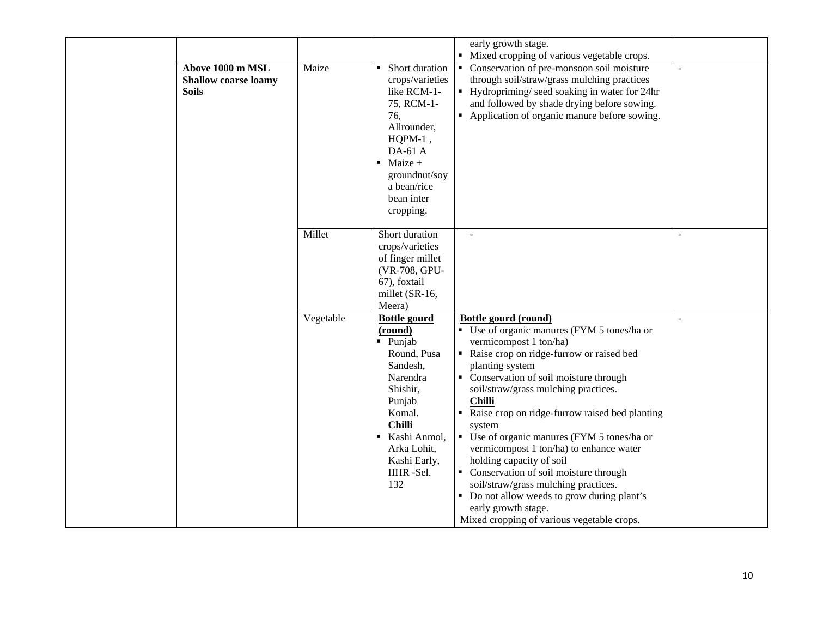| Above 1000 m MSL<br><b>Shallow coarse loamy</b><br><b>Soils</b> | Maize     | Short duration<br>crops/varieties<br>like RCM-1-<br>75, RCM-1-<br>76,<br>Allrounder,<br>$HQPM-1$ ,<br>DA-61 A<br>Maize +<br>٠<br>groundnut/soy<br>a bean/rice<br>bean inter<br>cropping.                            | early growth stage.<br>Mixed cropping of various vegetable crops.<br>Conservation of pre-monsoon soil moisture<br>through soil/straw/grass mulching practices<br>• Hydropriming/seed soaking in water for 24hr<br>and followed by shade drying before sowing.<br>• Application of organic manure before sowing.                                                                                                                                                                                                                                                                                                                                                                             | $\sim$ |
|-----------------------------------------------------------------|-----------|---------------------------------------------------------------------------------------------------------------------------------------------------------------------------------------------------------------------|---------------------------------------------------------------------------------------------------------------------------------------------------------------------------------------------------------------------------------------------------------------------------------------------------------------------------------------------------------------------------------------------------------------------------------------------------------------------------------------------------------------------------------------------------------------------------------------------------------------------------------------------------------------------------------------------|--------|
|                                                                 | Millet    | Short duration<br>crops/varieties<br>of finger millet<br>(VR-708, GPU-<br>67), foxtail<br>millet (SR-16,<br>Meera)                                                                                                  | $\sim$                                                                                                                                                                                                                                                                                                                                                                                                                                                                                                                                                                                                                                                                                      |        |
|                                                                 | Vegetable | <b>Bottle gourd</b><br>(round)<br>$\blacksquare$ Punjab<br>Round, Pusa<br>Sandesh,<br>Narendra<br>Shishir,<br>Punjab<br>Komal.<br><b>Chilli</b><br>Kashi Anmol,<br>Arka Lohit,<br>Kashi Early,<br>IIHR -Sel.<br>132 | Bottle gourd (round)<br>• Use of organic manures (FYM 5 tones/ha or<br>vermicompost 1 ton/ha)<br>Raise crop on ridge-furrow or raised bed<br>planting system<br>• Conservation of soil moisture through<br>soil/straw/grass mulching practices.<br><b>Chilli</b><br>Raise crop on ridge-furrow raised bed planting<br>$\blacksquare$<br>system<br>Use of organic manures (FYM 5 tones/ha or<br>$\blacksquare$<br>vermicompost 1 ton/ha) to enhance water<br>holding capacity of soil<br>• Conservation of soil moisture through<br>soil/straw/grass mulching practices.<br>• Do not allow weeds to grow during plant's<br>early growth stage.<br>Mixed cropping of various vegetable crops. |        |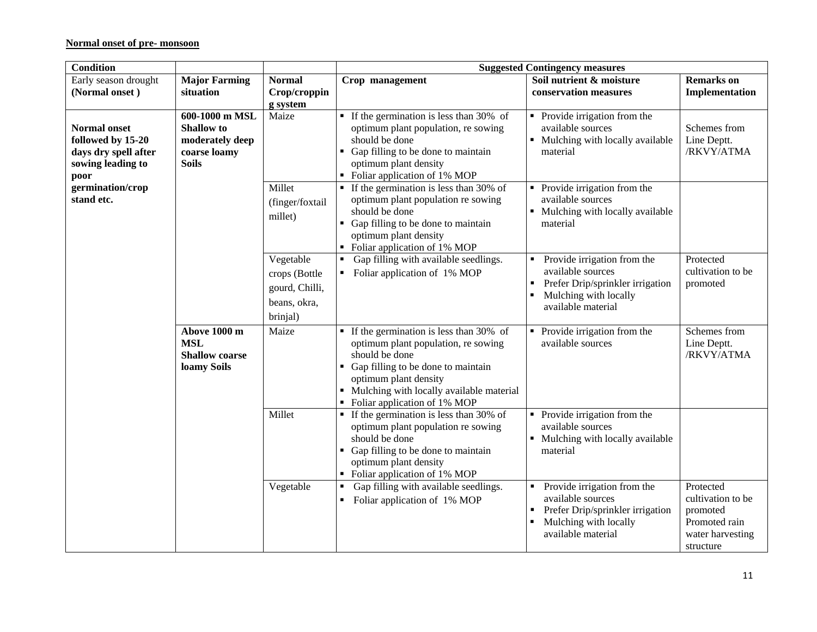## **Normal onset of pre- monsoon**

| <b>Condition</b>                                                                              |                                                                                        |                                                                          | <b>Suggested Contingency measures</b>                                                                                                                                                                                                                           |                                                                                                                                          |                                                                                              |  |
|-----------------------------------------------------------------------------------------------|----------------------------------------------------------------------------------------|--------------------------------------------------------------------------|-----------------------------------------------------------------------------------------------------------------------------------------------------------------------------------------------------------------------------------------------------------------|------------------------------------------------------------------------------------------------------------------------------------------|----------------------------------------------------------------------------------------------|--|
| Early season drought                                                                          | <b>Major Farming</b>                                                                   | <b>Normal</b>                                                            | Crop management                                                                                                                                                                                                                                                 | Soil nutrient & moisture                                                                                                                 | <b>Remarks</b> on                                                                            |  |
| (Normal onset)                                                                                | situation                                                                              | Crop/croppin                                                             |                                                                                                                                                                                                                                                                 | conservation measures                                                                                                                    | Implementation                                                                               |  |
|                                                                                               |                                                                                        | g system                                                                 |                                                                                                                                                                                                                                                                 |                                                                                                                                          |                                                                                              |  |
| <b>Normal onset</b><br>followed by 15-20<br>days dry spell after<br>sowing leading to<br>poor | 600-1000 m MSL<br><b>Shallow</b> to<br>moderately deep<br>coarse loamy<br><b>Soils</b> | Maize                                                                    | $\blacksquare$ If the germination is less than 30% of<br>optimum plant population, re sowing<br>should be done<br>Gap filling to be done to maintain<br>optimum plant density<br>• Foliar application of 1% MOP                                                 | • Provide irrigation from the<br>available sources<br>• Mulching with locally available<br>material                                      | Schemes from<br>Line Deptt.<br>/RKVY/ATMA                                                    |  |
| germination/crop<br>stand etc.                                                                |                                                                                        | Millet<br>(finger/foxtail<br>millet)                                     | • If the germination is less than 30% of<br>optimum plant population re sowing<br>should be done<br>Gap filling to be done to maintain<br>optimum plant density<br>• Foliar application of 1% MOP                                                               | • Provide irrigation from the<br>available sources<br>Mulching with locally available<br>material                                        |                                                                                              |  |
|                                                                                               |                                                                                        | Vegetable<br>crops (Bottle<br>gourd, Chilli,<br>beans, okra,<br>brinjal) | Gap filling with available seedlings.<br>Foliar application of 1% MOP                                                                                                                                                                                           | Provide irrigation from the<br>available sources<br>Prefer Drip/sprinkler irrigation<br>Mulching with locally<br>available material      | Protected<br>cultivation to be<br>promoted                                                   |  |
|                                                                                               | Above 1000 m<br><b>MSL</b><br><b>Shallow coarse</b><br>loamy Soils                     | Maize                                                                    | $\blacksquare$ If the germination is less than 30% of<br>optimum plant population, re sowing<br>should be done<br>• Gap filling to be done to maintain<br>optimum plant density<br>• Mulching with locally available material<br>• Foliar application of 1% MOP | Provide irrigation from the<br>available sources                                                                                         | Schemes from<br>Line Deptt.<br>/RKVY/ATMA                                                    |  |
|                                                                                               |                                                                                        | Millet                                                                   | $\blacksquare$ If the germination is less than 30% of<br>optimum plant population re sowing<br>should be done<br>Gap filling to be done to maintain<br>optimum plant density<br>Foliar application of 1% MOP                                                    | Provide irrigation from the<br>available sources<br>• Mulching with locally available<br>material                                        |                                                                                              |  |
|                                                                                               |                                                                                        | Vegetable                                                                | Gap filling with available seedlings.<br>Foliar application of 1% MOP<br>٠                                                                                                                                                                                      | Provide irrigation from the<br>available sources<br>Prefer Drip/sprinkler irrigation<br>٠<br>Mulching with locally<br>available material | Protected<br>cultivation to be<br>promoted<br>Promoted rain<br>water harvesting<br>structure |  |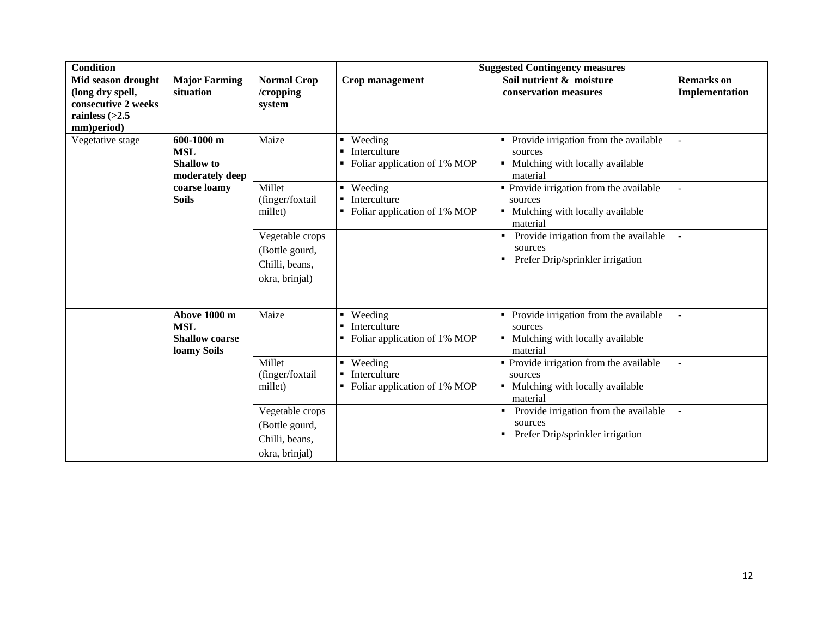| <b>Condition</b>                                                          |                                                                      |                                                                       |                                                                                             | <b>Suggested Contingency measures</b>                                                               |                          |
|---------------------------------------------------------------------------|----------------------------------------------------------------------|-----------------------------------------------------------------------|---------------------------------------------------------------------------------------------|-----------------------------------------------------------------------------------------------------|--------------------------|
| Mid season drought                                                        | <b>Major Farming</b>                                                 | <b>Normal Crop</b>                                                    | Crop management                                                                             | Soil nutrient & moisture                                                                            | <b>Remarks</b> on        |
| (long dry spell,<br>consecutive 2 weeks<br>rainless $(>2.5$<br>mm)period) | situation                                                            | /cropping<br>system                                                   |                                                                                             | conservation measures                                                                               | Implementation           |
| Vegetative stage                                                          | 600-1000 m<br><b>MSL</b><br><b>Shallow</b> to<br>moderately deep     | Maize                                                                 | Weeding<br>$\blacksquare$<br>Interculture<br>$\blacksquare$<br>Foliar application of 1% MOP | Provide irrigation from the available<br>sources<br>• Mulching with locally available<br>material   |                          |
|                                                                           | Millet<br>coarse loamy<br><b>Soils</b><br>(finger/foxtail<br>millet) |                                                                       | Weeding<br>$\blacksquare$<br>Interculture<br>Foliar application of 1% MOP                   | • Provide irrigation from the available<br>sources<br>• Mulching with locally available<br>material |                          |
|                                                                           |                                                                      | Vegetable crops<br>(Bottle gourd,<br>Chilli, beans,<br>okra, brinjal) |                                                                                             | Provide irrigation from the available<br>sources<br>Prefer Drip/sprinkler irrigation<br>٠           |                          |
|                                                                           | Above 1000 m<br><b>MSL</b><br><b>Shallow coarse</b><br>loamy Soils   | Maize                                                                 | Weeding<br>$\blacksquare$<br>Interculture<br>$\blacksquare$<br>Foliar application of 1% MOP | Provide irrigation from the available<br>sources<br>Mulching with locally available<br>material     |                          |
|                                                                           |                                                                      | Millet<br>(finger/foxtail<br>millet)                                  | • Weeding<br>Interculture<br>$\blacksquare$<br>Foliar application of 1% MOP                 | • Provide irrigation from the available<br>sources<br>• Mulching with locally available<br>material | $\overline{\phantom{a}}$ |
|                                                                           |                                                                      | Vegetable crops<br>(Bottle gourd,<br>Chilli, beans,<br>okra, brinjal) |                                                                                             | Provide irrigation from the available<br>٠<br>sources<br>Prefer Drip/sprinkler irrigation           |                          |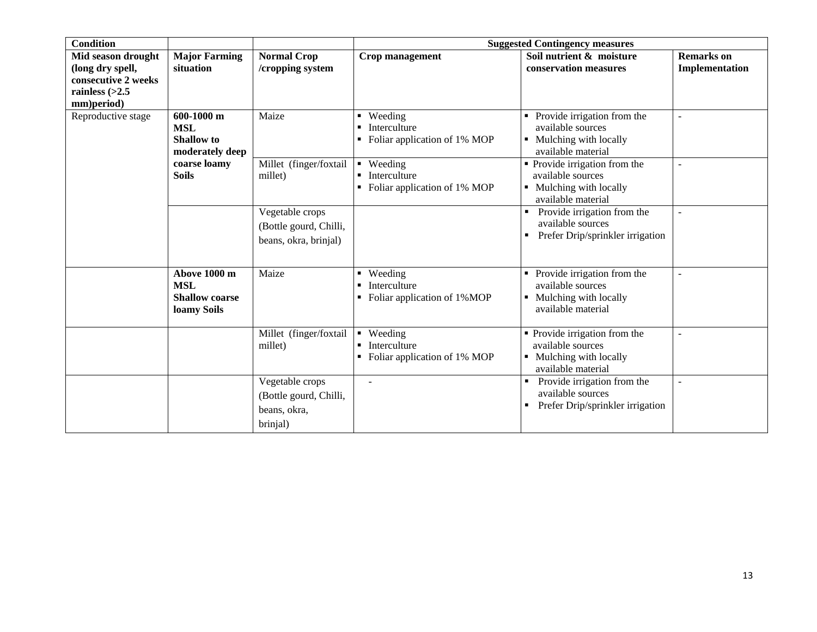| <b>Condition</b>                                                          |                                                                    |                                                                       | <b>Suggested Contingency measures</b>                                       |                                                                                                                         |                   |  |
|---------------------------------------------------------------------------|--------------------------------------------------------------------|-----------------------------------------------------------------------|-----------------------------------------------------------------------------|-------------------------------------------------------------------------------------------------------------------------|-------------------|--|
| Mid season drought                                                        | <b>Major Farming</b>                                               | <b>Normal Crop</b>                                                    | Crop management                                                             | Soil nutrient & moisture                                                                                                | <b>Remarks</b> on |  |
| (long dry spell,<br>consecutive 2 weeks<br>rainless $(>2.5$<br>mm)period) | situation                                                          | /cropping system                                                      |                                                                             | conservation measures                                                                                                   | Implementation    |  |
| Reproductive stage<br><b>MSL</b><br><b>Soils</b>                          | 600-1000 m<br><b>Shallow</b> to<br>moderately deep                 | Maize                                                                 | Weeding<br>Interculture<br>Foliar application of 1% MOP                     | • Provide irrigation from the<br>available sources<br>• Mulching with locally<br>available material                     |                   |  |
|                                                                           | coarse loamy                                                       | Millet (finger/foxtail<br>millet)                                     | • Weeding<br>Interculture<br>Foliar application of 1% MOP                   | $\overline{\text{P}}$ Provide irrigation from the<br>available sources<br>• Mulching with locally<br>available material | $\sim$            |  |
|                                                                           |                                                                    | Vegetable crops<br>(Bottle gourd, Chilli,<br>beans, okra, brinjal)    |                                                                             | Provide irrigation from the<br>available sources<br>Prefer Drip/sprinkler irrigation                                    |                   |  |
|                                                                           | Above 1000 m<br><b>MSL</b><br><b>Shallow coarse</b><br>loamy Soils | Maize                                                                 | • Weeding<br>Interculture<br>Foliar application of 1%MOP                    | • Provide irrigation from the<br>available sources<br>• Mulching with locally<br>available material                     |                   |  |
|                                                                           |                                                                    | Millet (finger/foxtail<br>millet)                                     | Weeding<br>$\blacksquare$<br>Interculture<br>• Foliar application of 1% MOP | • Provide irrigation from the<br>available sources<br>• Mulching with locally<br>available material                     |                   |  |
|                                                                           |                                                                    | Vegetable crops<br>(Bottle gourd, Chilli,<br>beans, okra,<br>brinjal) |                                                                             | Provide irrigation from the<br>available sources<br>Prefer Drip/sprinkler irrigation                                    |                   |  |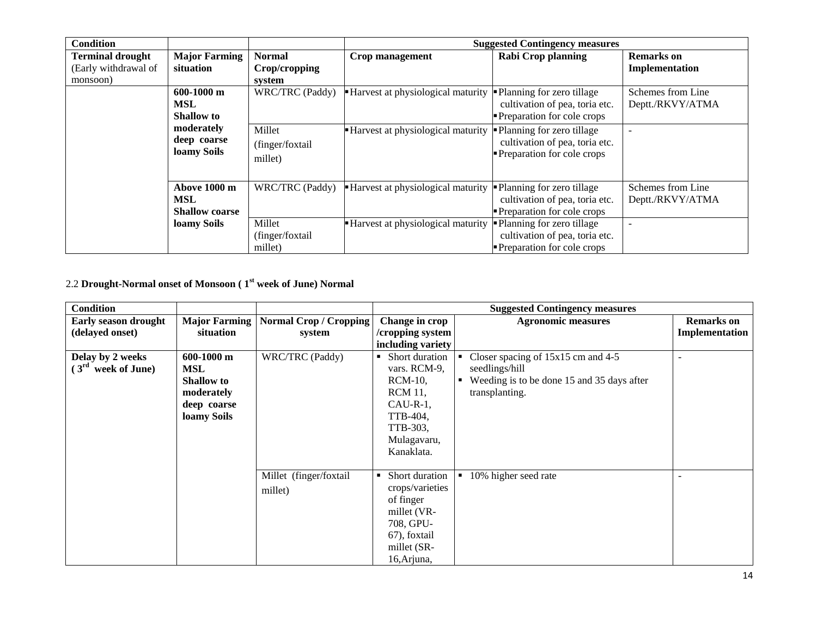| <b>Condition</b>                                            |                                                     |                                          |                                                                                            | <b>Suggested Contingency measures</b>                                                       |                                       |
|-------------------------------------------------------------|-----------------------------------------------------|------------------------------------------|--------------------------------------------------------------------------------------------|---------------------------------------------------------------------------------------------|---------------------------------------|
| <b>Terminal drought</b><br>(Early withdrawal of<br>monsoon) | <b>Major Farming</b><br>situation                   | <b>Normal</b><br>Crop/cropping<br>system | Crop management                                                                            | <b>Rabi Crop planning</b>                                                                   | <b>Remarks</b> on<br>Implementation   |
|                                                             | $600-1000$ m<br><b>MSL</b><br><b>Shallow</b> to     | WRC/TRC (Paddy)                          | <b>Harvest at physiological maturity</b>                                                   | • Planning for zero tillage<br>cultivation of pea, toria etc.<br>Preparation for cole crops | Schemes from Line<br>Deptt./RKVY/ATMA |
| moderately<br>deep coarse<br>loamy Soils                    | Millet<br>(finger/foxtail)<br>millet)               | Harvest at physiological maturity        | -Planning for zero tillage<br>cultivation of pea, toria etc.<br>Preparation for cole crops |                                                                                             |                                       |
|                                                             | Above 1000 m<br><b>MSL</b><br><b>Shallow coarse</b> | WRC/TRC (Paddy)                          | • Harvest at physiological maturity                                                        | -Planning for zero tillage<br>cultivation of pea, toria etc.<br>Preparation for cole crops  | Schemes from Line<br>Deptt./RKVY/ATMA |
|                                                             | loamy Soils                                         | Millet<br>(finger/foxtail<br>millet)     | Harvest at physiological maturity                                                          | • Planning for zero tillage<br>cultivation of pea, toria etc.<br>Preparation for cole crops |                                       |

2.2 **Drought-Normal onset of Monsoon ( 1st week of June) Normal**

| <b>Condition</b>            |                   |                                        |                     | <b>Suggested Contingency measures</b>      |                   |
|-----------------------------|-------------------|----------------------------------------|---------------------|--------------------------------------------|-------------------|
| <b>Early season drought</b> |                   | Major Farming   Normal Crop / Cropping | Change in crop      | <b>Agronomic measures</b>                  | <b>Remarks</b> on |
| (delayed onset)             | situation         | system                                 | /cropping system    |                                            | Implementation    |
|                             |                   |                                        | including variety   |                                            |                   |
| Delay by 2 weeks            | $600-1000$ m      | WRC/TRC (Paddy)                        | Short duration      | Closer spacing of 15x15 cm and 4-5         |                   |
| $(3rd$ week of June)        | MSL               |                                        | vars. RCM-9,        | seedlings/hill                             |                   |
|                             | <b>Shallow</b> to |                                        | <b>RCM-10,</b>      | Weeding is to be done 15 and 35 days after |                   |
|                             | moderately        |                                        | <b>RCM</b> 11,      | transplanting.                             |                   |
|                             | deep coarse       |                                        | $CAU-R-1$ ,         |                                            |                   |
|                             | loamy Soils       |                                        | TTB-404,            |                                            |                   |
|                             |                   |                                        | TTB-303,            |                                            |                   |
|                             |                   |                                        | Mulagavaru,         |                                            |                   |
|                             |                   |                                        | Kanaklata.          |                                            |                   |
|                             |                   |                                        |                     |                                            |                   |
|                             |                   | Millet (finger/foxtail                 | Short duration<br>٠ | 10% higher seed rate                       |                   |
|                             |                   | millet)                                | crops/varieties     |                                            |                   |
|                             |                   |                                        | of finger           |                                            |                   |
|                             |                   |                                        | millet (VR-         |                                            |                   |
|                             |                   |                                        | 708, GPU-           |                                            |                   |
|                             |                   |                                        | 67), foxtail        |                                            |                   |
|                             |                   |                                        | millet (SR-         |                                            |                   |
|                             |                   |                                        | 16, Arjuna,         |                                            |                   |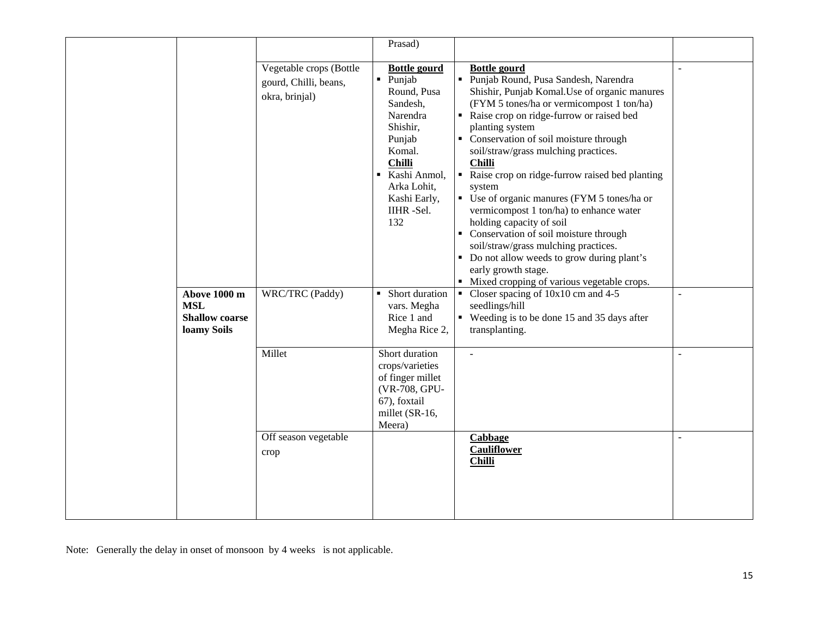|                                                                    | Vegetable crops (Bottle<br>gourd, Chilli, beans,<br>okra, brinjal) | Prasad)<br><b>Bottle gourd</b><br>Punjab<br>Round, Pusa<br>Sandesh,<br>Narendra<br>Shishir,<br>Punjab<br>Komal.<br><b>Chilli</b><br>Kashi Anmol,<br>Arka Lohit,<br>Kashi Early,<br>IIHR-Sel.<br>132 | <b>Bottle gourd</b><br>• Punjab Round, Pusa Sandesh, Narendra<br>Shishir, Punjab Komal. Use of organic manures<br>(FYM 5 tones/ha or vermicompost 1 ton/ha)<br>• Raise crop on ridge-furrow or raised bed<br>planting system<br>• Conservation of soil moisture through<br>soil/straw/grass mulching practices.<br><b>Chilli</b><br>Raise crop on ridge-furrow raised bed planting<br>system<br>• Use of organic manures (FYM 5 tones/ha or<br>vermicompost 1 ton/ha) to enhance water<br>holding capacity of soil<br>• Conservation of soil moisture through<br>soil/straw/grass mulching practices. |                |
|--------------------------------------------------------------------|--------------------------------------------------------------------|-----------------------------------------------------------------------------------------------------------------------------------------------------------------------------------------------------|-------------------------------------------------------------------------------------------------------------------------------------------------------------------------------------------------------------------------------------------------------------------------------------------------------------------------------------------------------------------------------------------------------------------------------------------------------------------------------------------------------------------------------------------------------------------------------------------------------|----------------|
| Above 1000 m<br><b>MSL</b><br><b>Shallow coarse</b><br>loamy Soils | WRC/TRC (Paddy)                                                    | Short duration<br>vars. Megha<br>Rice 1 and<br>Megha Rice 2,                                                                                                                                        | • Do not allow weeds to grow during plant's<br>early growth stage.<br>• Mixed cropping of various vegetable crops.<br>• Closer spacing of $10x10$ cm and $4-5$<br>seedlings/hill<br>• Weeding is to be done 15 and 35 days after<br>transplanting.                                                                                                                                                                                                                                                                                                                                                    | $\sim$         |
|                                                                    | Millet                                                             | Short duration<br>crops/varieties<br>of finger millet<br>(VR-708, GPU-<br>67), foxtail<br>millet (SR-16,<br>Meera)                                                                                  | $\bar{\mathcal{L}}$                                                                                                                                                                                                                                                                                                                                                                                                                                                                                                                                                                                   | $\blacksquare$ |
|                                                                    | Off season vegetable<br>crop                                       |                                                                                                                                                                                                     | Cabbage<br><b>Cauliflower</b><br><b>Chilli</b>                                                                                                                                                                                                                                                                                                                                                                                                                                                                                                                                                        | $\sim$         |

Note: Generally the delay in onset of monsoon by 4 weeks is not applicable.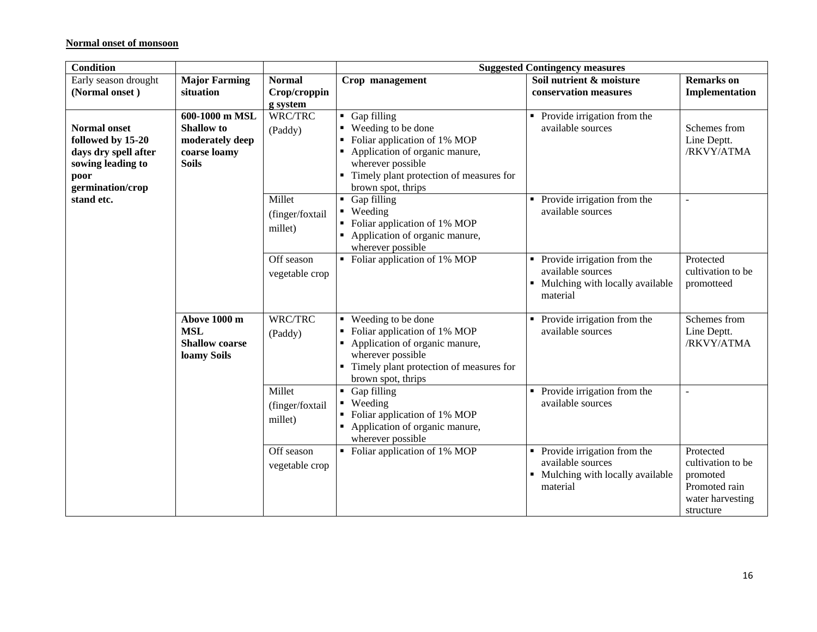#### **Normal onset of monsoon**

| <b>Condition</b>                                                                                                  |                                                                                        |                                           |                                                                                                                                                                                                        | <b>Suggested Contingency measures</b>                                                                  |                                                                                              |
|-------------------------------------------------------------------------------------------------------------------|----------------------------------------------------------------------------------------|-------------------------------------------|--------------------------------------------------------------------------------------------------------------------------------------------------------------------------------------------------------|--------------------------------------------------------------------------------------------------------|----------------------------------------------------------------------------------------------|
| Early season drought<br>(Normal onset)                                                                            | <b>Major Farming</b><br>situation                                                      | <b>Normal</b><br>Crop/croppin<br>g system | Crop management                                                                                                                                                                                        | Soil nutrient & moisture<br>conservation measures                                                      | <b>Remarks</b> on<br>Implementation                                                          |
| <b>Normal onset</b><br>followed by 15-20<br>days dry spell after<br>sowing leading to<br>poor<br>germination/crop | 600-1000 m MSL<br><b>Shallow</b> to<br>moderately deep<br>coarse loamy<br><b>Soils</b> | WRC/TRC<br>(Paddy)                        | Gap filling<br>٠.<br>• Weeding to be done<br>Foliar application of 1% MOP<br>Application of organic manure,<br>wherever possible<br>Timely plant protection of measures for<br>٠<br>brown spot, thrips | • Provide irrigation from the<br>available sources                                                     | Schemes from<br>Line Deptt.<br>/RKVY/ATMA                                                    |
| stand etc.                                                                                                        |                                                                                        | Millet<br>(finger/foxtail<br>millet)      | • Gap filling<br>Weeding<br>$\blacksquare$<br>Foliar application of 1% MOP<br>Application of organic manure,<br>wherever possible                                                                      | Provide irrigation from the<br>٠<br>available sources                                                  | ÷,                                                                                           |
|                                                                                                                   |                                                                                        | Off season<br>vegetable crop              | • Foliar application of 1% MOP                                                                                                                                                                         | • Provide irrigation from the<br>available sources<br>• Mulching with locally available<br>material    | Protected<br>cultivation to be<br>promotteed                                                 |
|                                                                                                                   | Above 1000 m<br><b>MSL</b><br><b>Shallow coarse</b><br>loamy Soils                     | WRC/TRC<br>(Paddy)                        | ■ Weeding to be done<br>Foliar application of 1% MOP<br>Application of organic manure,<br>wherever possible<br>Timely plant protection of measures for<br>brown spot, thrips                           | Provide irrigation from the<br>٠<br>available sources                                                  | Schemes from<br>Line Deptt.<br>/RKVY/ATMA                                                    |
|                                                                                                                   |                                                                                        | Millet<br>(finger/foxtail<br>millet)      | • Gap filling<br>• Weeding<br>Foliar application of 1% MOP<br>Application of organic manure,<br>wherever possible                                                                                      | Provide irrigation from the<br>available sources                                                       | $\blacksquare$                                                                               |
|                                                                                                                   |                                                                                        | Off season<br>vegetable crop              | • Foliar application of 1% MOP                                                                                                                                                                         | Provide irrigation from the<br>٠<br>available sources<br>• Mulching with locally available<br>material | Protected<br>cultivation to be<br>promoted<br>Promoted rain<br>water harvesting<br>structure |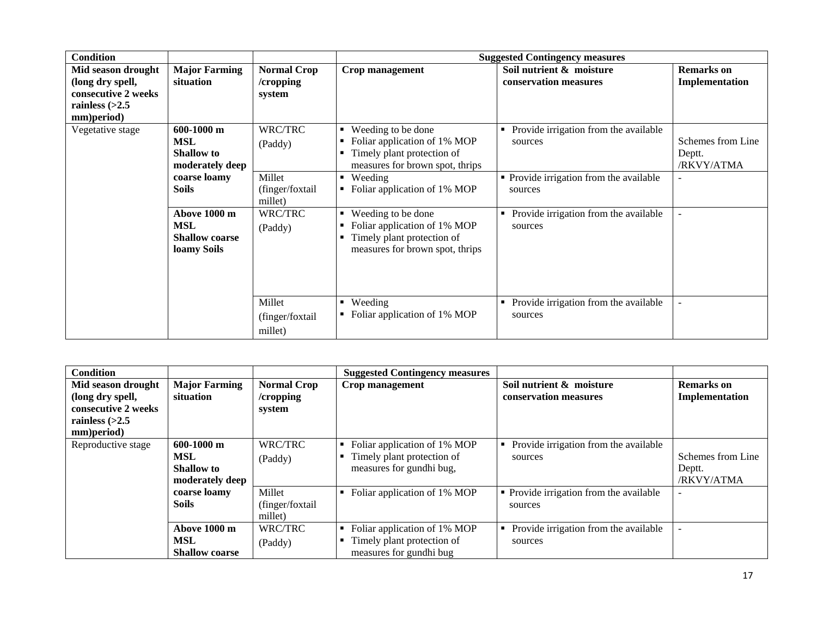| <b>Condition</b>    |                       |                    |                                   | <b>Suggested Contingency measures</b>      |                   |
|---------------------|-----------------------|--------------------|-----------------------------------|--------------------------------------------|-------------------|
| Mid season drought  | <b>Major Farming</b>  | <b>Normal Crop</b> | Crop management                   | Soil nutrient & moisture                   | <b>Remarks</b> on |
| (long dry spell,    | situation             | /cropping          |                                   | conservation measures                      | Implementation    |
| consecutive 2 weeks |                       | system             |                                   |                                            |                   |
| rainless $(>2.5$    |                       |                    |                                   |                                            |                   |
| mm)period)          |                       |                    |                                   |                                            |                   |
| Vegetative stage    | 600-1000 m            | WRC/TRC            | Weeding to be done<br>٠           | Provide irrigation from the available      |                   |
|                     | <b>MSL</b>            | (Paddy)            | Foliar application of 1% MOP      | sources                                    | Schemes from Line |
|                     | <b>Shallow</b> to     |                    | Timely plant protection of<br>٠   |                                            | Deptt.            |
|                     | moderately deep       |                    | measures for brown spot, thrips   |                                            | /RKVY/ATMA        |
|                     | coarse loamy          | Millet             | ■ Weeding                         | • Provide irrigation from the available    |                   |
|                     | <b>Soils</b>          | (finger/foxtail)   | Foliar application of 1% MOP<br>٠ | sources                                    |                   |
|                     |                       | millet)            |                                   |                                            |                   |
|                     | Above 1000 m          | WRC/TRC            | Weeding to be done<br>٠           | Provide irrigation from the available      |                   |
|                     | <b>MSL</b>            | (Paddy)            | Foliar application of 1% MOP<br>٠ | sources                                    |                   |
|                     | <b>Shallow coarse</b> |                    | Timely plant protection of<br>٠   |                                            |                   |
|                     | loamy Soils           |                    | measures for brown spot, thrips   |                                            |                   |
|                     |                       |                    |                                   |                                            |                   |
|                     |                       |                    |                                   |                                            |                   |
|                     |                       |                    |                                   |                                            |                   |
|                     |                       | Millet             | • Weeding                         | Provide irrigation from the available<br>٠ |                   |
|                     |                       | (finger/foxtail)   | Foliar application of 1% MOP      | sources                                    |                   |
|                     |                       | millet)            |                                   |                                            |                   |

| <b>Condition</b>                                                                                |                                                                    |                                              | <b>Suggested Contingency measures</b>                                                  |                                                    |                                           |
|-------------------------------------------------------------------------------------------------|--------------------------------------------------------------------|----------------------------------------------|----------------------------------------------------------------------------------------|----------------------------------------------------|-------------------------------------------|
| Mid season drought<br>(long dry spell,<br>consecutive 2 weeks<br>rainless $(>2.5$<br>mm)period) | <b>Major Farming</b><br>situation                                  | <b>Normal Crop</b><br>$/$ cropping<br>system | Crop management                                                                        | Soil nutrient & moisture<br>conservation measures  | <b>Remarks</b> on<br>Implementation       |
| Reproductive stage                                                                              | $600-1000$ m<br><b>MSL</b><br><b>Shallow</b> to<br>moderately deep | WRC/TRC<br>(Paddy)                           | Foliar application of 1% MOP<br>Timely plant protection of<br>measures for gundhi bug, | Provide irrigation from the available<br>sources   | Schemes from Line<br>Deptt.<br>/RKVY/ATMA |
|                                                                                                 | coarse loamy<br><b>Soils</b>                                       | Millet<br>(finger/foxtail<br>millet)         | Foliar application of 1% MOP                                                           | • Provide irrigation from the available<br>sources | $\overline{\phantom{a}}$                  |
|                                                                                                 | Above 1000 m<br><b>MSL</b><br><b>Shallow coarse</b>                | WRC/TRC<br>(Paddy)                           | Foliar application of 1% MOP<br>Timely plant protection of<br>measures for gundhi bug  | Provide irrigation from the available<br>sources   | $\overline{\phantom{a}}$                  |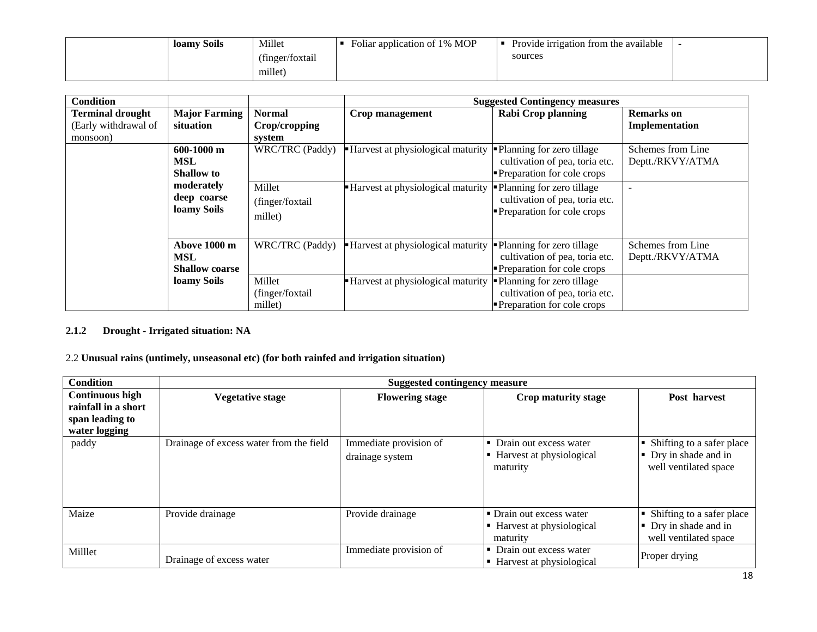|  | loamy Soils | Millet          | Foliar application of 1% MOP | Provide irrigation from the available |  |
|--|-------------|-----------------|------------------------------|---------------------------------------|--|
|  |             | (finger/foxtail |                              | sources                               |  |
|  |             | millet)         |                              |                                       |  |

| <b>Condition</b>                                            |                                                     |                                          |                                   | <b>Suggested Contingency measures</b>                                                              |                                       |
|-------------------------------------------------------------|-----------------------------------------------------|------------------------------------------|-----------------------------------|----------------------------------------------------------------------------------------------------|---------------------------------------|
| <b>Terminal drought</b><br>(Early withdrawal of<br>monsoon) | <b>Major Farming</b><br>situation                   | <b>Normal</b><br>Crop/cropping<br>system | Crop management                   | <b>Rabi Crop planning</b>                                                                          | <b>Remarks</b> on<br>Implementation   |
|                                                             | $600-1000$ m<br><b>MSL</b><br><b>Shallow</b> to     | WRC/TRC (Paddy)                          | Harvest at physiological maturity | • Planning for zero tillage<br>cultivation of pea, toria etc.<br><b>Preparation for cole crops</b> | Schemes from Line<br>Deptt./RKVY/ATMA |
|                                                             | moderately<br>deep coarse<br>loamy Soils            | Millet<br>(finger/foxtail<br>millet)     | Harvest at physiological maturity | -Planning for zero tillage<br>cultivation of pea, toria etc.<br><b>Preparation for cole crops</b>  |                                       |
|                                                             | Above 1000 m<br><b>MSL</b><br><b>Shallow coarse</b> | WRC/TRC (Paddy)                          | Harvest at physiological maturity | • Planning for zero tillage<br>cultivation of pea, toria etc.<br><b>Preparation for cole crops</b> | Schemes from Line<br>Deptt./RKVY/ATMA |
|                                                             | loamy Soils                                         | Millet<br>(finger/foxtail<br>millet)     | Harvest at physiological maturity | Planning for zero tillage<br>cultivation of pea, toria etc.<br>• Preparation for cole crops        |                                       |

### **2.1.2 Drought - Irrigated situation: NA**

## 2.2 **Unusual rains (untimely, unseasonal etc) (for both rainfed and irrigation situation)**

| Condition                                                                         | <b>Suggested contingency measure</b>    |                                           |                                                                  |                                                                               |  |
|-----------------------------------------------------------------------------------|-----------------------------------------|-------------------------------------------|------------------------------------------------------------------|-------------------------------------------------------------------------------|--|
| <b>Continuous high</b><br>rainfall in a short<br>span leading to<br>water logging | <b>Vegetative stage</b>                 | <b>Flowering stage</b>                    | Crop maturity stage                                              | Post harvest                                                                  |  |
| paddy                                                                             | Drainage of excess water from the field | Immediate provision of<br>drainage system | Drain out excess water<br>Harvest at physiological<br>maturity   | • Shifting to a safer place<br>• Dry in shade and in<br>well ventilated space |  |
| Maize                                                                             | Provide drainage                        | Provide drainage                          | • Drain out excess water<br>Harvest at physiological<br>maturity | • Shifting to a safer place<br>• Dry in shade and in<br>well ventilated space |  |
| Milllet                                                                           | Drainage of excess water                | Immediate provision of                    | Drain out excess water<br>Harvest at physiological               | Proper drying                                                                 |  |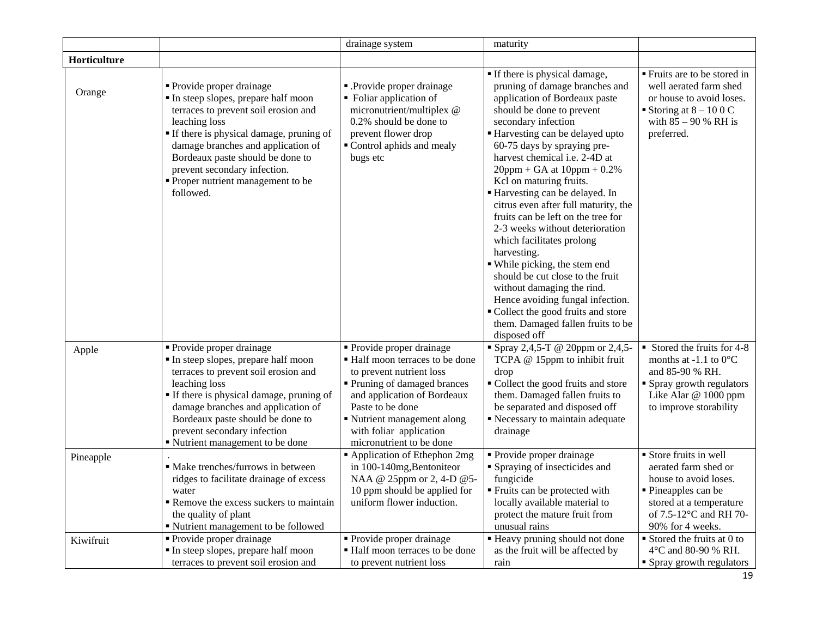|              |                                                                                                                                                                                                                                                                                                                                         | drainage system                                                                                                                                                                                                                                                 | maturity                                                                                                                                                                                                                                                                                                                                                                                                                                                                                                                                                                                                                                                                                                                                            |                                                                                                                                                                         |
|--------------|-----------------------------------------------------------------------------------------------------------------------------------------------------------------------------------------------------------------------------------------------------------------------------------------------------------------------------------------|-----------------------------------------------------------------------------------------------------------------------------------------------------------------------------------------------------------------------------------------------------------------|-----------------------------------------------------------------------------------------------------------------------------------------------------------------------------------------------------------------------------------------------------------------------------------------------------------------------------------------------------------------------------------------------------------------------------------------------------------------------------------------------------------------------------------------------------------------------------------------------------------------------------------------------------------------------------------------------------------------------------------------------------|-------------------------------------------------------------------------------------------------------------------------------------------------------------------------|
| Horticulture |                                                                                                                                                                                                                                                                                                                                         |                                                                                                                                                                                                                                                                 |                                                                                                                                                                                                                                                                                                                                                                                                                                                                                                                                                                                                                                                                                                                                                     |                                                                                                                                                                         |
| Orange       | • Provide proper drainage<br>In steep slopes, prepare half moon<br>terraces to prevent soil erosion and<br>leaching loss<br><b>If there is physical damage, pruning of</b><br>damage branches and application of<br>Bordeaux paste should be done to<br>prevent secondary infection.<br>• Proper nutrient management to be<br>followed. | - Provide proper drainage<br>• Foliar application of<br>micronutrient/multiplex @<br>0.2% should be done to<br>prevent flower drop<br>Control aphids and mealy<br>bugs etc                                                                                      | If there is physical damage,<br>pruning of damage branches and<br>application of Bordeaux paste<br>should be done to prevent<br>secondary infection<br>Harvesting can be delayed upto<br>60-75 days by spraying pre-<br>harvest chemical i.e. 2-4D at<br>$20$ ppm + GA at $10$ ppm + 0.2%<br>Kcl on maturing fruits.<br>Harvesting can be delayed. In<br>citrus even after full maturity, the<br>fruits can be left on the tree for<br>2-3 weeks without deterioration<br>which facilitates prolong<br>harvesting.<br>• While picking, the stem end<br>should be cut close to the fruit<br>without damaging the rind.<br>Hence avoiding fungal infection.<br>Collect the good fruits and store<br>them. Damaged fallen fruits to be<br>disposed off | ■ Fruits are to be stored in<br>well aerated farm shed<br>or house to avoid loses.<br>Storing at $8 - 100$ C<br>with $85 - 90$ % RH is<br>preferred.                    |
| Apple        | • Provide proper drainage<br>In steep slopes, prepare half moon<br>terraces to prevent soil erosion and<br>leaching loss<br>" If there is physical damage, pruning of<br>damage branches and application of<br>Bordeaux paste should be done to<br>prevent secondary infection<br>" Nutrient management to be done                      | • Provide proper drainage<br>• Half moon terraces to be done<br>to prevent nutrient loss<br>• Pruning of damaged brances<br>and application of Bordeaux<br>Paste to be done<br>Nutrient management along<br>with foliar application<br>micronutrient to be done | " Spray 2,4,5-T @ 20ppm or 2,4,5-<br>TCPA @ 15ppm to inhibit fruit<br>drop<br>• Collect the good fruits and store<br>them. Damaged fallen fruits to<br>be separated and disposed off<br>Recessary to maintain adequate<br>drainage                                                                                                                                                                                                                                                                                                                                                                                                                                                                                                                  | Stored the fruits for 4-8<br>months at $-1.1$ to 0 $\rm ^{\circ}C$<br>and 85-90 % RH.<br>• Spray growth regulators<br>Like Alar @ 1000 ppm<br>to improve storability    |
| Pineapple    | · Make trenches/furrows in between<br>ridges to facilitate drainage of excess<br>water<br>Remove the excess suckers to maintain<br>the quality of plant<br>" Nutrient management to be followed                                                                                                                                         | Application of Ethephon 2mg<br>in 100-140mg, Bentoniteor<br>NAA @ 25ppm or 2, 4-D @ 5-<br>10 ppm should be applied for<br>uniform flower induction.                                                                                                             | • Provide proper drainage<br>• Spraying of insecticides and<br>fungicide<br>■ Fruits can be protected with<br>locally available material to<br>protect the mature fruit from<br>unusual rains                                                                                                                                                                                                                                                                                                                                                                                                                                                                                                                                                       | • Store fruits in well<br>aerated farm shed or<br>house to avoid loses.<br>• Pineapples can be<br>stored at a temperature<br>of 7.5-12°C and RH 70-<br>90% for 4 weeks. |
| Kiwifruit    | $\overline{\text{Provide}}$ proper drainage<br>In steep slopes, prepare half moon<br>terraces to prevent soil erosion and                                                                                                                                                                                                               | • Provide proper drainage<br>• Half moon terraces to be done<br>to prevent nutrient loss                                                                                                                                                                        | " Heavy pruning should not done<br>as the fruit will be affected by<br>rain                                                                                                                                                                                                                                                                                                                                                                                                                                                                                                                                                                                                                                                                         | $\blacksquare$ Stored the fruits at 0 to<br>4 °C and 80-90 % RH.<br>• Spray growth regulators                                                                           |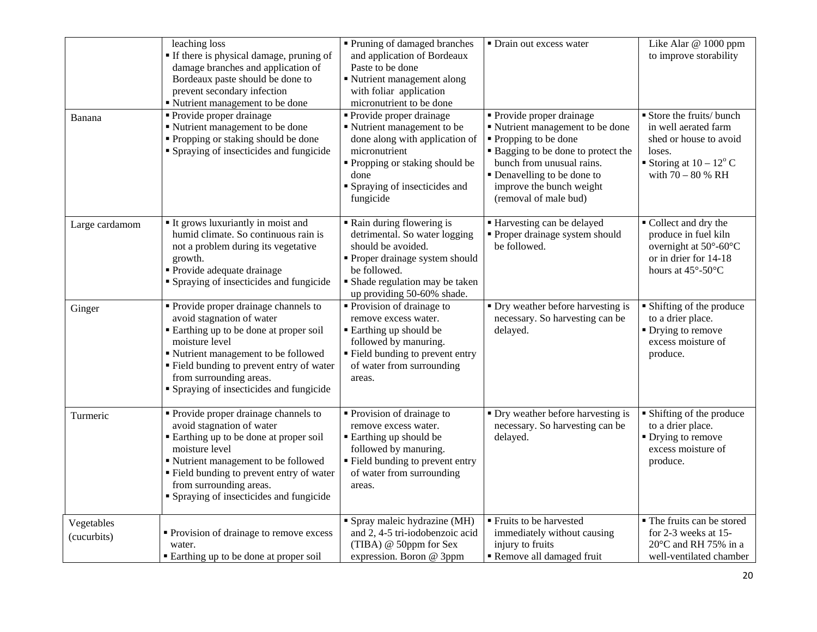|                           | leaching loss<br>If there is physical damage, pruning of<br>damage branches and application of<br>Bordeaux paste should be done to<br>prevent secondary infection<br>" Nutrient management to be done                                                                                     | • Pruning of damaged branches<br>and application of Bordeaux<br>Paste to be done<br>Nutrient management along<br>with foliar application<br>micronutrient to be done                                | • Drain out excess water                                                                                                                                                                                                                            | Like Alar @ 1000 ppm<br>to improve storability                                                                                                                 |
|---------------------------|-------------------------------------------------------------------------------------------------------------------------------------------------------------------------------------------------------------------------------------------------------------------------------------------|-----------------------------------------------------------------------------------------------------------------------------------------------------------------------------------------------------|-----------------------------------------------------------------------------------------------------------------------------------------------------------------------------------------------------------------------------------------------------|----------------------------------------------------------------------------------------------------------------------------------------------------------------|
| Banana                    | • Provide proper drainage<br>Nutrient management to be done<br>• Propping or staking should be done<br>• Spraying of insecticides and fungicide                                                                                                                                           | • Provide proper drainage<br>Nutrient management to be<br>done along with application of<br>micronutrient<br>Propping or staking should be<br>done<br>Spraying of insecticides and<br>fungicide     | • Provide proper drainage<br>" Nutrient management to be done<br>■ Propping to be done<br><b>Bagging to be done to protect the</b><br>bunch from unusual rains.<br>• Denavelling to be done to<br>improve the bunch weight<br>(removal of male bud) | Store the fruits/ bunch<br>in well aerated farm<br>shed or house to avoid<br>loses.<br>Storing at $10 - 12^{\circ}$ C<br>with $70 - 80$ % RH                   |
| Large cardamom            | It grows luxuriantly in moist and<br>humid climate. So continuous rain is<br>not a problem during its vegetative<br>growth.<br>• Provide adequate drainage<br>• Spraying of insecticides and fungicide                                                                                    | • Rain during flowering is<br>detrimental. So water logging<br>should be avoided.<br>Proper drainage system should<br>be followed.<br>· Shade regulation may be taken<br>up providing 50-60% shade. | Harvesting can be delayed<br>• Proper drainage system should<br>be followed.                                                                                                                                                                        | ■ Collect and dry the<br>produce in fuel kiln<br>overnight at $50^{\circ}$ -60 $^{\circ}$ C<br>or in drier for 14-18<br>hours at $45^{\circ}$ -50 $^{\circ}$ C |
| Ginger                    | • Provide proper drainage channels to<br>avoid stagnation of water<br>Earthing up to be done at proper soil<br>moisture level<br>" Nutrient management to be followed<br>• Field bunding to prevent entry of water<br>from surrounding areas.<br>• Spraying of insecticides and fungicide | • Provision of drainage to<br>remove excess water.<br><b>Earthing up should be</b><br>followed by manuring.<br>" Field bunding to prevent entry<br>of water from surrounding<br>areas.              | • Dry weather before harvesting is<br>necessary. So harvesting can be<br>delayed.                                                                                                                                                                   | • Shifting of the produce<br>to a drier place.<br>• Drying to remove<br>excess moisture of<br>produce.                                                         |
| Turmeric                  | • Provide proper drainage channels to<br>avoid stagnation of water<br>Earthing up to be done at proper soil<br>moisture level<br>Nutrient management to be followed<br>Field bunding to prevent entry of water<br>from surrounding areas.<br>• Spraying of insecticides and fungicide     | • Provision of drainage to<br>remove excess water.<br><b>Earthing up should be</b><br>followed by manuring.<br>" Field bunding to prevent entry<br>of water from surrounding<br>areas.              | • Dry weather before harvesting is<br>necessary. So harvesting can be<br>delayed.                                                                                                                                                                   | • Shifting of the produce<br>to a drier place.<br>• Drying to remove<br>excess moisture of<br>produce.                                                         |
| Vegetables<br>(cucurbits) | • Provision of drainage to remove excess<br>water.<br>Earthing up to be done at proper soil                                                                                                                                                                                               | Spray maleic hydrazine $(MH)$<br>and 2, 4-5 tri-iodobenzoic acid<br>(TIBA) @ 50ppm for Sex<br>expression. Boron @ 3ppm                                                                              | Fruits to be harvested<br>immediately without causing<br>injury to fruits<br>Remove all damaged fruit                                                                                                                                               | • The fruits can be stored<br>for 2-3 weeks at 15-<br>$20^{\circ}$ C and RH 75% in a<br>well-ventilated chamber                                                |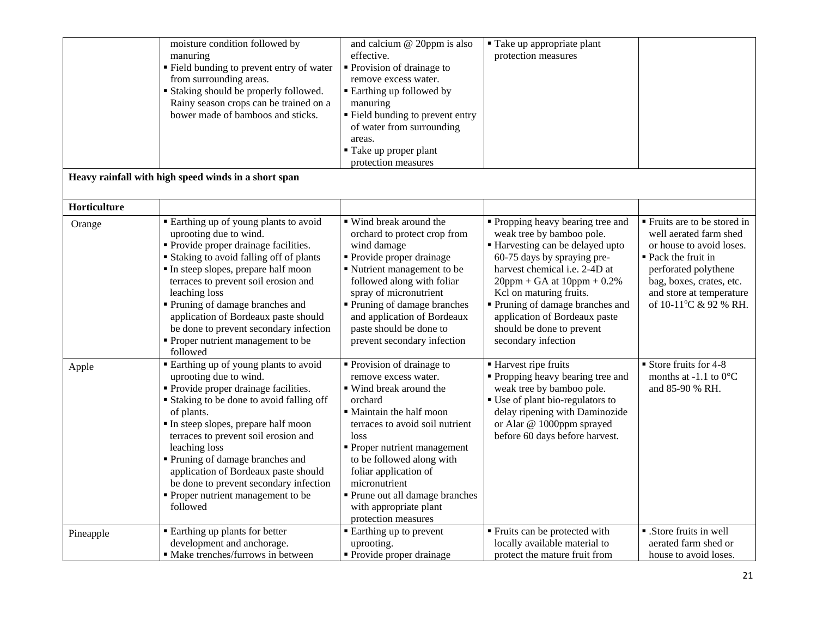|              | moisture condition followed by<br>manuring<br>" Field bunding to prevent entry of water<br>from surrounding areas.<br><b>Staking should be properly followed.</b><br>Rainy season crops can be trained on a<br>bower made of bamboos and sticks.                                                                                                                                                                                           | and calcium @ 20ppm is also<br>effective.<br>• Provision of drainage to<br>remove excess water.<br><b>Earthing up followed by</b><br>manuring<br>" Field bunding to prevent entry<br>of water from surrounding<br>areas.<br>Take up proper plant<br>protection measures                                                                                | ■ Take up appropriate plant<br>protection measures                                                                                                                                                                                                                                                                                                     |                                                                                                                                                                                                                    |
|--------------|--------------------------------------------------------------------------------------------------------------------------------------------------------------------------------------------------------------------------------------------------------------------------------------------------------------------------------------------------------------------------------------------------------------------------------------------|--------------------------------------------------------------------------------------------------------------------------------------------------------------------------------------------------------------------------------------------------------------------------------------------------------------------------------------------------------|--------------------------------------------------------------------------------------------------------------------------------------------------------------------------------------------------------------------------------------------------------------------------------------------------------------------------------------------------------|--------------------------------------------------------------------------------------------------------------------------------------------------------------------------------------------------------------------|
|              | Heavy rainfall with high speed winds in a short span                                                                                                                                                                                                                                                                                                                                                                                       |                                                                                                                                                                                                                                                                                                                                                        |                                                                                                                                                                                                                                                                                                                                                        |                                                                                                                                                                                                                    |
| Horticulture |                                                                                                                                                                                                                                                                                                                                                                                                                                            |                                                                                                                                                                                                                                                                                                                                                        |                                                                                                                                                                                                                                                                                                                                                        |                                                                                                                                                                                                                    |
| Orange       | • Earthing up of young plants to avoid<br>uprooting due to wind.<br>• Provide proper drainage facilities.<br><b>Staking to avoid falling off of plants</b><br>In steep slopes, prepare half moon<br>terraces to prevent soil erosion and<br>leaching loss<br>Pruning of damage branches and<br>application of Bordeaux paste should<br>be done to prevent secondary infection<br>• Proper nutrient management to be<br>followed            | ■ Wind break around the<br>orchard to protect crop from<br>wind damage<br>• Provide proper drainage<br>Nutrient management to be<br>followed along with foliar<br>spray of micronutrient<br>• Pruning of damage branches<br>and application of Bordeaux<br>paste should be done to<br>prevent secondary infection                                      | • Propping heavy bearing tree and<br>weak tree by bamboo pole.<br>Harvesting can be delayed upto<br>60-75 days by spraying pre-<br>harvest chemical i.e. 2-4D at<br>$20$ ppm + GA at $10$ ppm + 0.2%<br>Kel on maturing fruits.<br>Pruning of damage branches and<br>application of Bordeaux paste<br>should be done to prevent<br>secondary infection | ■ Fruits are to be stored in<br>well aerated farm shed<br>or house to avoid loses.<br>• Pack the fruit in<br>perforated polythene<br>bag, boxes, crates, etc.<br>and store at temperature<br>of 10-11°C & 92 % RH. |
| Apple        | Earthing up of young plants to avoid<br>uprooting due to wind.<br>• Provide proper drainage facilities.<br><b>Staking to be done to avoid falling off</b><br>of plants.<br>In steep slopes, prepare half moon<br>terraces to prevent soil erosion and<br>leaching loss<br>Pruning of damage branches and<br>application of Bordeaux paste should<br>be done to prevent secondary infection<br>Proper nutrient management to be<br>followed | • Provision of drainage to<br>remove excess water.<br>• Wind break around the<br>orchard<br>• Maintain the half moon<br>terraces to avoid soil nutrient<br>loss<br>Proper nutrient management<br>to be followed along with<br>foliar application of<br>micronutrient<br>Prune out all damage branches<br>with appropriate plant<br>protection measures | ■ Harvest ripe fruits<br>• Propping heavy bearing tree and<br>weak tree by bamboo pole.<br>• Use of plant bio-regulators to<br>delay ripening with Daminozide<br>or Alar @ 1000ppm sprayed<br>before 60 days before harvest.                                                                                                                           | $\blacksquare$ Store fruits for 4-8<br>months at -1.1 to $0^{\circ}$ C<br>and 85-90 % RH.                                                                                                                          |
| Pineapple    | <b>Earthing up plants for better</b><br>development and anchorage.<br>· Make trenches/furrows in between                                                                                                                                                                                                                                                                                                                                   | • Earthing up to prevent<br>uprooting.<br>• Provide proper drainage                                                                                                                                                                                                                                                                                    | Fruits can be protected with<br>locally available material to<br>protect the mature fruit from                                                                                                                                                                                                                                                         | ■ .Store fruits in well<br>aerated farm shed or<br>house to avoid loses.                                                                                                                                           |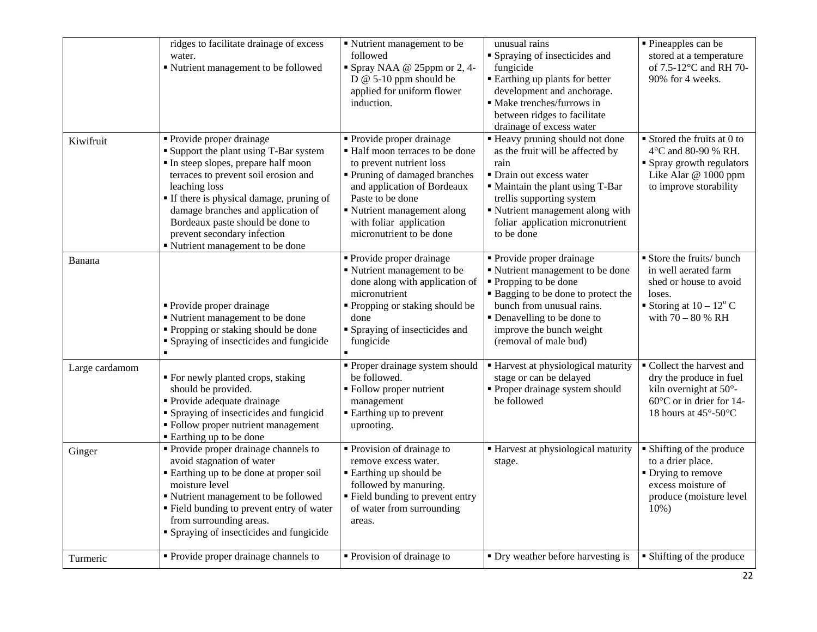|                | ridges to facilitate drainage of excess<br>water.<br>" Nutrient management to be followed                                                                                                                                                                                                                                                                | • Nutrient management to be<br>followed<br>Spray NAA @ 25ppm or 2, 4-<br>D $@$ 5-10 ppm should be<br>applied for uniform flower<br>induction.                                                                                                                  | unusual rains<br>• Spraying of insecticides and<br>fungicide<br><b>Earthing up plants for better</b><br>development and anchorage.<br>· Make trenches/furrows in<br>between ridges to facilitate<br>drainage of excess water                                   | · Pineapples can be<br>stored at a temperature<br>of 7.5-12°C and RH 70-<br>90% for 4 weeks.                                                                    |
|----------------|----------------------------------------------------------------------------------------------------------------------------------------------------------------------------------------------------------------------------------------------------------------------------------------------------------------------------------------------------------|----------------------------------------------------------------------------------------------------------------------------------------------------------------------------------------------------------------------------------------------------------------|----------------------------------------------------------------------------------------------------------------------------------------------------------------------------------------------------------------------------------------------------------------|-----------------------------------------------------------------------------------------------------------------------------------------------------------------|
| Kiwifruit      | • Provide proper drainage<br>Support the plant using T-Bar system<br>In steep slopes, prepare half moon<br>terraces to prevent soil erosion and<br>leaching loss<br>If there is physical damage, pruning of<br>damage branches and application of<br>Bordeaux paste should be done to<br>prevent secondary infection<br>" Nutrient management to be done | • Provide proper drainage<br>• Half moon terraces to be done<br>to prevent nutrient loss<br>Pruning of damaged branches<br>and application of Bordeaux<br>Paste to be done<br>Nutrient management along<br>with foliar application<br>micronutrient to be done | " Heavy pruning should not done<br>as the fruit will be affected by<br>rain<br>• Drain out excess water<br>• Maintain the plant using T-Bar<br>trellis supporting system<br>" Nutrient management along with<br>foliar application micronutrient<br>to be done | $\blacksquare$ Stored the fruits at 0 to<br>4°C and 80-90 % RH.<br>• Spray growth regulators<br>Like Alar @ 1000 ppm<br>to improve storability                  |
| Banana         | • Provide proper drainage<br>Nutrient management to be done<br>• Propping or staking should be done<br>• Spraying of insecticides and fungicide<br>$\blacksquare$                                                                                                                                                                                        | • Provide proper drainage<br>Nutrient management to be<br>done along with application of<br>micronutrient<br>• Propping or staking should be<br>done<br>• Spraying of insecticides and<br>fungicide                                                            | • Provide proper drainage<br>" Nutrient management to be done<br>• Propping to be done<br>" Bagging to be done to protect the<br>bunch from unusual rains.<br>• Denavelling to be done to<br>improve the bunch weight<br>(removal of male bud)                 | Store the fruits/ bunch<br>in well aerated farm<br>shed or house to avoid<br>loses.<br>Storing at $10 - 12^{\circ}$ C<br>with $70 - 80$ % RH                    |
| Large cardamom | " For newly planted crops, staking<br>should be provided.<br>• Provide adequate drainage<br>• Spraying of insecticides and fungicid<br>• Follow proper nutrient management<br>■ Earthing up to be done                                                                                                                                                   | • Proper drainage system should<br>be followed.<br>• Follow proper nutrient<br>management<br>■ Earthing up to prevent<br>uprooting.                                                                                                                            | ■ Harvest at physiological maturity<br>stage or can be delayed<br>• Proper drainage system should<br>be followed                                                                                                                                               | Collect the harvest and<br>dry the produce in fuel<br>kiln overnight at 50°-<br>$60^{\circ}$ C or in drier for 14-<br>18 hours at $45^{\circ}$ -50 $^{\circ}$ C |
| Ginger         | Provide proper drainage channels to<br>avoid stagnation of water<br>Earthing up to be done at proper soil<br>moisture level<br>Nutrient management to be followed<br>" Field bunding to prevent entry of water<br>from surrounding areas.<br>• Spraying of insecticides and fungicide                                                                    | • Provision of drainage to<br>remove excess water.<br>■ Earthing up should be<br>followed by manuring.<br>" Field bunding to prevent entry<br>of water from surrounding<br>areas.                                                                              | Harvest at physiological maturity<br>stage.                                                                                                                                                                                                                    | • Shifting of the produce<br>to a drier place.<br>• Drying to remove<br>excess moisture of<br>produce (moisture level<br>$10\%$ )                               |
| Turmeric       | • Provide proper drainage channels to                                                                                                                                                                                                                                                                                                                    | • Provision of drainage to                                                                                                                                                                                                                                     | • Dry weather before harvesting is                                                                                                                                                                                                                             | • Shifting of the produce                                                                                                                                       |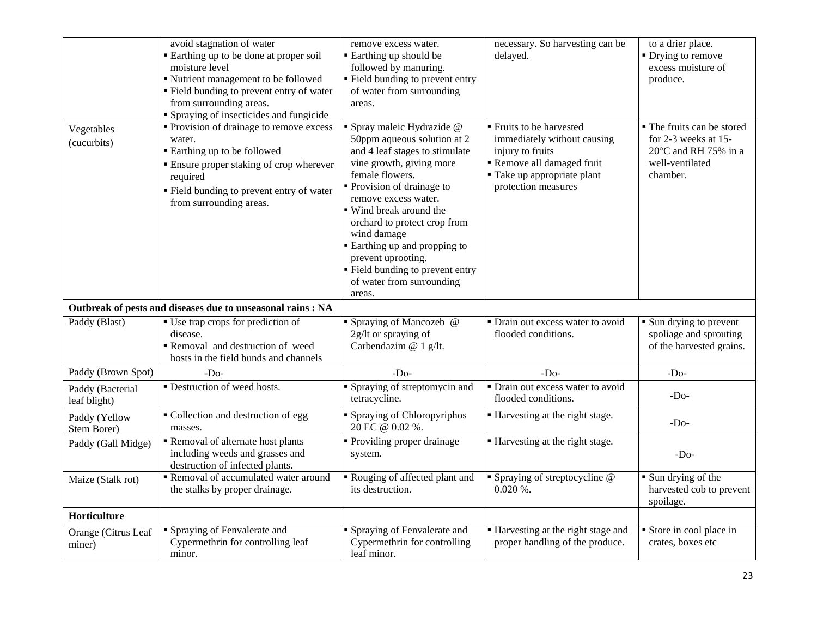|                                  | avoid stagnation of water<br>Earthing up to be done at proper soil<br>moisture level<br>Nutrient management to be followed<br>Field bunding to prevent entry of water<br>from surrounding areas.<br>• Spraying of insecticides and fungicide | remove excess water.<br><b>Earthing up should be</b><br>followed by manuring.<br>Field bunding to prevent entry<br>of water from surrounding<br>areas.                                                                                                                                                                                                                                                 | necessary. So harvesting can be<br>delayed.                                                                                                                   | to a drier place.<br>• Drying to remove<br>excess moisture of<br>produce.                                           |
|----------------------------------|----------------------------------------------------------------------------------------------------------------------------------------------------------------------------------------------------------------------------------------------|--------------------------------------------------------------------------------------------------------------------------------------------------------------------------------------------------------------------------------------------------------------------------------------------------------------------------------------------------------------------------------------------------------|---------------------------------------------------------------------------------------------------------------------------------------------------------------|---------------------------------------------------------------------------------------------------------------------|
| Vegetables<br>(cucurbits)        | • Provision of drainage to remove excess<br>water.<br><b>Earthing up to be followed</b><br><b>Ensure proper staking of crop wherever</b><br>required<br>" Field bunding to prevent entry of water<br>from surrounding areas.                 | Spray maleic Hydrazide @<br>50ppm aqueous solution at 2<br>and 4 leaf stages to stimulate<br>vine growth, giving more<br>female flowers.<br>Provision of drainage to<br>remove excess water.<br>■ Wind break around the<br>orchard to protect crop from<br>wind damage<br>Earthing up and propping to<br>prevent uprooting.<br>• Field bunding to prevent entry<br>of water from surrounding<br>areas. | ■ Fruits to be harvested<br>immediately without causing<br>injury to fruits<br>Remove all damaged fruit<br>" Take up appropriate plant<br>protection measures | • The fruits can be stored<br>for 2-3 weeks at 15-<br>$20^{\circ}$ C and RH 75% in a<br>well-ventilated<br>chamber. |
|                                  | Outbreak of pests and diseases due to unseasonal rains : NA                                                                                                                                                                                  |                                                                                                                                                                                                                                                                                                                                                                                                        |                                                                                                                                                               |                                                                                                                     |
| Paddy (Blast)                    | • Use trap crops for prediction of<br>disease.<br>Removal and destruction of weed<br>hosts in the field bunds and channels                                                                                                                   | • Spraying of Mancozeb @<br>2g/lt or spraying of<br>Carbendazim @ 1 g/lt.                                                                                                                                                                                                                                                                                                                              | • Drain out excess water to avoid<br>flooded conditions.                                                                                                      | • Sun drying to prevent<br>spoliage and sprouting<br>of the harvested grains.                                       |
| Paddy (Brown Spot)               | $-Do-$                                                                                                                                                                                                                                       | $-DO$                                                                                                                                                                                                                                                                                                                                                                                                  | $-Do-$                                                                                                                                                        | $-Do-$                                                                                                              |
| Paddy (Bacterial<br>leaf blight) | Destruction of weed hosts.                                                                                                                                                                                                                   | Spraying of streptomycin and<br>tetracycline.                                                                                                                                                                                                                                                                                                                                                          | • Drain out excess water to avoid<br>flooded conditions.                                                                                                      | $-Do-$                                                                                                              |
| Paddy (Yellow<br>Stem Borer)     | • Collection and destruction of egg<br>masses.                                                                                                                                                                                               | <b>Spraying of Chloropyriphos</b><br>20 EC @ 0.02 %.                                                                                                                                                                                                                                                                                                                                                   | ■ Harvesting at the right stage.                                                                                                                              | $-DO$                                                                                                               |
| Paddy (Gall Midge)               | Removal of alternate host plants<br>including weeds and grasses and<br>destruction of infected plants.                                                                                                                                       | • Providing proper drainage<br>system.                                                                                                                                                                                                                                                                                                                                                                 | Harvesting at the right stage.                                                                                                                                | $-Do-$                                                                                                              |
| Maize (Stalk rot)                | Removal of accumulated water around<br>the stalks by proper drainage.                                                                                                                                                                        | Rouging of affected plant and<br>its destruction.                                                                                                                                                                                                                                                                                                                                                      | $\blacksquare$ Spraying of streptocycline @<br>$0.020\%$ .                                                                                                    | Sun drying of the<br>harvested cob to prevent<br>spoilage.                                                          |
| Horticulture                     |                                                                                                                                                                                                                                              |                                                                                                                                                                                                                                                                                                                                                                                                        |                                                                                                                                                               |                                                                                                                     |
| Orange (Citrus Leaf<br>miner)    | • Spraying of Fenvalerate and<br>Cypermethrin for controlling leaf<br>minor.                                                                                                                                                                 | Spraying of Fenvalerate and<br>Cypermethrin for controlling<br>leaf minor.                                                                                                                                                                                                                                                                                                                             | ■ Harvesting at the right stage and<br>proper handling of the produce.                                                                                        | Store in cool place in<br>crates, boxes etc                                                                         |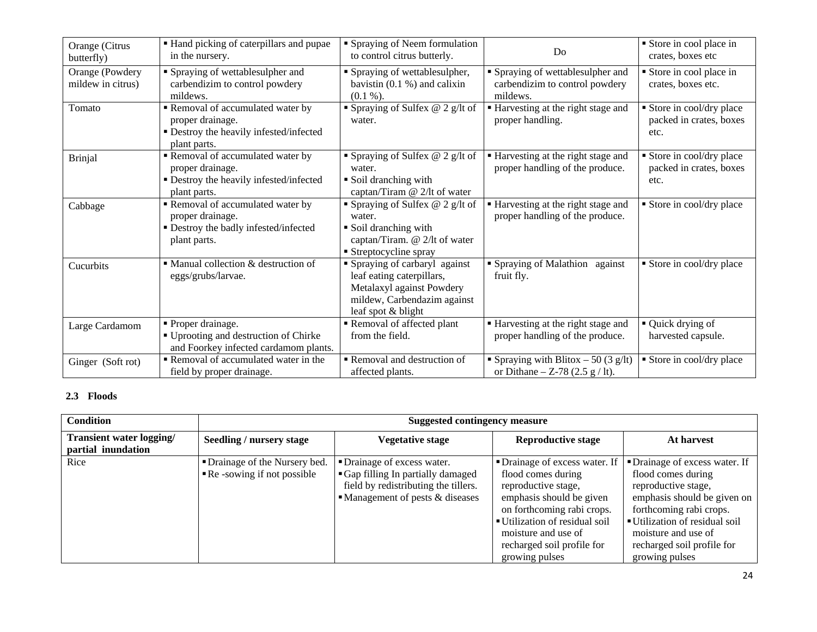| Orange (Citrus<br>butterfly)         | " Hand picking of caterpillars and pupae<br>in the nursery.                                                    | • Spraying of Neem formulation<br>to control citrus butterly.                                                                               | Do                                                                                              | Store in cool place in<br>crates, boxes etc                  |
|--------------------------------------|----------------------------------------------------------------------------------------------------------------|---------------------------------------------------------------------------------------------------------------------------------------------|-------------------------------------------------------------------------------------------------|--------------------------------------------------------------|
| Orange (Powdery<br>mildew in citrus) | • Spraying of wettablesulpher and<br>carbendizim to control powdery<br>mildews.                                | • Spraying of wettablesulpher,<br>bavistin $(0.1 %)$ and calixin<br>$(0.1\%).$                                                              | • Spraying of wettablesulpher and<br>carbendizim to control powdery<br>mildews.                 | Store in cool place in<br>crates, boxes etc.                 |
| Tomato                               | Removal of accumulated water by<br>proper drainage.<br>• Destroy the heavily infested/infected<br>plant parts. | • Spraying of Sulfex $@$ 2 g/lt of<br>water.                                                                                                | Harvesting at the right stage and<br>proper handling.                                           | Store in cool/dry place<br>packed in crates, boxes<br>etc.   |
| <b>Brinjal</b>                       | Removal of accumulated water by<br>proper drainage.<br>· Destroy the heavily infested/infected<br>plant parts. | • Spraying of Sulfex $@$ 2 g/lt of<br>water.<br>• Soil dranching with<br>captan/Tiram @ 2/lt of water                                       | ■ Harvesting at the right stage and<br>proper handling of the produce.                          | • Store in cool/dry place<br>packed in crates, boxes<br>etc. |
| Cabbage                              | Removal of accumulated water by<br>proper drainage.<br>• Destroy the badly infested/infected<br>plant parts.   | • Spraying of Sulfex $@$ 2 g/lt of<br>water.<br>• Soil dranching with<br>captan/Tiram. @ 2/lt of water<br>• Streptocycline spray            | Harvesting at the right stage and<br>proper handling of the produce.                            | Store in cool/dry place                                      |
| Cucurbits                            | $\blacksquare$ Manual collection & destruction of<br>eggs/grubs/larvae.                                        | Spraying of carbaryl against<br>leaf eating caterpillars,<br>Metalaxyl against Powdery<br>mildew, Carbendazim against<br>leaf spot & blight | • Spraying of Malathion against<br>fruit fly.                                                   | Store in cool/dry place                                      |
| Large Cardamom                       | • Proper drainage.<br>■ Uprooting and destruction of Chirke<br>and Foorkey infected cardamom plants.           | Removal of affected plant<br>from the field.                                                                                                | Harvesting at the right stage and<br>proper handling of the produce.                            | ■ Quick drying of<br>harvested capsule.                      |
| Ginger (Soft rot)                    | Removal of accumulated water in the<br>field by proper drainage.                                               | Removal and destruction of<br>affected plants.                                                                                              | Spraying with Blitox $-50(3 \text{ g/lt})$<br>or Dithane – Z-78 $(2.5 \text{ g} / \text{lt})$ . | Store in cool/dry place                                      |

## **2.3 Floods**

| <b>Condition</b>                                      | <b>Suggested contingency measure</b>                                                           |                                                                                                                                                            |                                                                                                                                                                                                                                                |                                                                                                                                                                                                                                                |  |
|-------------------------------------------------------|------------------------------------------------------------------------------------------------|------------------------------------------------------------------------------------------------------------------------------------------------------------|------------------------------------------------------------------------------------------------------------------------------------------------------------------------------------------------------------------------------------------------|------------------------------------------------------------------------------------------------------------------------------------------------------------------------------------------------------------------------------------------------|--|
| <b>Transient water logging/</b><br>partial inundation | Seedling / nursery stage<br><b>Vegetative stage</b><br><b>Reproductive stage</b><br>At harvest |                                                                                                                                                            |                                                                                                                                                                                                                                                |                                                                                                                                                                                                                                                |  |
| Rice                                                  | • Drainage of the Nursery bed.<br>$\blacksquare$ Re -sowing if not possible                    | • Drainage of excess water.<br>• Gap filling In partially damaged<br>field by redistributing the tillers.<br>$\blacksquare$ Management of pests & diseases | • Drainage of excess water. If<br>flood comes during<br>reproductive stage,<br>emphasis should be given<br>on forthcoming rabi crops.<br>■ Utilization of residual soil<br>moisture and use of<br>recharged soil profile for<br>growing pulses | • Drainage of excess water. If<br>flood comes during<br>reproductive stage,<br>emphasis should be given on<br>forthcoming rabi crops.<br>■ Utilization of residual soil<br>moisture and use of<br>recharged soil profile for<br>growing pulses |  |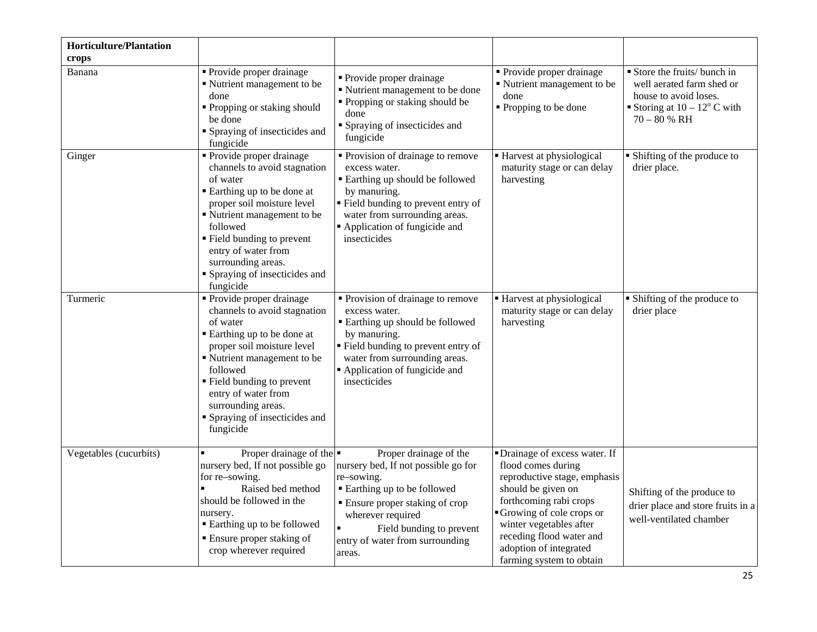| <b>Horticulture/Plantation</b><br>crops |                                                                                                                                                                                                                                                                                                       |                                                                                                                                                                                                                                              |                                                                                                                                                                                                                                                                               |                                                                                                                                           |
|-----------------------------------------|-------------------------------------------------------------------------------------------------------------------------------------------------------------------------------------------------------------------------------------------------------------------------------------------------------|----------------------------------------------------------------------------------------------------------------------------------------------------------------------------------------------------------------------------------------------|-------------------------------------------------------------------------------------------------------------------------------------------------------------------------------------------------------------------------------------------------------------------------------|-------------------------------------------------------------------------------------------------------------------------------------------|
| Banana                                  | Provide proper drainage<br>• Nutrient management to be<br>done<br>• Propping or staking should<br>be done<br>• Spraying of insecticides and<br>fungicide                                                                                                                                              | • Provide proper drainage<br>■ Nutrient management to be done<br>• Propping or staking should be<br>done<br>• Spraying of insecticides and<br>fungicide                                                                                      | • Provide proper drainage<br>Nutrient management to be<br>done<br>• Propping to be done                                                                                                                                                                                       | Store the fruits/ bunch in<br>well aerated farm shed or<br>house to avoid loses.<br>Storing at $10 - 12^{\circ}$ C with<br>$70 - 80 %$ RH |
| Ginger                                  | • Provide proper drainage<br>channels to avoid stagnation<br>of water<br>■ Earthing up to be done at<br>proper soil moisture level<br>• Nutrient management to be<br>followed<br>■ Field bunding to prevent<br>entry of water from<br>surrounding areas.<br>Spraying of insecticides and<br>fungicide | • Provision of drainage to remove<br>excess water.<br><b>Earthing up should be followed</b><br>by manuring.<br>" Field bunding to prevent entry of<br>water from surrounding areas.<br>Application of fungicide and<br>insecticides          | • Harvest at physiological<br>maturity stage or can delay<br>harvesting                                                                                                                                                                                                       | • Shifting of the produce to<br>drier place.                                                                                              |
| Turmeric                                | • Provide proper drainage<br>channels to avoid stagnation<br>of water<br>Earthing up to be done at<br>proper soil moisture level<br>• Nutrient management to be<br>followed<br>■ Field bunding to prevent<br>entry of water from<br>surrounding areas.<br>Spraying of insecticides and<br>fungicide   | • Provision of drainage to remove<br>excess water.<br><b>Earthing up should be followed</b><br>by manuring.<br>" Field bunding to prevent entry of<br>water from surrounding areas.<br>Application of fungicide and<br>insecticides          | ■ Harvest at physiological<br>maturity stage or can delay<br>harvesting                                                                                                                                                                                                       | • Shifting of the produce to<br>drier place                                                                                               |
| Vegetables (cucurbits)                  | Proper drainage of the $\blacksquare$<br>nursery bed, If not possible go<br>for re–sowing.<br>Raised bed method<br>should be followed in the<br>nursery.<br>■ Earthing up to be followed<br>• Ensure proper staking of<br>crop wherever required                                                      | Proper drainage of the<br>nursery bed, If not possible go for<br>re-sowing.<br>■ Earthing up to be followed<br>• Ensure proper staking of crop<br>wherever required<br>Field bunding to prevent<br>entry of water from surrounding<br>areas. | • Drainage of excess water. If<br>flood comes during<br>reproductive stage, emphasis<br>should be given on<br>forthcoming rabi crops<br>Growing of cole crops or<br>winter vegetables after<br>receding flood water and<br>adoption of integrated<br>farming system to obtain | Shifting of the produce to<br>drier place and store fruits in a<br>well-ventilated chamber                                                |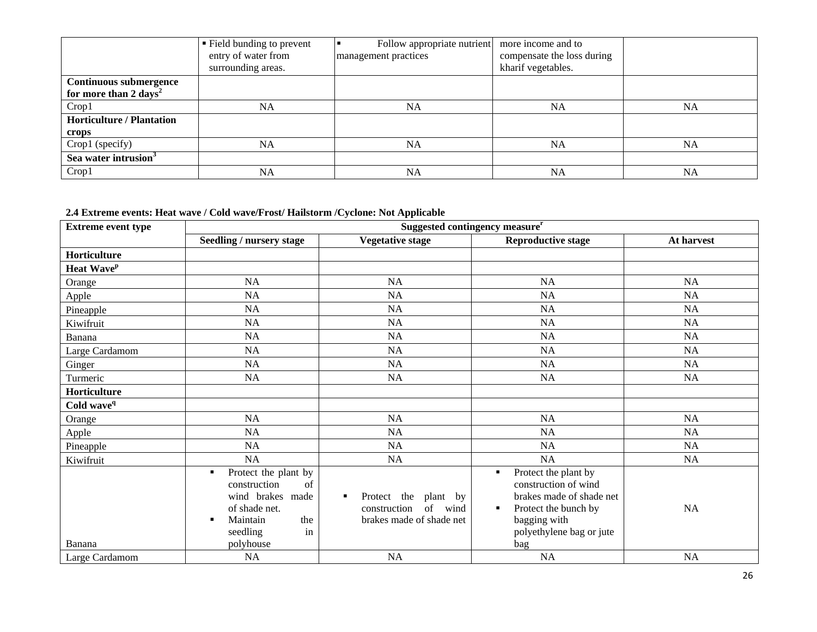|                                   | ■ Field bunding to prevent<br>entry of water from<br>surrounding areas. | Follow appropriate nutrient<br>management practices | more income and to<br>compensate the loss during<br>kharif vegetables. |    |
|-----------------------------------|-------------------------------------------------------------------------|-----------------------------------------------------|------------------------------------------------------------------------|----|
| <b>Continuous submergence</b>     |                                                                         |                                                     |                                                                        |    |
| for more than 2 days <sup>2</sup> |                                                                         |                                                     |                                                                        |    |
| Crop1                             | NA                                                                      | <b>NA</b>                                           | <b>NA</b>                                                              | NA |
| <b>Horticulture / Plantation</b>  |                                                                         |                                                     |                                                                        |    |
| crops                             |                                                                         |                                                     |                                                                        |    |
| Crop1 (specify)                   | NA                                                                      | <b>NA</b>                                           | <b>NA</b>                                                              | NA |
| Sea water intrusion <sup>3</sup>  |                                                                         |                                                     |                                                                        |    |
| Crop1                             | <b>NA</b>                                                               | NA                                                  | <b>NA</b>                                                              | NA |

#### **2.4 Extreme events: Heat wave / Cold wave/Frost/ Hailstorm /Cyclone: Not Applicable**

| <b>Extreme event type</b> | Suggested contingency measure <sup>r</sup>                                                                                                     |                                                                                        |                                                                                                                                                          |            |  |
|---------------------------|------------------------------------------------------------------------------------------------------------------------------------------------|----------------------------------------------------------------------------------------|----------------------------------------------------------------------------------------------------------------------------------------------------------|------------|--|
|                           | <b>Seedling / nursery stage</b>                                                                                                                | <b>Vegetative stage</b>                                                                | <b>Reproductive stage</b>                                                                                                                                | At harvest |  |
| Horticulture              |                                                                                                                                                |                                                                                        |                                                                                                                                                          |            |  |
| Heat Wave <sup>p</sup>    |                                                                                                                                                |                                                                                        |                                                                                                                                                          |            |  |
| Orange                    | <b>NA</b>                                                                                                                                      | <b>NA</b>                                                                              | <b>NA</b>                                                                                                                                                | NA         |  |
| Apple                     | <b>NA</b>                                                                                                                                      | NA                                                                                     | <b>NA</b>                                                                                                                                                | NA         |  |
| Pineapple                 | NA                                                                                                                                             | <b>NA</b>                                                                              | <b>NA</b>                                                                                                                                                | NA         |  |
| Kiwifruit                 | NA                                                                                                                                             | NA                                                                                     | NA                                                                                                                                                       | NA         |  |
| Banana                    | NA                                                                                                                                             | NA                                                                                     | NA                                                                                                                                                       | NA         |  |
| Large Cardamom            | NA                                                                                                                                             | NA                                                                                     | NA                                                                                                                                                       | NA         |  |
| Ginger                    | <b>NA</b>                                                                                                                                      | NA                                                                                     | NA                                                                                                                                                       | NA         |  |
| Turmeric                  | <b>NA</b>                                                                                                                                      | <b>NA</b>                                                                              | <b>NA</b>                                                                                                                                                | <b>NA</b>  |  |
| Horticulture              |                                                                                                                                                |                                                                                        |                                                                                                                                                          |            |  |
| Cold wave <sup>q</sup>    |                                                                                                                                                |                                                                                        |                                                                                                                                                          |            |  |
| Orange                    | NA                                                                                                                                             | <b>NA</b>                                                                              | NA                                                                                                                                                       | NA         |  |
| Apple                     | <b>NA</b>                                                                                                                                      | <b>NA</b>                                                                              | <b>NA</b>                                                                                                                                                | <b>NA</b>  |  |
| Pineapple                 | <b>NA</b>                                                                                                                                      | <b>NA</b>                                                                              | NA                                                                                                                                                       | <b>NA</b>  |  |
| Kiwifruit                 | NA                                                                                                                                             | <b>NA</b>                                                                              | NA                                                                                                                                                       | NA         |  |
| Banana                    | Protect the plant by<br>٠<br>construction<br>of<br>wind brakes<br>made<br>of shade net.<br>Maintain<br>the<br>п<br>seedling<br>in<br>polyhouse | Protect the<br>plant by<br>٠<br>of<br>wind<br>construction<br>brakes made of shade net | Protect the plant by<br>construction of wind<br>brakes made of shade net<br>Protect the bunch by<br>٠<br>bagging with<br>polyethylene bag or jute<br>bag | <b>NA</b>  |  |
| Large Cardamom            | NA                                                                                                                                             | NA                                                                                     | <b>NA</b>                                                                                                                                                | NA         |  |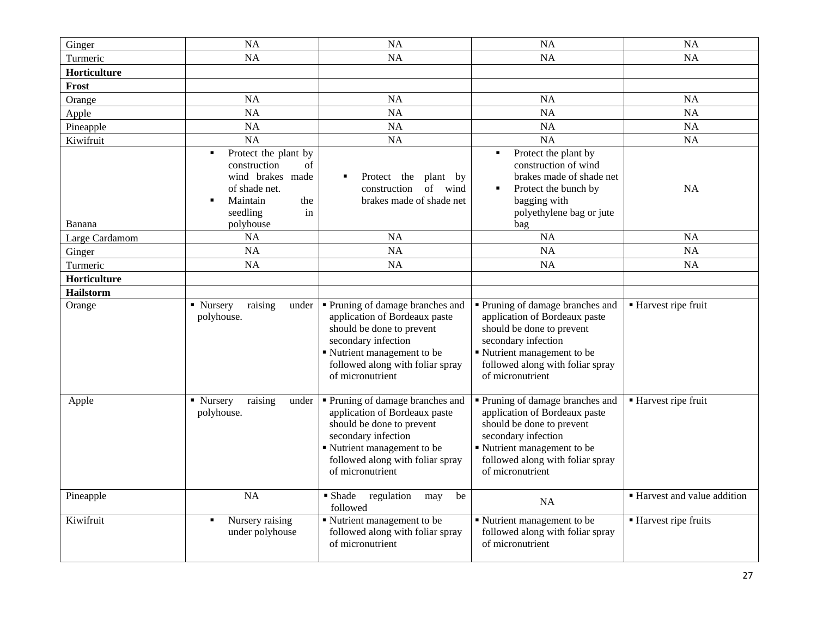| Ginger         | <b>NA</b>                                                                                                                                 | <b>NA</b>                                                                                                                                                                                                  | <b>NA</b>                                                                                                                                                                                                  | <b>NA</b>                    |
|----------------|-------------------------------------------------------------------------------------------------------------------------------------------|------------------------------------------------------------------------------------------------------------------------------------------------------------------------------------------------------------|------------------------------------------------------------------------------------------------------------------------------------------------------------------------------------------------------------|------------------------------|
| Turmeric       | NA                                                                                                                                        | <b>NA</b>                                                                                                                                                                                                  | <b>NA</b>                                                                                                                                                                                                  | <b>NA</b>                    |
| Horticulture   |                                                                                                                                           |                                                                                                                                                                                                            |                                                                                                                                                                                                            |                              |
| Frost          |                                                                                                                                           |                                                                                                                                                                                                            |                                                                                                                                                                                                            |                              |
| Orange         | <b>NA</b>                                                                                                                                 | <b>NA</b>                                                                                                                                                                                                  | <b>NA</b>                                                                                                                                                                                                  | <b>NA</b>                    |
| Apple          | <b>NA</b>                                                                                                                                 | <b>NA</b>                                                                                                                                                                                                  | <b>NA</b>                                                                                                                                                                                                  | NA                           |
| Pineapple      | NA                                                                                                                                        | <b>NA</b>                                                                                                                                                                                                  | NA                                                                                                                                                                                                         | <b>NA</b>                    |
| Kiwifruit      | <b>NA</b>                                                                                                                                 | <b>NA</b>                                                                                                                                                                                                  | NA                                                                                                                                                                                                         | NA                           |
| Banana         | Protect the plant by<br>٠<br>construction<br>of<br>wind brakes<br>made<br>of shade net.<br>Maintain<br>the<br>seedling<br>in<br>polyhouse | Protect the<br>plant by<br>of wind<br>construction<br>brakes made of shade net                                                                                                                             | Protect the plant by<br>construction of wind<br>brakes made of shade net<br>Protect the bunch by<br>bagging with<br>polyethylene bag or jute<br>bag                                                        | <b>NA</b>                    |
| Large Cardamom | <b>NA</b>                                                                                                                                 | <b>NA</b>                                                                                                                                                                                                  | <b>NA</b>                                                                                                                                                                                                  | <b>NA</b>                    |
| Ginger         | <b>NA</b>                                                                                                                                 | <b>NA</b>                                                                                                                                                                                                  | <b>NA</b>                                                                                                                                                                                                  | NA                           |
| Turmeric       | <b>NA</b>                                                                                                                                 | <b>NA</b>                                                                                                                                                                                                  | <b>NA</b>                                                                                                                                                                                                  | <b>NA</b>                    |
| Horticulture   |                                                                                                                                           |                                                                                                                                                                                                            |                                                                                                                                                                                                            |                              |
| Hailstorm      |                                                                                                                                           |                                                                                                                                                                                                            |                                                                                                                                                                                                            |                              |
| Orange         | • Nursery<br>raising<br>under<br>polyhouse.                                                                                               | • Pruning of damage branches and<br>application of Bordeaux paste<br>should be done to prevent<br>secondary infection<br>Nutrient management to be<br>followed along with foliar spray<br>of micronutrient | • Pruning of damage branches and<br>application of Bordeaux paste<br>should be done to prevent<br>secondary infection<br>Nutrient management to be<br>followed along with foliar spray<br>of micronutrient | ■ Harvest ripe fruit         |
| Apple          | • Nursery<br>raising<br>under<br>polyhouse.                                                                                               | Pruning of damage branches and<br>application of Bordeaux paste<br>should be done to prevent<br>secondary infection<br>Nutrient management to be<br>followed along with foliar spray<br>of micronutrient   | Pruning of damage branches and<br>application of Bordeaux paste<br>should be done to prevent<br>secondary infection<br>Nutrient management to be<br>followed along with foliar spray<br>of micronutrient   | ■ Harvest ripe fruit         |
| Pineapple      | <b>NA</b>                                                                                                                                 | ■ Shade<br>regulation<br>be<br>may<br>followed                                                                                                                                                             | <b>NA</b>                                                                                                                                                                                                  | • Harvest and value addition |
| Kiwifruit      | Nursery raising<br>٠<br>under polyhouse                                                                                                   | Nutrient management to be<br>followed along with foliar spray<br>of micronutrient                                                                                                                          | Nutrient management to be<br>followed along with foliar spray<br>of micronutrient                                                                                                                          | ■ Harvest ripe fruits        |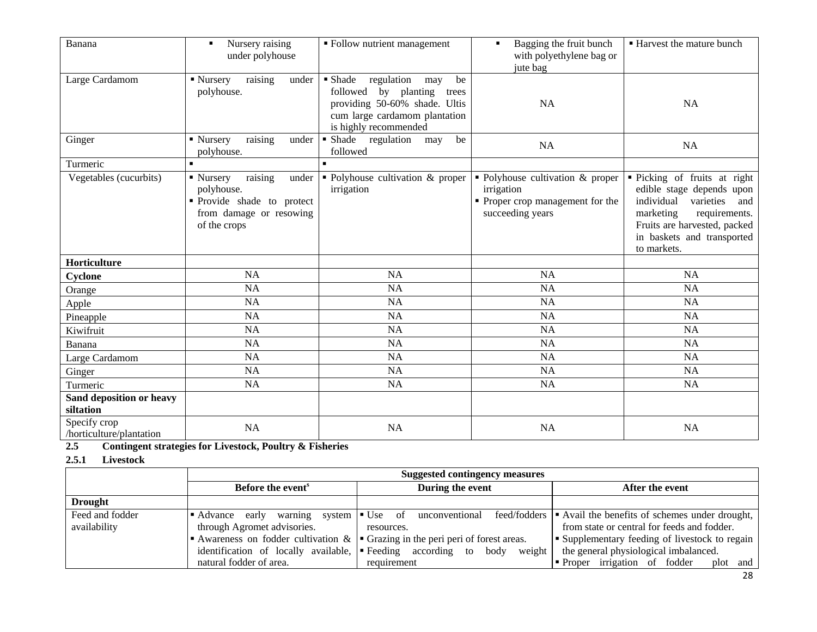| Banana                                   | Nursery raising<br>$\blacksquare$<br>under polyhouse                                                               | ■ Follow nutrient management                                                                                                                                      | Bagging the fruit bunch<br>$\blacksquare$<br>with polyethylene bag or<br>jute bag                      | <b>Harvest the mature bunch</b>                                                                                                                                                                        |
|------------------------------------------|--------------------------------------------------------------------------------------------------------------------|-------------------------------------------------------------------------------------------------------------------------------------------------------------------|--------------------------------------------------------------------------------------------------------|--------------------------------------------------------------------------------------------------------------------------------------------------------------------------------------------------------|
| Large Cardamom                           | raising<br>$\blacksquare$ Nursery<br>under<br>polyhouse.                                                           | • Shade<br>regulation<br>be<br>may<br>followed<br>by planting<br>trees<br>providing 50-60% shade. Ultis<br>cum large cardamom plantation<br>is highly recommended | <b>NA</b>                                                                                              | <b>NA</b>                                                                                                                                                                                              |
| Ginger                                   | raising<br>• Nursery<br>under<br>polyhouse.                                                                        | Shade<br>regulation<br>be<br>may<br>followed                                                                                                                      | NA                                                                                                     | <b>NA</b>                                                                                                                                                                                              |
| Turmeric                                 | $\blacksquare$                                                                                                     |                                                                                                                                                                   |                                                                                                        |                                                                                                                                                                                                        |
| Vegetables (cucurbits)                   | raising<br>• Nursery<br>under<br>polyhouse.<br>Provide shade to protect<br>from damage or resowing<br>of the crops | • Polyhouse cultivation & proper<br>irrigation                                                                                                                    | • Polyhouse cultivation & proper<br>irrigation<br>• Proper crop management for the<br>succeeding years | · Picking of fruits at right<br>edible stage depends upon<br>individual<br>varieties<br>and<br>marketing<br>requirements.<br>Fruits are harvested, packed<br>in baskets and transported<br>to markets. |
| Horticulture                             |                                                                                                                    |                                                                                                                                                                   |                                                                                                        |                                                                                                                                                                                                        |
| Cyclone                                  | <b>NA</b>                                                                                                          | <b>NA</b>                                                                                                                                                         | <b>NA</b>                                                                                              | <b>NA</b>                                                                                                                                                                                              |
| Orange                                   | <b>NA</b>                                                                                                          | <b>NA</b>                                                                                                                                                         | <b>NA</b>                                                                                              | <b>NA</b>                                                                                                                                                                                              |
| Apple                                    | <b>NA</b>                                                                                                          | <b>NA</b>                                                                                                                                                         | NA                                                                                                     | NA                                                                                                                                                                                                     |
| Pineapple                                | <b>NA</b>                                                                                                          | <b>NA</b>                                                                                                                                                         | NA                                                                                                     | <b>NA</b>                                                                                                                                                                                              |
| Kiwifruit                                | <b>NA</b>                                                                                                          | <b>NA</b>                                                                                                                                                         | NA                                                                                                     | <b>NA</b>                                                                                                                                                                                              |
| Banana                                   | <b>NA</b>                                                                                                          | <b>NA</b>                                                                                                                                                         | NA                                                                                                     | <b>NA</b>                                                                                                                                                                                              |
| Large Cardamom                           | <b>NA</b>                                                                                                          | <b>NA</b>                                                                                                                                                         | <b>NA</b>                                                                                              | <b>NA</b>                                                                                                                                                                                              |
| Ginger                                   | <b>NA</b>                                                                                                          | <b>NA</b>                                                                                                                                                         | NA                                                                                                     | <b>NA</b>                                                                                                                                                                                              |
| Turmeric                                 | <b>NA</b>                                                                                                          | <b>NA</b>                                                                                                                                                         | NA                                                                                                     | <b>NA</b>                                                                                                                                                                                              |
| Sand deposition or heavy<br>siltation    |                                                                                                                    |                                                                                                                                                                   |                                                                                                        |                                                                                                                                                                                                        |
| Specify crop<br>/horticulture/plantation | <b>NA</b>                                                                                                          | <b>NA</b>                                                                                                                                                         | <b>NA</b>                                                                                              | NA                                                                                                                                                                                                     |

- **2.5 Contingent strategies for Livestock, Poultry & Fisheries**
- **2.5.1 Livestock**

|                 | <b>Suggested contingency measures</b>                                                |                                                                                                    |                                                                                    |  |
|-----------------|--------------------------------------------------------------------------------------|----------------------------------------------------------------------------------------------------|------------------------------------------------------------------------------------|--|
|                 | Before the event <sup>s</sup>                                                        | During the event                                                                                   | After the event                                                                    |  |
| <b>Drought</b>  |                                                                                      |                                                                                                    |                                                                                    |  |
| Feed and fodder | warning system $\blacksquare$ Use of<br>Advance early                                |                                                                                                    | unconventional feed/fodders $\bullet$ Avail the benefits of schemes under drought, |  |
| availability    | through Agromet advisories.                                                          | resources.                                                                                         | from state or central for feeds and fodder.                                        |  |
|                 |                                                                                      | Awareness on fodder cultivation $\& \rvert \cdot \text{Grazing in the peri peri of forest areas.}$ | Supplementary feeding of livestock to regain                                       |  |
|                 | identification of locally available, $\blacktriangleright$ Feeding according to body | weight                                                                                             | the general physiological imbalanced.                                              |  |
|                 | natural fodder of area.                                                              | requirement                                                                                        | • Proper irrigation of fodder<br>plot and                                          |  |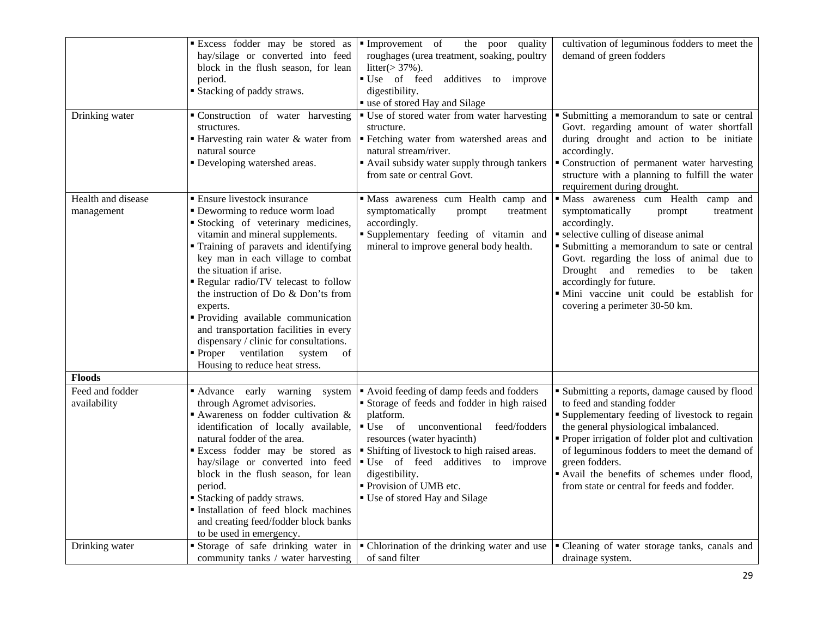|                                                   | Excess fodder may be stored as<br>hay/silage or converted into feed<br>block in the flush season, for lean<br>period.<br>■ Stacking of paddy straws.                                                                                                                                                                                                                                                                                                                                                                                                    | Improvement of<br>the poor<br>quality<br>roughages (urea treatment, soaking, poultry<br>litter $(>37\%)$ .<br>■ Use of feed<br>additives to improve<br>digestibility.<br>" use of stored Hay and Silage                                                                                                                                                                                                                                                                                                           | cultivation of leguminous fodders to meet the<br>demand of green fodders                                                                                                                                                                                                                                                                                                                                                                           |
|---------------------------------------------------|---------------------------------------------------------------------------------------------------------------------------------------------------------------------------------------------------------------------------------------------------------------------------------------------------------------------------------------------------------------------------------------------------------------------------------------------------------------------------------------------------------------------------------------------------------|-------------------------------------------------------------------------------------------------------------------------------------------------------------------------------------------------------------------------------------------------------------------------------------------------------------------------------------------------------------------------------------------------------------------------------------------------------------------------------------------------------------------|----------------------------------------------------------------------------------------------------------------------------------------------------------------------------------------------------------------------------------------------------------------------------------------------------------------------------------------------------------------------------------------------------------------------------------------------------|
| Drinking water                                    | Construction of water harvesting<br>structures.<br>natural source<br>• Developing watershed areas.                                                                                                                                                                                                                                                                                                                                                                                                                                                      | ■ Use of stored water from water harvesting<br>structure.<br>■ Harvesting rain water & water from $\vert$ ■ Fetching water from watershed areas and<br>natural stream/river.<br>Avail subsidy water supply through tankers<br>from sate or central Govt.                                                                                                                                                                                                                                                          | • Submitting a memorandum to sate or central<br>Govt. regarding amount of water shortfall<br>during drought and action to be initiate<br>accordingly.<br>" Construction of permanent water harvesting<br>structure with a planning to fulfill the water<br>requirement during drought.                                                                                                                                                             |
| Health and disease<br>management                  | <b>Ensure livestock insurance</b><br>• Deworming to reduce worm load<br>Stocking of veterinary medicines,<br>vitamin and mineral supplements.<br>Training of paravets and identifying<br>key man in each village to combat<br>the situation if arise.<br>Regular radio/TV telecast to follow<br>the instruction of Do & Don'ts from<br>experts.<br>· Providing available communication<br>and transportation facilities in every<br>dispensary / clinic for consultations.<br>ventilation<br>system<br>■ Proper<br>of<br>Housing to reduce heat stress. | · Mass awareness cum Health camp and<br>symptomatically<br>prompt<br>treatment<br>accordingly.<br>Supplementary feeding of vitamin and<br>mineral to improve general body health.                                                                                                                                                                                                                                                                                                                                 | · Mass awareness cum Health camp and<br>symptomatically<br>prompt<br>treatment<br>accordingly.<br>• selective culling of disease animal<br>• Submitting a memorandum to sate or central<br>Govt. regarding the loss of animal due to<br>Drought and remedies to be<br>taken<br>accordingly for future.<br>· Mini vaccine unit could be establish for<br>covering a perimeter 30-50 km.                                                             |
| <b>Floods</b>                                     |                                                                                                                                                                                                                                                                                                                                                                                                                                                                                                                                                         |                                                                                                                                                                                                                                                                                                                                                                                                                                                                                                                   |                                                                                                                                                                                                                                                                                                                                                                                                                                                    |
| Feed and fodder<br>availability<br>Drinking water | Advance early warning<br>system<br>through Agromet advisories.<br>Awareness on fodder cultivation $\&$<br>identification of locally available,<br>natural fodder of the area.<br>hay/silage or converted into feed<br>block in the flush season, for lean<br>period.<br><b>Stacking of paddy straws.</b><br>Installation of feed block machines<br>and creating feed/fodder block banks<br>to be used in emergency.                                                                                                                                     | Avoid feeding of damp feeds and fodders<br>Storage of feeds and fodder in high raised<br>platform.<br>$\bullet$ Use of<br>unconventional<br>feed/fodders<br>resources (water hyacinth)<br>Excess fodder may be stored as $\blacktriangleright$ Shifting of livestock to high raised areas.<br>Use of feed additives to improve<br>digestibility.<br>• Provision of UMB etc.<br>■ Use of stored Hay and Silage<br>Storage of safe drinking water in $\vert \cdot \vert$ Chlorination of the drinking water and use | • Submitting a reports, damage caused by flood<br>to feed and standing fodder<br><b>Supplementary feeding of livestock to regain</b><br>the general physiological imbalanced.<br>Proper irrigation of folder plot and cultivation<br>of leguminous fodders to meet the demand of<br>green fodders.<br>" Avail the benefits of schemes under flood,<br>from state or central for feeds and fodder.<br>• Cleaning of water storage tanks, canals and |
|                                                   | community tanks / water harvesting                                                                                                                                                                                                                                                                                                                                                                                                                                                                                                                      | of sand filter                                                                                                                                                                                                                                                                                                                                                                                                                                                                                                    | drainage system.                                                                                                                                                                                                                                                                                                                                                                                                                                   |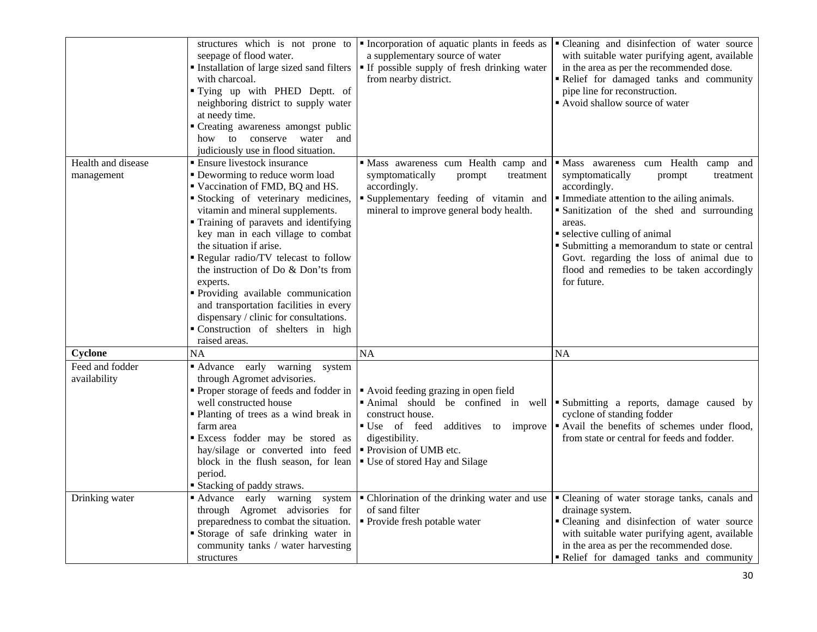|                                  | seepage of flood water.<br>Installation of large sized sand filters<br>with charcoal.<br>" Tying up with PHED Deptt. of<br>neighboring district to supply water<br>at needy time.<br>• Creating awareness amongst public<br>how to conserve water and<br>judiciously use in flood situation.                                                                                                                                                                                                                                                                        | structures which is not prone to <b>F</b> Incorporation of aquatic plants in feeds as<br>a supplementary source of water<br>" If possible supply of fresh drinking water<br>from nearby district.                    | • Cleaning and disinfection of water source<br>with suitable water purifying agent, available<br>in the area as per the recommended dose.<br>Relief for damaged tanks and community<br>pipe line for reconstruction.<br>Avoid shallow source of water                                                                                                                                            |
|----------------------------------|---------------------------------------------------------------------------------------------------------------------------------------------------------------------------------------------------------------------------------------------------------------------------------------------------------------------------------------------------------------------------------------------------------------------------------------------------------------------------------------------------------------------------------------------------------------------|----------------------------------------------------------------------------------------------------------------------------------------------------------------------------------------------------------------------|--------------------------------------------------------------------------------------------------------------------------------------------------------------------------------------------------------------------------------------------------------------------------------------------------------------------------------------------------------------------------------------------------|
| Health and disease<br>management | <b>Ensure livestock insurance</b><br>• Deworming to reduce worm load<br>■ Vaccination of FMD, BQ and HS.<br>Stocking of veterinary medicines,<br>vitamin and mineral supplements.<br>" Training of paravets and identifying<br>key man in each village to combat<br>the situation if arise.<br>Regular radio/TV telecast to follow<br>the instruction of Do & Don'ts from<br>experts.<br>Providing available communication<br>and transportation facilities in every<br>dispensary / clinic for consultations.<br>Construction of shelters in high<br>raised areas. | · Mass awareness cum Health camp and<br>symptomatically<br>prompt<br>treatment<br>accordingly.<br>Supplementary feeding of vitamin and<br>mineral to improve general body health.                                    | • Mass awareness cum Health camp and<br>symptomatically<br>prompt<br>treatment<br>accordingly.<br>• Immediate attention to the ailing animals.<br>Sanitization of the shed and surrounding<br>areas.<br>• selective culling of animal<br>• Submitting a memorandum to state or central<br>Govt. regarding the loss of animal due to<br>flood and remedies to be taken accordingly<br>for future. |
| Cyclone                          | NA                                                                                                                                                                                                                                                                                                                                                                                                                                                                                                                                                                  | <b>NA</b>                                                                                                                                                                                                            | <b>NA</b>                                                                                                                                                                                                                                                                                                                                                                                        |
| Feed and fodder<br>availability  | Advance early warning system<br>through Agromet advisories.<br>• Proper storage of feeds and fodder in<br>well constructed house<br>• Planting of trees as a wind break in<br>farm area<br>Excess fodder may be stored as<br>hay/silage or converted into feed<br>block in the flush season, for lean<br>period.<br><b>Stacking of paddy straws.</b>                                                                                                                                                                                                                | Avoid feeding grazing in open field<br>Animal should be confined in well<br>construct house.<br>■ Use of feed<br>additives to improve<br>digestibility.<br>• Provision of UMB etc.<br>■ Use of stored Hay and Silage | Submitting a reports, damage caused by<br>cyclone of standing fodder<br>• Avail the benefits of schemes under flood,<br>from state or central for feeds and fodder.                                                                                                                                                                                                                              |
| Drinking water                   | Advance early warning system<br>through Agromet advisories for<br>preparedness to combat the situation.<br>Storage of safe drinking water in<br>community tanks / water harvesting<br>structures                                                                                                                                                                                                                                                                                                                                                                    | • Chlorination of the drinking water and use<br>of sand filter<br>• Provide fresh potable water                                                                                                                      | " Cleaning of water storage tanks, canals and<br>drainage system.<br>• Cleaning and disinfection of water source<br>with suitable water purifying agent, available<br>in the area as per the recommended dose.<br>Relief for damaged tanks and community                                                                                                                                         |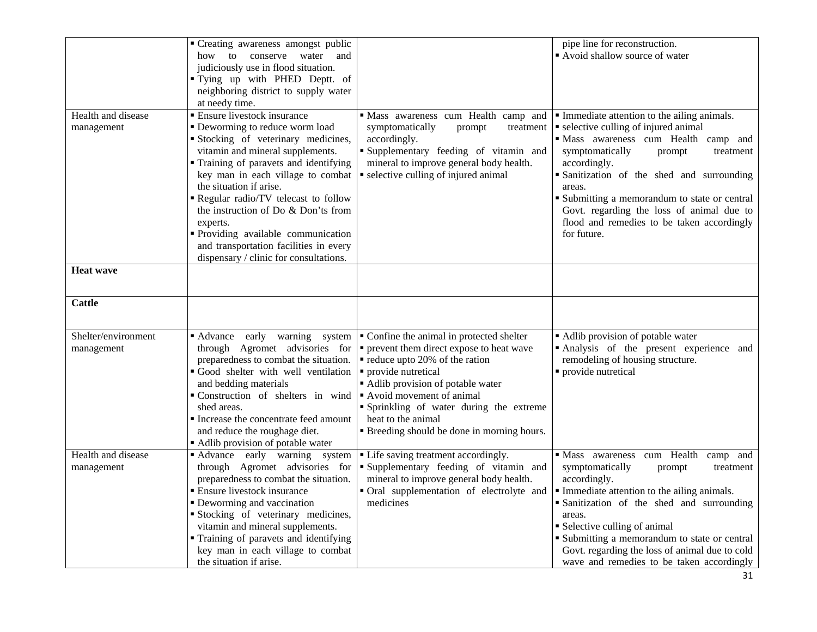|                                   | " Creating awareness amongst public<br>how to conserve water<br>and<br>judiciously use in flood situation.<br>" Tying up with PHED Deptt. of<br>neighboring district to supply water<br>at needy time.                                                                                                                                                                                                                                                                     |                                                                                                                                                                                                                                                                                                                                               | pipe line for reconstruction.<br>Avoid shallow source of water                                                                                                                                                                                                                                                                                                                                         |
|-----------------------------------|----------------------------------------------------------------------------------------------------------------------------------------------------------------------------------------------------------------------------------------------------------------------------------------------------------------------------------------------------------------------------------------------------------------------------------------------------------------------------|-----------------------------------------------------------------------------------------------------------------------------------------------------------------------------------------------------------------------------------------------------------------------------------------------------------------------------------------------|--------------------------------------------------------------------------------------------------------------------------------------------------------------------------------------------------------------------------------------------------------------------------------------------------------------------------------------------------------------------------------------------------------|
| Health and disease<br>management  | <b>Ensure livestock insurance</b><br>• Deworming to reduce worm load<br>Stocking of veterinary medicines,<br>vitamin and mineral supplements.<br>" Training of paravets and identifying<br>key man in each village to combat<br>the situation if arise.<br>Regular radio/TV telecast to follow<br>the instruction of Do & Don'ts from<br>experts.<br>Providing available communication<br>and transportation facilities in every<br>dispensary / clinic for consultations. | Mass awareness cum Health camp and<br>symptomatically<br>prompt<br>treatment<br>accordingly.<br>Supplementary feeding of vitamin and<br>mineral to improve general body health.<br>• selective culling of injured animal                                                                                                                      | Immediate attention to the ailing animals.<br>• selective culling of injured animal<br>· Mass awareness cum Health camp and<br>symptomatically<br>prompt<br>treatment<br>accordingly.<br>Sanitization of the shed and surrounding<br>areas.<br>• Submitting a memorandum to state or central<br>Govt. regarding the loss of animal due to<br>flood and remedies to be taken accordingly<br>for future. |
| <b>Heat wave</b>                  |                                                                                                                                                                                                                                                                                                                                                                                                                                                                            |                                                                                                                                                                                                                                                                                                                                               |                                                                                                                                                                                                                                                                                                                                                                                                        |
| Cattle                            |                                                                                                                                                                                                                                                                                                                                                                                                                                                                            |                                                                                                                                                                                                                                                                                                                                               |                                                                                                                                                                                                                                                                                                                                                                                                        |
| Shelter/environment<br>management | warning<br>■ Advance<br>early<br>system<br>through Agromet advisories for<br>preparedness to combat the situation.<br>Good shelter with well ventilation<br>and bedding materials<br>Construction of shelters in wind<br>shed areas.<br>Increase the concentrate feed amount<br>and reduce the roughage diet.<br>Adlib provision of potable water                                                                                                                          | • Confine the animal in protected shelter<br>• prevent them direct expose to heat wave<br>reduce upto 20% of the ration<br>· provide nutretical<br>Adlib provision of potable water<br>Avoid movement of animal<br>Sprinkling of water during the extreme<br>heat to the animal<br><b>Example 1</b> Breeding should be done in morning hours. | Adlib provision of potable water<br>· Analysis of the present experience and<br>remodeling of housing structure.<br>• provide nutretical                                                                                                                                                                                                                                                               |
| Health and disease<br>management  | Advance early warning system<br>through Agromet advisories for<br>preparedness to combat the situation.<br>■ Ensure livestock insurance<br>• Deworming and vaccination<br>Stocking of veterinary medicines,<br>vitamin and mineral supplements.<br>" Training of paravets and identifying<br>key man in each village to combat<br>the situation if arise.                                                                                                                  | • Life saving treatment accordingly.<br>Supplementary feeding of vitamin and<br>mineral to improve general body health.<br>• Oral supplementation of electrolyte and<br>medicines                                                                                                                                                             | Mass awareness cum Health camp and<br>symptomatically<br>prompt<br>treatment<br>accordingly.<br>Immediate attention to the ailing animals.<br>Sanitization of the shed and surrounding<br>areas.<br>• Selective culling of animal<br>• Submitting a memorandum to state or central<br>Govt. regarding the loss of animal due to cold<br>wave and remedies to be taken accordingly                      |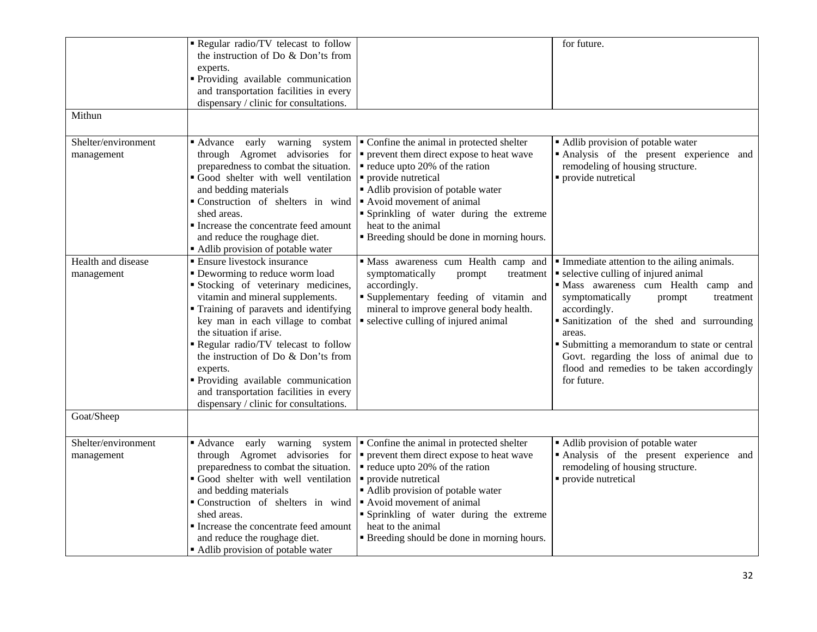| Mithun                            | Regular radio/TV telecast to follow<br>the instruction of Do & Don'ts from<br>experts.<br>Providing available communication<br>and transportation facilities in every<br>dispensary / clinic for consultations.                                                                                                                                                                                                                                                          |                                                                                                                                                                                                                                                                                                                                                                | for future.                                                                                                                                                                                                                                                                                                                                                                                            |
|-----------------------------------|--------------------------------------------------------------------------------------------------------------------------------------------------------------------------------------------------------------------------------------------------------------------------------------------------------------------------------------------------------------------------------------------------------------------------------------------------------------------------|----------------------------------------------------------------------------------------------------------------------------------------------------------------------------------------------------------------------------------------------------------------------------------------------------------------------------------------------------------------|--------------------------------------------------------------------------------------------------------------------------------------------------------------------------------------------------------------------------------------------------------------------------------------------------------------------------------------------------------------------------------------------------------|
| Shelter/environment<br>management | Advance early warning system<br>through Agromet advisories for<br>preparedness to combat the situation.<br>Good shelter with well ventilation<br>and bedding materials<br>Construction of shelters in wind<br>shed areas.<br>Increase the concentrate feed amount<br>and reduce the roughage diet.<br>Adlib provision of potable water                                                                                                                                   | • Confine the animal in protected shelter<br>• prevent them direct expose to heat wave<br>$\blacksquare$ reduce upto 20% of the ration<br>• provide nutretical<br>Adlib provision of potable water<br>Avoid movement of animal<br>" Sprinkling of water during the extreme<br>heat to the animal<br><b>Example 1</b> Breeding should be done in morning hours. | • Adlib provision of potable water<br>Analysis of the present experience and<br>remodeling of housing structure.<br>• provide nutretical                                                                                                                                                                                                                                                               |
| Health and disease<br>management  | <b>Ensure livestock insurance</b><br>• Deworming to reduce worm load<br>Stocking of veterinary medicines,<br>vitamin and mineral supplements.<br>Training of paravets and identifying<br>key man in each village to combat<br>the situation if arise.<br>Regular radio/TV telecast to follow<br>the instruction of Do & Don'ts from<br>experts.<br>Providing available communication<br>and transportation facilities in every<br>dispensary / clinic for consultations. | " Mass awareness cum Health camp and<br>symptomatically<br>prompt<br>treatment<br>accordingly.<br>Supplementary feeding of vitamin and<br>mineral to improve general body health.<br>• selective culling of injured animal                                                                                                                                     | • Immediate attention to the ailing animals.<br>• selective culling of injured animal<br>· Mass awareness cum Health camp and<br>symptomatically<br>prompt<br>treatment<br>accordingly.<br>Sanitization of the shed and surrounding<br>areas.<br>Submitting a memorandum to state or central<br>Govt. regarding the loss of animal due to<br>flood and remedies to be taken accordingly<br>for future. |
| Goat/Sheep                        |                                                                                                                                                                                                                                                                                                                                                                                                                                                                          |                                                                                                                                                                                                                                                                                                                                                                |                                                                                                                                                                                                                                                                                                                                                                                                        |
| Shelter/environment<br>management | early warning system<br>■ Advance<br>through Agromet advisories for<br>preparedness to combat the situation.<br>Good shelter with well ventilation<br>and bedding materials<br>Construction of shelters in wind<br>shed areas.<br>Increase the concentrate feed amount<br>and reduce the roughage diet.<br>• Adlib provision of potable water                                                                                                                            | • Confine the animal in protected shelter<br>• prevent them direct expose to heat wave<br>reduce upto 20% of the ration<br>· provide nutretical<br>Adlib provision of potable water<br>Avoid movement of animal<br>" Sprinkling of water during the extreme<br>heat to the animal<br><b>Example 1</b> Breeding should be done in morning hours.                | Adlib provision of potable water<br>Analysis of the present experience and<br>remodeling of housing structure.<br>• provide nutretical                                                                                                                                                                                                                                                                 |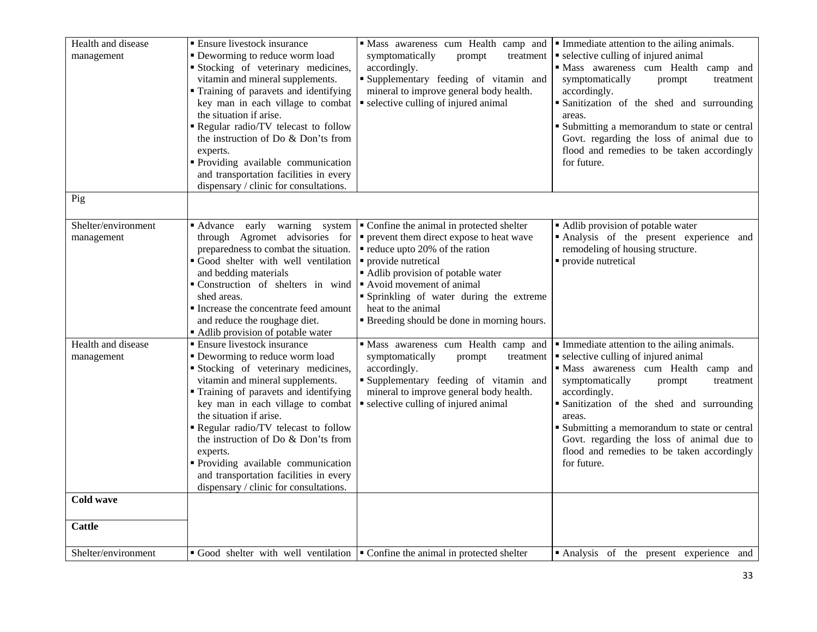| Health and disease<br>management  | <b>Ensure livestock insurance</b><br>• Deworming to reduce worm load<br>Stocking of veterinary medicines,<br>vitamin and mineral supplements.<br>" Training of paravets and identifying<br>key man in each village to combat<br>the situation if arise.<br>Regular radio/TV telecast to follow<br>the instruction of Do & Don'ts from<br>experts.<br>· Providing available communication<br>and transportation facilities in every<br>dispensary / clinic for consultations.                 | "Mass awareness cum Health camp and<br>symptomatically<br>treatment<br>prompt<br>accordingly.<br>Supplementary feeding of vitamin and<br>mineral to improve general body health.<br>• selective culling of injured animal                                                                                                             | • Immediate attention to the ailing animals.<br>• selective culling of injured animal<br>· Mass awareness cum Health camp and<br>symptomatically<br>prompt<br>treatment<br>accordingly.<br>• Sanitization of the shed and surrounding<br>areas.<br>" Submitting a memorandum to state or central<br>Govt. regarding the loss of animal due to<br>flood and remedies to be taken accordingly<br>for future. |
|-----------------------------------|----------------------------------------------------------------------------------------------------------------------------------------------------------------------------------------------------------------------------------------------------------------------------------------------------------------------------------------------------------------------------------------------------------------------------------------------------------------------------------------------|---------------------------------------------------------------------------------------------------------------------------------------------------------------------------------------------------------------------------------------------------------------------------------------------------------------------------------------|------------------------------------------------------------------------------------------------------------------------------------------------------------------------------------------------------------------------------------------------------------------------------------------------------------------------------------------------------------------------------------------------------------|
| Pig                               |                                                                                                                                                                                                                                                                                                                                                                                                                                                                                              |                                                                                                                                                                                                                                                                                                                                       |                                                                                                                                                                                                                                                                                                                                                                                                            |
| Shelter/environment<br>management | ■ Advance<br>early warning system<br>through Agromet advisories for<br>preparedness to combat the situation.<br>Good shelter with well ventilation<br>and bedding materials<br>Construction of shelters in wind<br>shed areas.<br>Increase the concentrate feed amount<br>and reduce the roughage diet.<br>• Adlib provision of potable water                                                                                                                                                | • Confine the animal in protected shelter<br>• prevent them direct expose to heat wave<br>reduce upto 20% of the ration<br>• provide nutretical<br>Adlib provision of potable water<br>Avoid movement of animal<br>• Sprinkling of water during the extreme<br>heat to the animal<br><b>Breeding should be done in morning hours.</b> | • Adlib provision of potable water<br>Analysis of the present experience and<br>remodeling of housing structure.<br>• provide nutretical                                                                                                                                                                                                                                                                   |
| Health and disease<br>management  | $\overline{\phantom{a}}$ Ensure livestock insurance<br>• Deworming to reduce worm load<br>Stocking of veterinary medicines,<br>vitamin and mineral supplements.<br>" Training of paravets and identifying<br>key man in each village to combat<br>the situation if arise.<br>Regular radio/TV telecast to follow<br>the instruction of Do & Don'ts from<br>experts.<br>Providing available communication<br>and transportation facilities in every<br>dispensary / clinic for consultations. | · Mass awareness cum Health camp and<br>symptomatically<br>prompt<br>treatment<br>accordingly.<br>Supplementary feeding of vitamin and<br>mineral to improve general body health.<br>• selective culling of injured animal                                                                                                            | • Immediate attention to the ailing animals.<br>• selective culling of injured animal<br>· Mass awareness cum Health camp and<br>symptomatically<br>prompt<br>treatment<br>accordingly.<br>· Sanitization of the shed and surrounding<br>areas.<br>• Submitting a memorandum to state or central<br>Govt. regarding the loss of animal due to<br>flood and remedies to be taken accordingly<br>for future. |
| Cold wave                         |                                                                                                                                                                                                                                                                                                                                                                                                                                                                                              |                                                                                                                                                                                                                                                                                                                                       |                                                                                                                                                                                                                                                                                                                                                                                                            |
| <b>Cattle</b>                     |                                                                                                                                                                                                                                                                                                                                                                                                                                                                                              |                                                                                                                                                                                                                                                                                                                                       |                                                                                                                                                                                                                                                                                                                                                                                                            |
| Shelter/environment               |                                                                                                                                                                                                                                                                                                                                                                                                                                                                                              | Good shelter with well ventilation $\vert \cdot \vert$ Confine the animal in protected shelter                                                                                                                                                                                                                                        | Analysis of the present experience and                                                                                                                                                                                                                                                                                                                                                                     |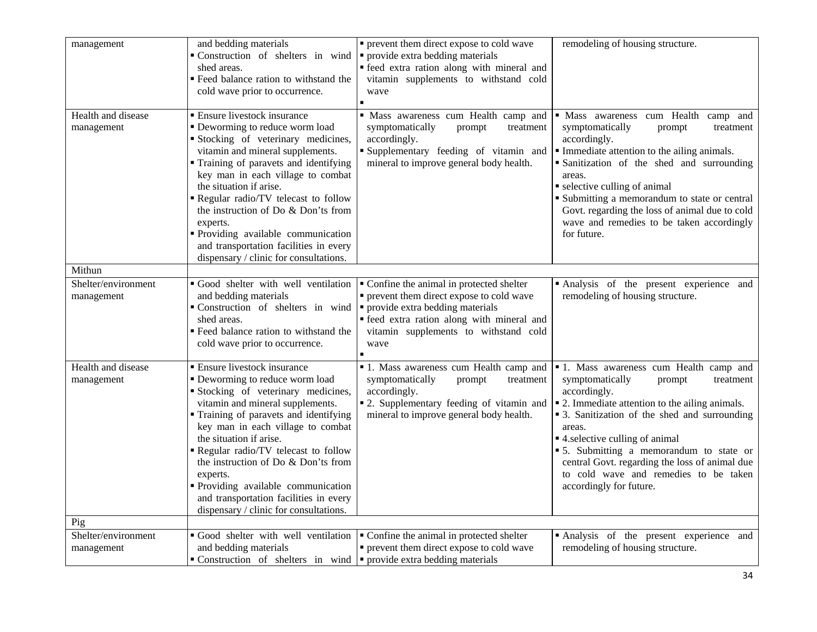| management                        | and bedding materials<br>Construction of shelters in wind<br>shed areas.<br>" Feed balance ration to withstand the<br>cold wave prior to occurrence.                                                                                                                                                                                                                                                                                                                         | • prevent them direct expose to cold wave<br>• provide extra bedding materials<br>" feed extra ration along with mineral and<br>vitamin supplements to withstand cold<br>wave                                            | remodeling of housing structure.                                                                                                                                                                                                                                                                                                                                                                                                 |
|-----------------------------------|------------------------------------------------------------------------------------------------------------------------------------------------------------------------------------------------------------------------------------------------------------------------------------------------------------------------------------------------------------------------------------------------------------------------------------------------------------------------------|--------------------------------------------------------------------------------------------------------------------------------------------------------------------------------------------------------------------------|----------------------------------------------------------------------------------------------------------------------------------------------------------------------------------------------------------------------------------------------------------------------------------------------------------------------------------------------------------------------------------------------------------------------------------|
| Health and disease<br>management  | <b>Ensure livestock insurance</b><br>• Deworming to reduce worm load<br>Stocking of veterinary medicines,<br>vitamin and mineral supplements.<br>" Training of paravets and identifying<br>key man in each village to combat<br>the situation if arise.<br>Regular radio/TV telecast to follow<br>the instruction of Do & Don'ts from<br>experts.<br>" Providing available communication<br>and transportation facilities in every<br>dispensary / clinic for consultations. | · Mass awareness cum Health camp and<br>symptomatically<br>prompt<br>treatment<br>accordingly.<br>Supplementary feeding of vitamin and<br>mineral to improve general body health.                                        | · Mass awareness cum Health<br>camp and<br>symptomatically<br>prompt<br>treatment<br>accordingly.<br>Immediate attention to the ailing animals.<br>• Sanitization of the shed and surrounding<br>areas.<br>• selective culling of animal<br>• Submitting a memorandum to state or central<br>Govt. regarding the loss of animal due to cold<br>wave and remedies to be taken accordingly<br>for future.                          |
| Mithun                            |                                                                                                                                                                                                                                                                                                                                                                                                                                                                              |                                                                                                                                                                                                                          |                                                                                                                                                                                                                                                                                                                                                                                                                                  |
| Shelter/environment<br>management | Good shelter with well ventilation<br>and bedding materials<br>Construction of shelters in wind<br>shed areas.<br>" Feed balance ration to withstand the<br>cold wave prior to occurrence.                                                                                                                                                                                                                                                                                   | Confine the animal in protected shelter<br>• prevent them direct expose to cold wave<br>• provide extra bedding materials<br>" feed extra ration along with mineral and<br>vitamin supplements to withstand cold<br>wave | Analysis of the present experience and<br>remodeling of housing structure.                                                                                                                                                                                                                                                                                                                                                       |
| Health and disease<br>management  | <b>Ensure livestock insurance</b><br>• Deworming to reduce worm load<br>Stocking of veterinary medicines,<br>vitamin and mineral supplements.<br>" Training of paravets and identifying<br>key man in each village to combat<br>the situation if arise.<br>Regular radio/TV telecast to follow<br>the instruction of Do & Don'ts from<br>experts.<br>· Providing available communication<br>and transportation facilities in every<br>dispensary / clinic for consultations. | <sup>1</sup> 1. Mass awareness cum Health camp and<br>symptomatically<br>prompt<br>treatment<br>accordingly.<br>• 2. Supplementary feeding of vitamin and<br>mineral to improve general body health.                     | <sup>1</sup> 1. Mass awareness cum Health camp and<br>symptomatically<br>treatment<br>prompt<br>accordingly.<br>• 2. Immediate attention to the ailing animals.<br>• 3. Sanitization of the shed and surrounding<br>areas.<br>■ 4. selective culling of animal<br>• 5. Submitting a memorandum to state or<br>central Govt. regarding the loss of animal due<br>to cold wave and remedies to be taken<br>accordingly for future. |
| Pig                               |                                                                                                                                                                                                                                                                                                                                                                                                                                                                              |                                                                                                                                                                                                                          |                                                                                                                                                                                                                                                                                                                                                                                                                                  |
| Shelter/environment<br>management | Good shelter with well ventilation<br>and bedding materials<br>$\bullet$ Construction of shelters in wind $\bullet$ provide extra bedding materials                                                                                                                                                                                                                                                                                                                          | Confine the animal in protected shelter<br>• prevent them direct expose to cold wave                                                                                                                                     | Analysis of the present experience and<br>remodeling of housing structure.                                                                                                                                                                                                                                                                                                                                                       |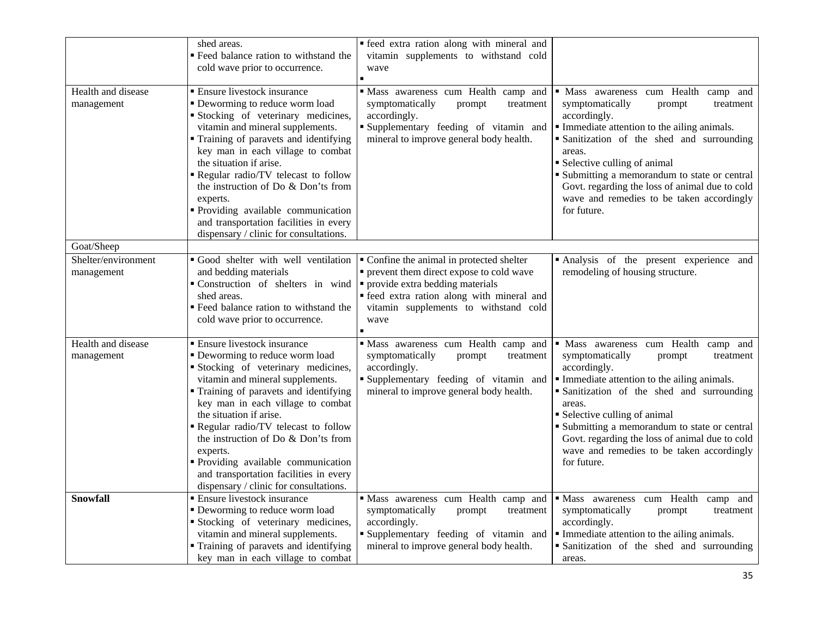|                                   | shed areas.<br>Feed balance ration to withstand the<br>cold wave prior to occurrence.                                                                                                                                                                                                                                                                                                                                                                                        | • feed extra ration along with mineral and<br>vitamin supplements to withstand cold<br>wave                                                                                                                                |                                                                                                                                                                                                                                                                                                                                                                                                      |
|-----------------------------------|------------------------------------------------------------------------------------------------------------------------------------------------------------------------------------------------------------------------------------------------------------------------------------------------------------------------------------------------------------------------------------------------------------------------------------------------------------------------------|----------------------------------------------------------------------------------------------------------------------------------------------------------------------------------------------------------------------------|------------------------------------------------------------------------------------------------------------------------------------------------------------------------------------------------------------------------------------------------------------------------------------------------------------------------------------------------------------------------------------------------------|
| Health and disease<br>management  | <b>Ensure livestock insurance</b><br>• Deworming to reduce worm load<br>Stocking of veterinary medicines,<br>vitamin and mineral supplements.<br>• Training of paravets and identifying<br>key man in each village to combat<br>the situation if arise.<br>Regular radio/TV telecast to follow<br>the instruction of Do & Don'ts from<br>experts.<br>" Providing available communication<br>and transportation facilities in every<br>dispensary / clinic for consultations. | Mass awareness cum Health camp and<br>symptomatically<br>prompt<br>treatment<br>accordingly.<br>Supplementary feeding of vitamin and<br>mineral to improve general body health.                                            | · Mass awareness cum Health camp and<br>symptomatically<br>prompt<br>treatment<br>accordingly.<br>Immediate attention to the ailing animals.<br>• Sanitization of the shed and surrounding<br>areas.<br>• Selective culling of animal<br>• Submitting a memorandum to state or central<br>Govt. regarding the loss of animal due to cold<br>wave and remedies to be taken accordingly<br>for future. |
| Goat/Sheep                        |                                                                                                                                                                                                                                                                                                                                                                                                                                                                              |                                                                                                                                                                                                                            |                                                                                                                                                                                                                                                                                                                                                                                                      |
| Shelter/environment<br>management | Good shelter with well ventilation<br>and bedding materials<br>Construction of shelters in wind<br>shed areas.<br>" Feed balance ration to withstand the<br>cold wave prior to occurrence.                                                                                                                                                                                                                                                                                   | • Confine the animal in protected shelter<br>• prevent them direct expose to cold wave<br>• provide extra bedding materials<br>· feed extra ration along with mineral and<br>vitamin supplements to withstand cold<br>wave | Analysis of the present experience and<br>remodeling of housing structure.                                                                                                                                                                                                                                                                                                                           |
| Health and disease<br>management  | <b>Ensure livestock insurance</b><br>• Deworming to reduce worm load<br>Stocking of veterinary medicines,<br>vitamin and mineral supplements.<br>• Training of paravets and identifying<br>key man in each village to combat<br>the situation if arise.<br>Regular radio/TV telecast to follow<br>the instruction of Do & Don'ts from<br>experts.<br>Providing available communication<br>and transportation facilities in every<br>dispensary / clinic for consultations.   | Mass awareness cum Health camp and<br>symptomatically<br>prompt<br>treatment<br>accordingly.<br>Supplementary feeding of vitamin and<br>mineral to improve general body health.                                            | · Mass awareness cum Health camp and<br>symptomatically<br>prompt<br>treatment<br>accordingly.<br>Immediate attention to the ailing animals.<br>Sanitization of the shed and surrounding<br>areas.<br>• Selective culling of animal<br>• Submitting a memorandum to state or central<br>Govt. regarding the loss of animal due to cold<br>wave and remedies to be taken accordingly<br>for future.   |
| Snowfall                          | <b>Ensure livestock insurance</b><br>• Deworming to reduce worm load<br>Stocking of veterinary medicines,<br>vitamin and mineral supplements.<br>" Training of paravets and identifying<br>key man in each village to combat                                                                                                                                                                                                                                                 | Mass awareness cum Health camp and<br>symptomatically<br>prompt<br>treatment<br>accordingly.<br>" Supplementary feeding of vitamin and<br>mineral to improve general body health.                                          | · Mass awareness cum Health<br>camp and<br>symptomatically<br>prompt<br>treatment<br>accordingly.<br>Immediate attention to the ailing animals.<br>Sanitization of the shed and surrounding<br>areas.                                                                                                                                                                                                |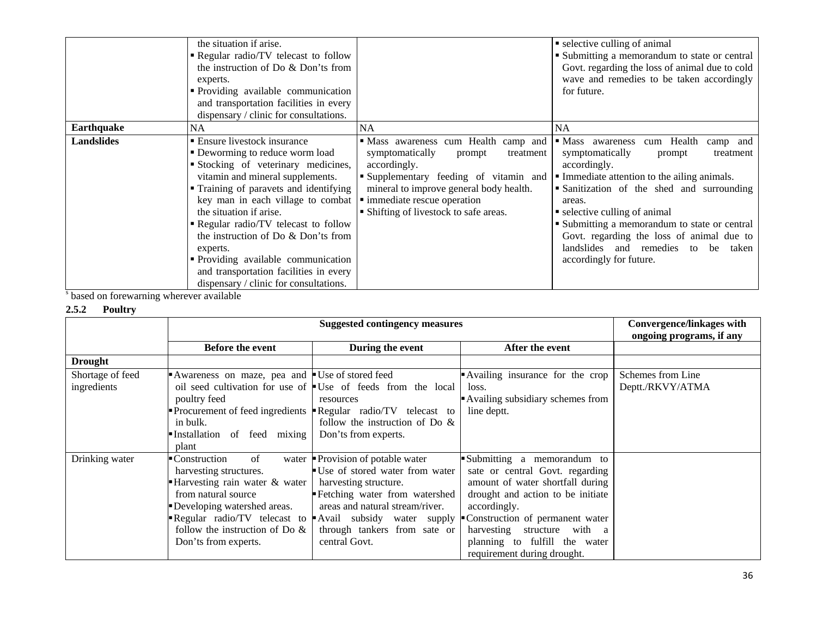|                   | the situation if arise.<br>Regular radio/TV telecast to follow<br>the instruction of Do & Don'ts from<br>experts.<br>• Providing available communication<br>and transportation facilities in every<br>dispensary / clinic for consultations.                                                                                                                                                                                                                            |                                                                                                                                                                                                                                                              | • selective culling of animal<br>• Submitting a memorandum to state or central<br>Govt. regarding the loss of animal due to cold<br>wave and remedies to be taken accordingly<br>for future.                                                                                                                                                                                                                 |
|-------------------|-------------------------------------------------------------------------------------------------------------------------------------------------------------------------------------------------------------------------------------------------------------------------------------------------------------------------------------------------------------------------------------------------------------------------------------------------------------------------|--------------------------------------------------------------------------------------------------------------------------------------------------------------------------------------------------------------------------------------------------------------|--------------------------------------------------------------------------------------------------------------------------------------------------------------------------------------------------------------------------------------------------------------------------------------------------------------------------------------------------------------------------------------------------------------|
| <b>Earthquake</b> | NA.                                                                                                                                                                                                                                                                                                                                                                                                                                                                     | <b>NA</b>                                                                                                                                                                                                                                                    | NA                                                                                                                                                                                                                                                                                                                                                                                                           |
| <b>Landslides</b> | ■ Ensure livestock insurance<br>• Deworming to reduce worm load<br>Stocking of veterinary medicines,<br>vitamin and mineral supplements.<br>• Training of paravets and identifying<br>key man in each village to combat<br>the situation if arise.<br>Regular radio/TV telecast to follow<br>the instruction of Do & Don'ts from<br>experts.<br>• Providing available communication<br>and transportation facilities in every<br>dispensary / clinic for consultations. | "Mass awareness cum Health camp and<br>symptomatically<br>treatment<br>prompt<br>accordingly.<br>• Supplementary feeding of vitamin and<br>mineral to improve general body health.<br>• immediate rescue operation<br>• Shifting of livestock to safe areas. | • Mass awareness<br>cum Health<br>camp and<br>symptomatically<br>treatment<br>prompt<br>accordingly.<br>Immediate attention to the ailing animals.<br>Sanitization of the shed and surrounding<br>areas.<br>• selective culling of animal<br>• Submitting a memorandum to state or central<br>Govt. regarding the loss of animal due to<br>landslides and remedies to be<br>taken<br>accordingly for future. |

<sup>s</sup> based on forewarning wherever available

## **2.5.2 Poultry**

|                                 |                                                                                                                                                                                                    | <b>Convergence/linkages with</b><br>ongoing programs, if any                                                                                                                                                                                                                |                                                                                                                                                                                                                                                                                          |                                       |
|---------------------------------|----------------------------------------------------------------------------------------------------------------------------------------------------------------------------------------------------|-----------------------------------------------------------------------------------------------------------------------------------------------------------------------------------------------------------------------------------------------------------------------------|------------------------------------------------------------------------------------------------------------------------------------------------------------------------------------------------------------------------------------------------------------------------------------------|---------------------------------------|
|                                 | Before the event                                                                                                                                                                                   | During the event                                                                                                                                                                                                                                                            | After the event                                                                                                                                                                                                                                                                          |                                       |
| <b>Drought</b>                  |                                                                                                                                                                                                    |                                                                                                                                                                                                                                                                             |                                                                                                                                                                                                                                                                                          |                                       |
| Shortage of feed<br>ingredients | Awareness on maze, pea and Use of stored feed<br>poultry feed<br>in bulk.<br>Installation of feed mixing<br>plant                                                                                  | oil seed cultivation for use of $\bullet$ Use of feeds from the local<br>resources<br><b>Procurement of feed ingredients FRegular radio/TV telecast to</b><br>follow the instruction of Do $\&$<br>Don'ts from experts.                                                     | Availing insurance for the crop<br>loss.<br>Availing subsidiary schemes from<br>line deptt.                                                                                                                                                                                              | Schemes from Line<br>Deptt./RKVY/ATMA |
| Drinking water                  | of<br>• Construction<br>harvesting structures.<br>Harvesting rain water & water<br>from natural source<br>Developing watershed areas.<br>follow the instruction of Do $\&$<br>Don'ts from experts. | water Provision of potable water<br>Use of stored water from water<br>harvesting structure.<br>Fetching water from watershed<br>areas and natural stream/river.<br>Regular radio/TV telecast to Avail subsidy water supply<br>through tankers from sate or<br>central Govt. | Submitting a memorandum to<br>sate or central Govt. regarding<br>amount of water shortfall during<br>drought and action to be initiate<br>accordingly.<br>Construction of permanent water<br>harvesting structure with a<br>planning to fulfill the water<br>requirement during drought. |                                       |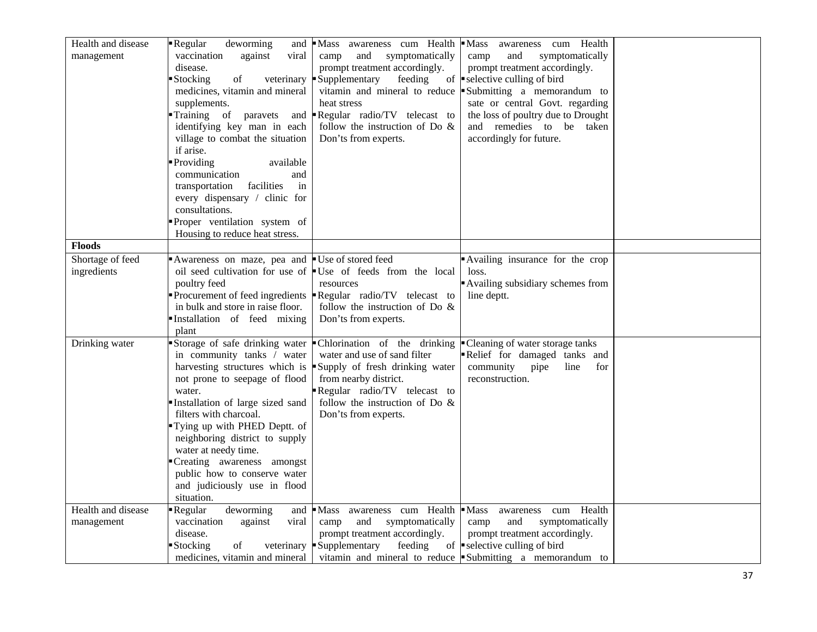| Health and disease | Regular<br>deworming<br>and        | Mass awareness cum Health                                                   | $\blacksquare$ Mass<br>awareness cum Health              |  |
|--------------------|------------------------------------|-----------------------------------------------------------------------------|----------------------------------------------------------|--|
| management         | vaccination<br>against<br>viral    | and<br>symptomatically<br>camp                                              | and<br>symptomatically<br>camp                           |  |
|                    | disease.                           | prompt treatment accordingly.                                               | prompt treatment accordingly.                            |  |
|                    | Stocking<br>of<br>veterinary       | Supplementary<br>feeding                                                    | of $\blacksquare$ selective culling of bird              |  |
|                    |                                    | vitamin and mineral to reduce                                               |                                                          |  |
|                    | medicines, vitamin and mineral     |                                                                             | Submitting a memorandum to                               |  |
|                    | supplements.                       | heat stress                                                                 | sate or central Govt. regarding                          |  |
|                    | Training of<br>paravets            | and <b>Regular</b> radio/TV telecast to                                     | the loss of poultry due to Drought                       |  |
|                    | identifying key man in each        | follow the instruction of Do $\&$                                           | and remedies to be taken                                 |  |
|                    | village to combat the situation    | Don'ts from experts.                                                        | accordingly for future.                                  |  |
|                    | if arise.                          |                                                                             |                                                          |  |
|                    | Providing<br>available             |                                                                             |                                                          |  |
|                    | communication<br>and               |                                                                             |                                                          |  |
|                    | facilities<br>transportation<br>in |                                                                             |                                                          |  |
|                    | every dispensary / clinic for      |                                                                             |                                                          |  |
|                    | consultations.                     |                                                                             |                                                          |  |
|                    |                                    |                                                                             |                                                          |  |
|                    | Proper ventilation system of       |                                                                             |                                                          |  |
|                    | Housing to reduce heat stress.     |                                                                             |                                                          |  |
| <b>Floods</b>      |                                    |                                                                             |                                                          |  |
| Shortage of feed   | Awareness on maze, pea and         | Use of stored feed                                                          | Availing insurance for the crop                          |  |
| ingredients        |                                    | oil seed cultivation for use of Use of feeds from the local                 | loss.                                                    |  |
|                    | poultry feed                       | resources                                                                   | Availing subsidiary schemes from                         |  |
|                    |                                    | Procurement of feed ingredients $\blacksquare$ Regular radio/TV telecast to | line deptt.                                              |  |
|                    | in bulk and store in raise floor.  | follow the instruction of Do $\&$                                           |                                                          |  |
|                    | Installation of feed mixing        | Don'ts from experts.                                                        |                                                          |  |
|                    | plant                              |                                                                             |                                                          |  |
| Drinking water     | Storage of safe drinking water     | Chlorination of the drinking                                                | • Cleaning of water storage tanks                        |  |
|                    | in community tanks / water         | water and use of sand filter                                                | Relief for damaged tanks and                             |  |
|                    |                                    |                                                                             |                                                          |  |
|                    |                                    | harvesting structures which is Supply of fresh drinking water               | community<br>pipe<br>line<br>for                         |  |
|                    | not prone to seepage of flood      | from nearby district.                                                       | reconstruction.                                          |  |
|                    | water.                             | Regular radio/TV telecast to                                                |                                                          |  |
|                    | Installation of large sized sand   | follow the instruction of Do $\&$                                           |                                                          |  |
|                    | filters with charcoal.             | Don'ts from experts.                                                        |                                                          |  |
|                    | Tying up with PHED Deptt. of       |                                                                             |                                                          |  |
|                    | neighboring district to supply     |                                                                             |                                                          |  |
|                    | water at needy time.               |                                                                             |                                                          |  |
|                    | Creating awareness amongst         |                                                                             |                                                          |  |
|                    | public how to conserve water       |                                                                             |                                                          |  |
|                    | and judiciously use in flood       |                                                                             |                                                          |  |
|                    | situation.                         |                                                                             |                                                          |  |
| Health and disease | Regular<br>deworming               | and Mass awareness cum Health Mass                                          | cum Health<br>awareness                                  |  |
| management         | vaccination<br>against<br>viral    | and<br>symptomatically<br>camp                                              | and<br>symptomatically<br>camp                           |  |
|                    | disease.                           | prompt treatment accordingly.                                               |                                                          |  |
|                    |                                    |                                                                             | prompt treatment accordingly.                            |  |
|                    | ■ Stocking<br>of                   | veterinary Supplementary<br>feeding                                         | of $\blacksquare$ selective culling of bird              |  |
|                    | medicines, vitamin and mineral     |                                                                             | vitamin and mineral to reduce Submitting a memorandum to |  |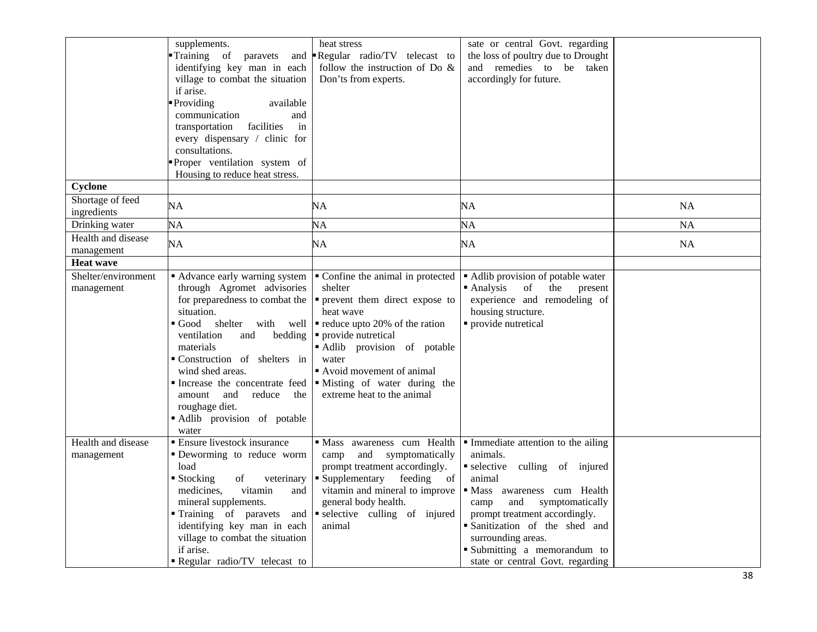|                                   | supplements.<br>Training of paravets<br>and<br>identifying key man in each<br>village to combat the situation<br>if arise.<br><b>Providing</b><br>available<br>communication<br>and<br>facilities<br>transportation<br>in<br>every dispensary / clinic for<br>consultations.<br>Proper ventilation system of<br>Housing to reduce heat stress.                    | heat stress<br>Regular radio/TV telecast to<br>follow the instruction of Do $\&$<br>Don'ts from experts.                                                                                                                                                                                               | sate or central Govt. regarding<br>the loss of poultry due to Drought<br>and remedies to be taken<br>accordingly for future.                                                                                                                                                                                      |           |
|-----------------------------------|-------------------------------------------------------------------------------------------------------------------------------------------------------------------------------------------------------------------------------------------------------------------------------------------------------------------------------------------------------------------|--------------------------------------------------------------------------------------------------------------------------------------------------------------------------------------------------------------------------------------------------------------------------------------------------------|-------------------------------------------------------------------------------------------------------------------------------------------------------------------------------------------------------------------------------------------------------------------------------------------------------------------|-----------|
| Cyclone                           |                                                                                                                                                                                                                                                                                                                                                                   |                                                                                                                                                                                                                                                                                                        |                                                                                                                                                                                                                                                                                                                   |           |
| Shortage of feed<br>ingredients   | NA                                                                                                                                                                                                                                                                                                                                                                | NA                                                                                                                                                                                                                                                                                                     | NA                                                                                                                                                                                                                                                                                                                | NA        |
| Drinking water                    | NA                                                                                                                                                                                                                                                                                                                                                                | NA                                                                                                                                                                                                                                                                                                     | NA                                                                                                                                                                                                                                                                                                                | <b>NA</b> |
| Health and disease<br>management  | NA                                                                                                                                                                                                                                                                                                                                                                | NA                                                                                                                                                                                                                                                                                                     | NA                                                                                                                                                                                                                                                                                                                | <b>NA</b> |
| <b>Heat wave</b>                  |                                                                                                                                                                                                                                                                                                                                                                   |                                                                                                                                                                                                                                                                                                        |                                                                                                                                                                                                                                                                                                                   |           |
| Shelter/environment<br>management | Advance early warning system<br>through Agromet advisories<br>for preparedness to combat the<br>situation.<br>Good shelter with well<br>ventilation<br>and<br>bedding<br>materials<br>Construction of shelters in<br>wind shed areas.<br>Increase the concentrate feed<br>amount<br>and<br>reduce<br>the<br>roughage diet.<br>Adlib provision of potable<br>water | • Confine the animal in protected<br>shelter<br>• prevent them direct expose to<br>heat wave<br>$\blacksquare$ reduce upto 20% of the ration<br>• provide nutretical<br>Adlib provision of potable<br>water<br>Avoid movement of animal<br>• Misting of water during the<br>extreme heat to the animal | • Adlib provision of potable water<br>$\blacksquare$ Analysis<br>of<br>the<br>present<br>experience and remodeling of<br>housing structure.<br>• provide nutretical                                                                                                                                               |           |
| Health and disease<br>management  | <b>Ensure livestock insurance</b><br>Deworming to reduce worm<br>load<br>■ Stocking<br>of<br>veterinary<br>medicines,<br>vitamin<br>and<br>mineral supplements.<br>Training of paravets<br>and<br>identifying key man in each<br>village to combat the situation<br>if arise.<br>Regular radio/TV telecast to                                                     | · Mass awareness cum Health<br>and symptomatically<br>camp<br>prompt treatment accordingly.<br>• Supplementary<br>feeding<br>of<br>vitamin and mineral to improve<br>general body health.<br>selective culling of injured<br>animal                                                                    | Immediate attention to the ailing<br>animals.<br>selective culling of injured<br>animal<br>· Mass awareness cum Health<br>symptomatically<br>camp<br>and<br>prompt treatment accordingly.<br>Sanitization of the shed and<br>surrounding areas.<br>Submitting a memorandum to<br>state or central Govt. regarding |           |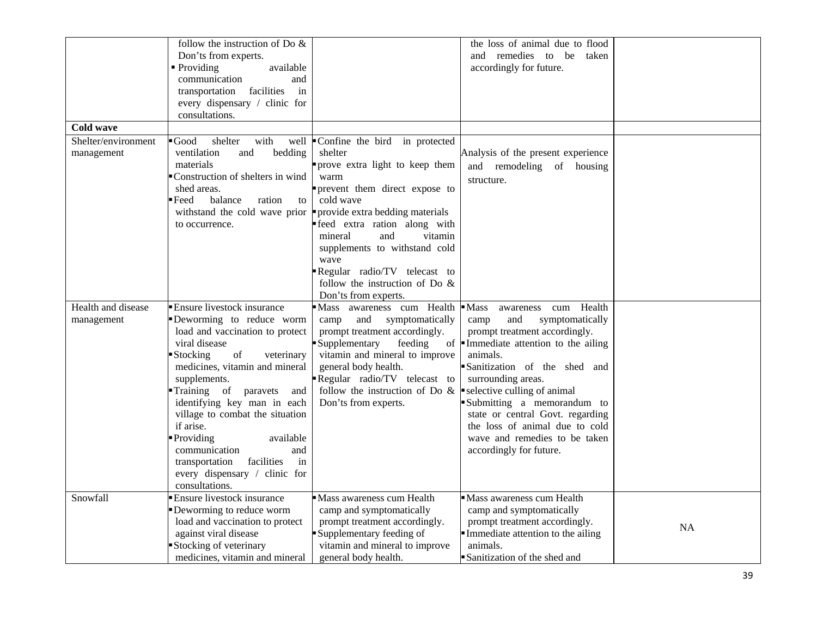|                     | follow the instruction of Do &                 |                                                                         | the loss of animal due to flood       |           |
|---------------------|------------------------------------------------|-------------------------------------------------------------------------|---------------------------------------|-----------|
|                     | Don'ts from experts.                           |                                                                         | and remedies to be taken              |           |
|                     | $\blacksquare$ Providing<br>available          |                                                                         | accordingly for future.               |           |
|                     | communication<br>and                           |                                                                         |                                       |           |
|                     | transportation facilities<br>in                |                                                                         |                                       |           |
|                     | every dispensary / clinic for                  |                                                                         |                                       |           |
|                     | consultations.                                 |                                                                         |                                       |           |
| Cold wave           |                                                |                                                                         |                                       |           |
|                     |                                                |                                                                         |                                       |           |
| Shelter/environment | $\blacksquare$ Good<br>shelter<br>with         | well Confine the bird in protected                                      |                                       |           |
| management          | ventilation<br>and<br>bedding                  | shelter                                                                 | Analysis of the present experience    |           |
|                     | materials                                      | prove extra light to keep them                                          | and remodeling of housing             |           |
|                     | Construction of shelters in wind               | warm                                                                    | structure.                            |           |
|                     | shed areas.                                    | prevent them direct expose to                                           |                                       |           |
|                     | $\blacksquare$ Feed<br>balance<br>ration<br>to | cold wave                                                               |                                       |           |
|                     | withstand the cold wave prior                  | provide extra bedding materials                                         |                                       |           |
|                     | to occurrence.                                 | feed extra ration along with                                            |                                       |           |
|                     |                                                | vitamin<br>mineral<br>and                                               |                                       |           |
|                     |                                                | supplements to withstand cold                                           |                                       |           |
|                     |                                                | wave                                                                    |                                       |           |
|                     |                                                | Regular radio/TV telecast to                                            |                                       |           |
|                     |                                                | follow the instruction of Do $\&$                                       |                                       |           |
|                     |                                                | Don'ts from experts.                                                    |                                       |           |
| Health and disease  | Ensure livestock insurance                     | Mass awareness cum Health                                               | Health<br>$-Mass$<br>cum<br>awareness |           |
| management          | Deworming to reduce worm                       | symptomatically<br>camp<br>and                                          | camp<br>and<br>symptomatically        |           |
|                     | load and vaccination to protect                | prompt treatment accordingly.                                           | prompt treatment accordingly.         |           |
|                     | viral disease                                  | Supplementary<br>feeding                                                | of Immediate attention to the ailing  |           |
|                     | Stocking<br>$\sigma f$<br>veterinary           | vitamin and mineral to improve                                          | animals.                              |           |
|                     | medicines, vitamin and mineral                 | general body health.                                                    | Sanitization of the shed and          |           |
|                     | supplements.                                   | Regular radio/TV telecast to                                            | surrounding areas.                    |           |
|                     | Training of paravets<br>and                    | follow the instruction of Do $\&$ $\bullet$ selective culling of animal |                                       |           |
|                     | identifying key man in each                    | Don'ts from experts.                                                    | Submitting a memorandum to            |           |
|                     | village to combat the situation                |                                                                         | state or central Govt. regarding      |           |
|                     | if arise.                                      |                                                                         | the loss of animal due to cold        |           |
|                     | Providing<br>available                         |                                                                         | wave and remedies to be taken         |           |
|                     | and<br>communication                           |                                                                         | accordingly for future.               |           |
|                     | in<br>transportation<br>facilities             |                                                                         |                                       |           |
|                     | every dispensary / clinic for                  |                                                                         |                                       |           |
|                     | consultations.                                 |                                                                         |                                       |           |
| Snowfall            | Ensure livestock insurance                     | Mass awareness cum Health                                               | Mass awareness cum Health             |           |
|                     | Deworming to reduce worm                       | camp and symptomatically                                                | camp and symptomatically              |           |
|                     | load and vaccination to protect                | prompt treatment accordingly.                                           | prompt treatment accordingly.         |           |
|                     |                                                |                                                                         |                                       | <b>NA</b> |
|                     | against viral disease                          | Supplementary feeding of                                                | Immediate attention to the ailing     |           |
|                     | Stocking of veterinary                         | vitamin and mineral to improve                                          | animals.                              |           |
|                     | medicines, vitamin and mineral                 | general body health.                                                    | Sanitization of the shed and          |           |